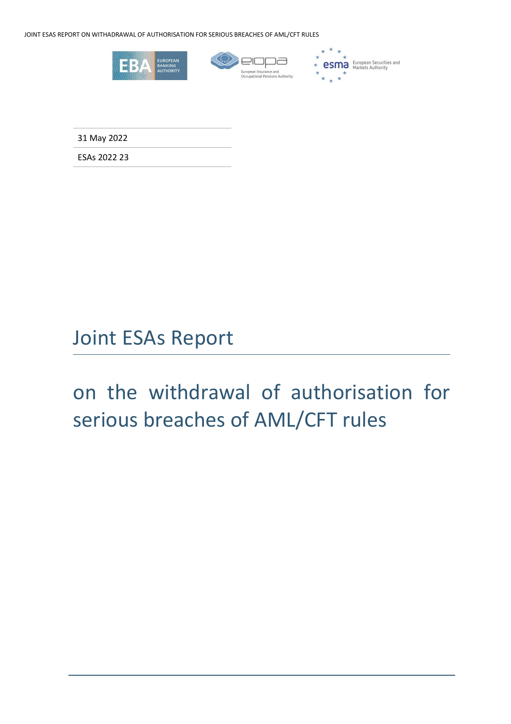JOINT ESAS REPORT ON WITHADRAWAL OF AUTHORISATION FOR SERIOUS BREACHES OF AML/CFT RULES



31 May 2022

ESAs 2022 23

## Joint ESAs Report

# on the withdrawal of authorisation for serious breaches of AML/CFT rules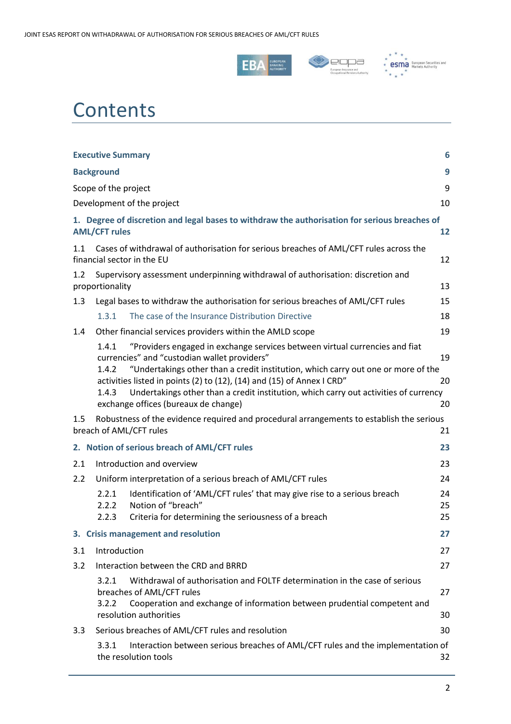





# **Contents**

| <b>Executive Summary</b><br>6                                                                                                    |                                                                                                                             |                                                                                                                                                                                                                                                                                                                                                                                                                            |                |  |  |
|----------------------------------------------------------------------------------------------------------------------------------|-----------------------------------------------------------------------------------------------------------------------------|----------------------------------------------------------------------------------------------------------------------------------------------------------------------------------------------------------------------------------------------------------------------------------------------------------------------------------------------------------------------------------------------------------------------------|----------------|--|--|
|                                                                                                                                  | 9<br><b>Background</b>                                                                                                      |                                                                                                                                                                                                                                                                                                                                                                                                                            |                |  |  |
|                                                                                                                                  | Scope of the project                                                                                                        |                                                                                                                                                                                                                                                                                                                                                                                                                            | 9              |  |  |
|                                                                                                                                  |                                                                                                                             | Development of the project                                                                                                                                                                                                                                                                                                                                                                                                 | 10             |  |  |
|                                                                                                                                  | 1. Degree of discretion and legal bases to withdraw the authorisation for serious breaches of<br><b>AML/CFT rules</b><br>12 |                                                                                                                                                                                                                                                                                                                                                                                                                            |                |  |  |
| Cases of withdrawal of authorisation for serious breaches of AML/CFT rules across the<br>1.1<br>financial sector in the EU<br>12 |                                                                                                                             |                                                                                                                                                                                                                                                                                                                                                                                                                            |                |  |  |
| 1.2                                                                                                                              | Supervisory assessment underpinning withdrawal of authorisation: discretion and<br>proportionality<br>13                    |                                                                                                                                                                                                                                                                                                                                                                                                                            |                |  |  |
| 1.3                                                                                                                              |                                                                                                                             | Legal bases to withdraw the authorisation for serious breaches of AML/CFT rules                                                                                                                                                                                                                                                                                                                                            | 15             |  |  |
|                                                                                                                                  | 1.3.1                                                                                                                       | The case of the Insurance Distribution Directive                                                                                                                                                                                                                                                                                                                                                                           | 18             |  |  |
| 1.4                                                                                                                              |                                                                                                                             | Other financial services providers within the AMLD scope                                                                                                                                                                                                                                                                                                                                                                   | 19             |  |  |
|                                                                                                                                  | 1.4.1<br>1.4.2<br>1.4.3                                                                                                     | "Providers engaged in exchange services between virtual currencies and fiat<br>currencies" and "custodian wallet providers"<br>"Undertakings other than a credit institution, which carry out one or more of the<br>activities listed in points (2) to (12), (14) and (15) of Annex I CRD"<br>Undertakings other than a credit institution, which carry out activities of currency<br>exchange offices (bureaux de change) | 19<br>20<br>20 |  |  |
| 1.5                                                                                                                              | Robustness of the evidence required and procedural arrangements to establish the serious<br>breach of AML/CFT rules<br>21   |                                                                                                                                                                                                                                                                                                                                                                                                                            |                |  |  |
|                                                                                                                                  | 2. Notion of serious breach of AML/CFT rules<br>23                                                                          |                                                                                                                                                                                                                                                                                                                                                                                                                            |                |  |  |
| 2.1                                                                                                                              |                                                                                                                             | Introduction and overview                                                                                                                                                                                                                                                                                                                                                                                                  | 23             |  |  |
| 2.2                                                                                                                              |                                                                                                                             | Uniform interpretation of a serious breach of AML/CFT rules                                                                                                                                                                                                                                                                                                                                                                | 24             |  |  |
|                                                                                                                                  | 2.2.1<br>2.2.2<br>2.2.3                                                                                                     | Identification of 'AML/CFT rules' that may give rise to a serious breach<br>Notion of "breach"<br>Criteria for determining the seriousness of a breach                                                                                                                                                                                                                                                                     | 24<br>25<br>25 |  |  |
|                                                                                                                                  |                                                                                                                             | 3. Crisis management and resolution                                                                                                                                                                                                                                                                                                                                                                                        | 27             |  |  |
| 3.1                                                                                                                              | Introduction                                                                                                                |                                                                                                                                                                                                                                                                                                                                                                                                                            | 27             |  |  |
| 3.2                                                                                                                              |                                                                                                                             | Interaction between the CRD and BRRD                                                                                                                                                                                                                                                                                                                                                                                       | 27             |  |  |
|                                                                                                                                  | 3.2.1<br>3.2.2                                                                                                              | Withdrawal of authorisation and FOLTF determination in the case of serious<br>breaches of AML/CFT rules<br>Cooperation and exchange of information between prudential competent and<br>resolution authorities                                                                                                                                                                                                              | 27<br>30       |  |  |
| 3.3 <sub>1</sub>                                                                                                                 |                                                                                                                             | Serious breaches of AML/CFT rules and resolution                                                                                                                                                                                                                                                                                                                                                                           | 30             |  |  |
|                                                                                                                                  | 3.3.1                                                                                                                       | Interaction between serious breaches of AML/CFT rules and the implementation of<br>the resolution tools                                                                                                                                                                                                                                                                                                                    | 32             |  |  |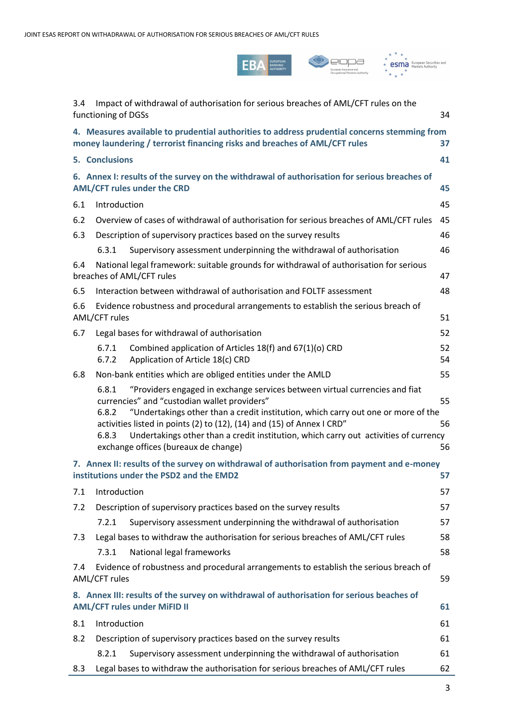





| 3.4                                                                                                                                                                              | Impact of withdrawal of authorisation for serious breaches of AML/CFT rules on the                                                                                                                                                                                                                                                                                                                                                                    |                |  |  |
|----------------------------------------------------------------------------------------------------------------------------------------------------------------------------------|-------------------------------------------------------------------------------------------------------------------------------------------------------------------------------------------------------------------------------------------------------------------------------------------------------------------------------------------------------------------------------------------------------------------------------------------------------|----------------|--|--|
|                                                                                                                                                                                  | functioning of DGSs                                                                                                                                                                                                                                                                                                                                                                                                                                   | 34             |  |  |
| 4. Measures available to prudential authorities to address prudential concerns stemming from<br>money laundering / terrorist financing risks and breaches of AML/CFT rules<br>37 |                                                                                                                                                                                                                                                                                                                                                                                                                                                       |                |  |  |
|                                                                                                                                                                                  | 5. Conclusions<br>41                                                                                                                                                                                                                                                                                                                                                                                                                                  |                |  |  |
|                                                                                                                                                                                  | 6. Annex I: results of the survey on the withdrawal of authorisation for serious breaches of<br><b>AML/CFT rules under the CRD</b><br>45                                                                                                                                                                                                                                                                                                              |                |  |  |
| 6.1                                                                                                                                                                              | Introduction                                                                                                                                                                                                                                                                                                                                                                                                                                          | 45             |  |  |
| 6.2                                                                                                                                                                              | Overview of cases of withdrawal of authorisation for serious breaches of AML/CFT rules                                                                                                                                                                                                                                                                                                                                                                | 45             |  |  |
| 6.3                                                                                                                                                                              | Description of supervisory practices based on the survey results                                                                                                                                                                                                                                                                                                                                                                                      | 46             |  |  |
|                                                                                                                                                                                  | Supervisory assessment underpinning the withdrawal of authorisation<br>6.3.1                                                                                                                                                                                                                                                                                                                                                                          | 46             |  |  |
| 6.4                                                                                                                                                                              | National legal framework: suitable grounds for withdrawal of authorisation for serious<br>breaches of AML/CFT rules                                                                                                                                                                                                                                                                                                                                   | 47             |  |  |
| 6.5                                                                                                                                                                              | Interaction between withdrawal of authorisation and FOLTF assessment                                                                                                                                                                                                                                                                                                                                                                                  | 48             |  |  |
| 6.6                                                                                                                                                                              | Evidence robustness and procedural arrangements to establish the serious breach of<br>AML/CFT rules<br>51                                                                                                                                                                                                                                                                                                                                             |                |  |  |
| 6.7                                                                                                                                                                              | Legal bases for withdrawal of authorisation                                                                                                                                                                                                                                                                                                                                                                                                           | 52             |  |  |
|                                                                                                                                                                                  | 6.7.1<br>Combined application of Articles 18(f) and 67(1)(o) CRD<br>Application of Article 18(c) CRD<br>6.7.2                                                                                                                                                                                                                                                                                                                                         | 52<br>54       |  |  |
| 6.8                                                                                                                                                                              | Non-bank entities which are obliged entities under the AMLD                                                                                                                                                                                                                                                                                                                                                                                           | 55             |  |  |
|                                                                                                                                                                                  | 6.8.1<br>"Providers engaged in exchange services between virtual currencies and fiat<br>currencies" and "custodian wallet providers"<br>"Undertakings other than a credit institution, which carry out one or more of the<br>6.8.2<br>activities listed in points (2) to (12), (14) and (15) of Annex I CRD"<br>Undertakings other than a credit institution, which carry out activities of currency<br>6.8.3<br>exchange offices (bureaux de change) | 55<br>56<br>56 |  |  |
| 7. Annex II: results of the survey on withdrawal of authorisation from payment and e-money<br>institutions under the PSD2 and the EMD2<br>57                                     |                                                                                                                                                                                                                                                                                                                                                                                                                                                       |                |  |  |
| 7.1                                                                                                                                                                              | Introduction                                                                                                                                                                                                                                                                                                                                                                                                                                          | 57             |  |  |
| 7.2                                                                                                                                                                              | Description of supervisory practices based on the survey results                                                                                                                                                                                                                                                                                                                                                                                      | 57             |  |  |
|                                                                                                                                                                                  | 7.2.1<br>Supervisory assessment underpinning the withdrawal of authorisation                                                                                                                                                                                                                                                                                                                                                                          | 57             |  |  |
| 7.3                                                                                                                                                                              | Legal bases to withdraw the authorisation for serious breaches of AML/CFT rules                                                                                                                                                                                                                                                                                                                                                                       | 58             |  |  |
|                                                                                                                                                                                  | National legal frameworks<br>7.3.1                                                                                                                                                                                                                                                                                                                                                                                                                    | 58             |  |  |
| 7.4                                                                                                                                                                              | Evidence of robustness and procedural arrangements to establish the serious breach of<br>59<br>AML/CFT rules                                                                                                                                                                                                                                                                                                                                          |                |  |  |
|                                                                                                                                                                                  | 8. Annex III: results of the survey on withdrawal of authorisation for serious beaches of<br><b>AML/CFT rules under MiFID II</b><br>61                                                                                                                                                                                                                                                                                                                |                |  |  |
| 8.1                                                                                                                                                                              | Introduction                                                                                                                                                                                                                                                                                                                                                                                                                                          | 61             |  |  |
| 8.2                                                                                                                                                                              | Description of supervisory practices based on the survey results                                                                                                                                                                                                                                                                                                                                                                                      | 61             |  |  |
|                                                                                                                                                                                  | Supervisory assessment underpinning the withdrawal of authorisation<br>8.2.1                                                                                                                                                                                                                                                                                                                                                                          | 61             |  |  |
| 8.3                                                                                                                                                                              | Legal bases to withdraw the authorisation for serious breaches of AML/CFT rules                                                                                                                                                                                                                                                                                                                                                                       | 62             |  |  |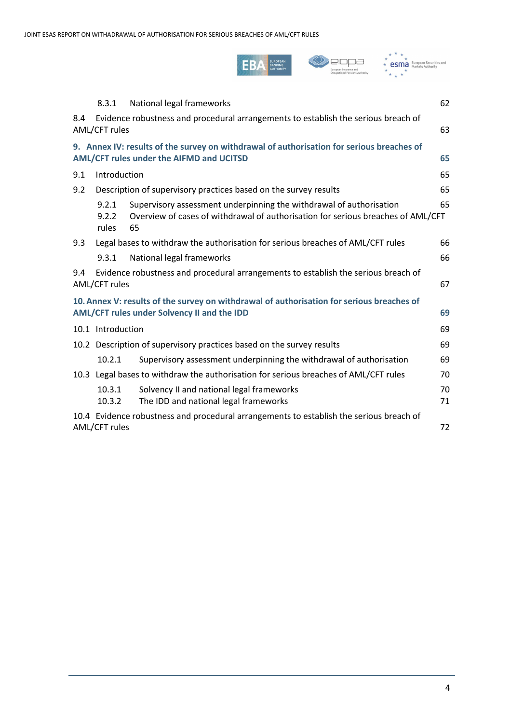

|                                                                                                                                                | 8.3.1                                                                                                                                       | National legal frameworks                                                                                                                                     | 62       |  |  |
|------------------------------------------------------------------------------------------------------------------------------------------------|---------------------------------------------------------------------------------------------------------------------------------------------|---------------------------------------------------------------------------------------------------------------------------------------------------------------|----------|--|--|
| 8.4                                                                                                                                            | Evidence robustness and procedural arrangements to establish the serious breach of<br>AML/CFT rules                                         |                                                                                                                                                               |          |  |  |
|                                                                                                                                                | 9. Annex IV: results of the survey on withdrawal of authorisation for serious breaches of<br>AML/CFT rules under the AIFMD and UCITSD<br>65 |                                                                                                                                                               |          |  |  |
| 9.1                                                                                                                                            | Introduction                                                                                                                                |                                                                                                                                                               | 65       |  |  |
| 9.2<br>Description of supervisory practices based on the survey results                                                                        |                                                                                                                                             |                                                                                                                                                               | 65       |  |  |
|                                                                                                                                                | 9.2.1<br>9.2.2<br>rules                                                                                                                     | Supervisory assessment underpinning the withdrawal of authorisation<br>Overview of cases of withdrawal of authorisation for serious breaches of AML/CFT<br>65 | 65       |  |  |
| 9.3                                                                                                                                            |                                                                                                                                             | Legal bases to withdraw the authorisation for serious breaches of AML/CFT rules                                                                               |          |  |  |
|                                                                                                                                                | 9.3.1                                                                                                                                       | National legal frameworks                                                                                                                                     | 66       |  |  |
| 9.4                                                                                                                                            | Evidence robustness and procedural arrangements to establish the serious breach of<br>AML/CFT rules                                         |                                                                                                                                                               |          |  |  |
| 10. Annex V: results of the survey on withdrawal of authorisation for serious breaches of<br>69<br>AML/CFT rules under Solvency II and the IDD |                                                                                                                                             |                                                                                                                                                               |          |  |  |
|                                                                                                                                                | 10.1 Introduction                                                                                                                           |                                                                                                                                                               |          |  |  |
|                                                                                                                                                | 10.2 Description of supervisory practices based on the survey results                                                                       |                                                                                                                                                               |          |  |  |
|                                                                                                                                                | 10.2.1                                                                                                                                      | Supervisory assessment underpinning the withdrawal of authorisation                                                                                           | 69       |  |  |
| 10.3 Legal bases to withdraw the authorisation for serious breaches of AML/CFT rules                                                           |                                                                                                                                             |                                                                                                                                                               | 70       |  |  |
|                                                                                                                                                | 10.3.1<br>10.3.2                                                                                                                            | Solvency II and national legal frameworks<br>The IDD and national legal frameworks                                                                            | 70<br>71 |  |  |
| 10.4 Evidence robustness and procedural arrangements to establish the serious breach of<br>AML/CFT rules                                       |                                                                                                                                             |                                                                                                                                                               | 72       |  |  |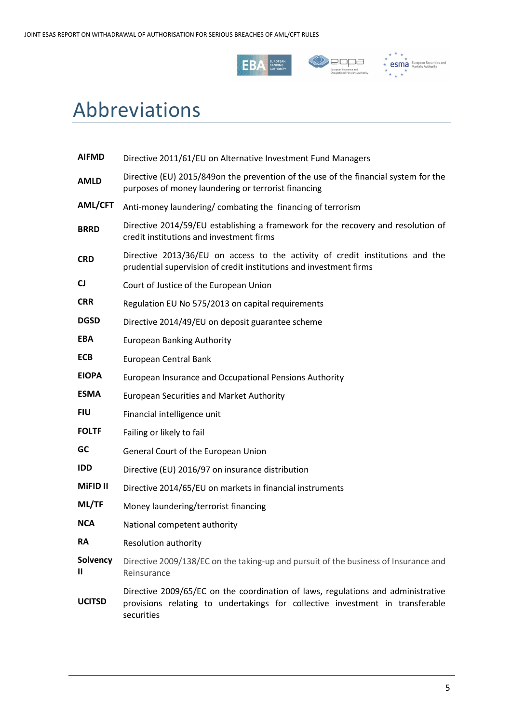





## Abbreviations

| <b>AIFMD</b>    | Directive 2011/61/EU on Alternative Investment Fund Managers                                                                                                                    |  |  |
|-----------------|---------------------------------------------------------------------------------------------------------------------------------------------------------------------------------|--|--|
| <b>AMLD</b>     | Directive (EU) 2015/849on the prevention of the use of the financial system for the<br>purposes of money laundering or terrorist financing                                      |  |  |
| AML/CFT         | Anti-money laundering/combating the financing of terrorism                                                                                                                      |  |  |
| <b>BRRD</b>     | Directive 2014/59/EU establishing a framework for the recovery and resolution of<br>credit institutions and investment firms                                                    |  |  |
| <b>CRD</b>      | Directive 2013/36/EU on access to the activity of credit institutions and the<br>prudential supervision of credit institutions and investment firms                             |  |  |
| CJ              | Court of Justice of the European Union                                                                                                                                          |  |  |
| <b>CRR</b>      | Regulation EU No 575/2013 on capital requirements                                                                                                                               |  |  |
| <b>DGSD</b>     | Directive 2014/49/EU on deposit guarantee scheme                                                                                                                                |  |  |
| <b>EBA</b>      | <b>European Banking Authority</b>                                                                                                                                               |  |  |
| <b>ECB</b>      | European Central Bank                                                                                                                                                           |  |  |
| <b>EIOPA</b>    | European Insurance and Occupational Pensions Authority                                                                                                                          |  |  |
| <b>ESMA</b>     | <b>European Securities and Market Authority</b>                                                                                                                                 |  |  |
| <b>FIU</b>      | Financial intelligence unit                                                                                                                                                     |  |  |
| <b>FOLTF</b>    | Failing or likely to fail                                                                                                                                                       |  |  |
| GC              | General Court of the European Union                                                                                                                                             |  |  |
| <b>IDD</b>      | Directive (EU) 2016/97 on insurance distribution                                                                                                                                |  |  |
| <b>MIFID II</b> | Directive 2014/65/EU on markets in financial instruments                                                                                                                        |  |  |
| ML/TF           | Money laundering/terrorist financing                                                                                                                                            |  |  |
| <b>NCA</b>      | National competent authority                                                                                                                                                    |  |  |
| <b>RA</b>       | Resolution authority                                                                                                                                                            |  |  |
| Solvency<br>Ш   | Directive 2009/138/EC on the taking-up and pursuit of the business of Insurance and<br>Reinsurance                                                                              |  |  |
| <b>UCITSD</b>   | Directive 2009/65/EC on the coordination of laws, regulations and administrative<br>provisions relating to undertakings for collective investment in transferable<br>securities |  |  |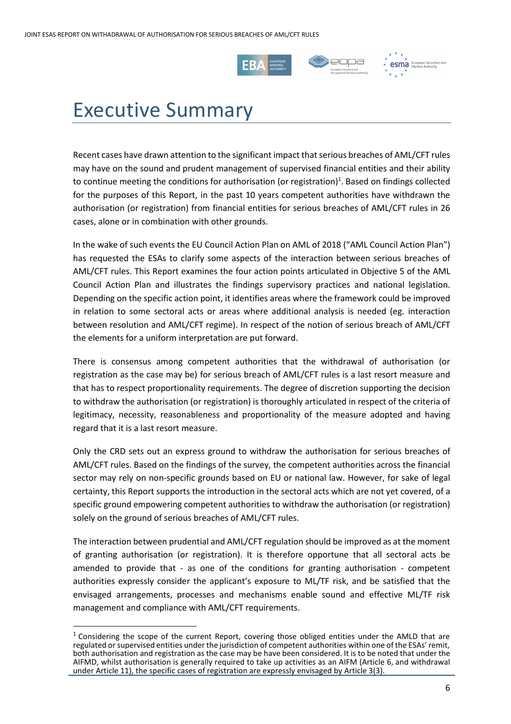



**esma** European Securiti

# Executive Summary

Recent cases have drawn attention to the significant impact that serious breaches of AML/CFT rules may have on the sound and prudent management of supervised financial entities and their ability to continue meeting the conditions for authorisation (or registration)<sup>1</sup>. Based on findings collected for the purposes of this Report, in the past 10 years competent authorities have withdrawn the authorisation (or registration) from financial entities for serious breaches of AML/CFT rules in 26 cases, alone or in combination with other grounds.

In the wake of such events the EU Council Action Plan on AML of 2018 ("AML Council Action Plan") has requested the ESAs to clarify some aspects of the interaction between serious breaches of AML/CFT rules. This Report examines the four action points articulated in Objective 5 of the AML Council Action Plan and illustrates the findings supervisory practices and national legislation. Depending on the specific action point, it identifies areas where the framework could be improved in relation to some sectoral acts or areas where additional analysis is needed (eg. interaction between resolution and AML/CFT regime). In respect of the notion of serious breach of AML/CFT the elements for a uniform interpretation are put forward.

There is consensus among competent authorities that the withdrawal of authorisation (or registration as the case may be) for serious breach of AML/CFT rules is a last resort measure and that has to respect proportionality requirements. The degree of discretion supporting the decision to withdraw the authorisation (or registration) is thoroughly articulated in respect of the criteria of legitimacy, necessity, reasonableness and proportionality of the measure adopted and having regard that it is a last resort measure.

Only the CRD sets out an express ground to withdraw the authorisation for serious breaches of AML/CFT rules. Based on the findings of the survey, the competent authorities across the financial sector may rely on non-specific grounds based on EU or national law. However, for sake of legal certainty, this Report supports the introduction in the sectoral acts which are not yet covered, of a specific ground empowering competent authorities to withdraw the authorisation (or registration) solely on the ground of serious breaches of AML/CFT rules.

The interaction between prudential and AML/CFT regulation should be improved as at the moment of granting authorisation (or registration). It is therefore opportune that all sectoral acts be amended to provide that - as one of the conditions for granting authorisation - competent authorities expressly consider the applicant's exposure to ML/TF risk, and be satisfied that the envisaged arrangements, processes and mechanisms enable sound and effective ML/TF risk management and compliance with AML/CFT requirements.

 $1$  Considering the scope of the current Report, covering those obliged entities under the AMLD that are regulated or supervised entities under the jurisdiction of competent authorities within one of the ESAs' remit, both authorisation and registration as the case may be have been considered. It is to be noted that under the AIFMD, whilst authorisation is generally required to take up activities as an AIFM (Article 6, and withdrawal under Article 11), the specific cases of registration are expressly envisaged by Article 3(3).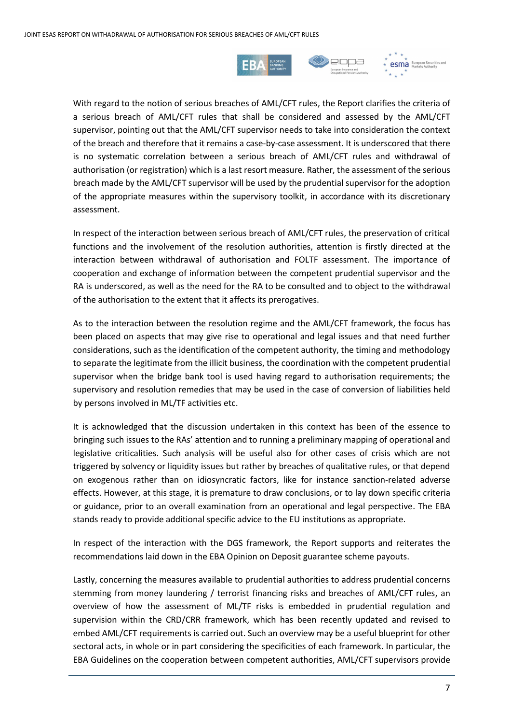



With regard to the notion of serious breaches of AML/CFT rules, the Report clarifies the criteria of a serious breach of AML/CFT rules that shall be considered and assessed by the AML/CFT supervisor, pointing out that the AML/CFT supervisor needs to take into consideration the context of the breach and therefore that it remains a case-by-case assessment. It is underscored that there is no systematic correlation between a serious breach of AML/CFT rules and withdrawal of authorisation (or registration) which is a last resort measure. Rather, the assessment of the serious breach made by the AML/CFT supervisor will be used by the prudential supervisor for the adoption of the appropriate measures within the supervisory toolkit, in accordance with its discretionary assessment.

In respect of the interaction between serious breach of AML/CFT rules, the preservation of critical functions and the involvement of the resolution authorities, attention is firstly directed at the interaction between withdrawal of authorisation and FOLTF assessment. The importance of cooperation and exchange of information between the competent prudential supervisor and the RA is underscored, as well as the need for the RA to be consulted and to object to the withdrawal of the authorisation to the extent that it affects its prerogatives.

As to the interaction between the resolution regime and the AML/CFT framework, the focus has been placed on aspects that may give rise to operational and legal issues and that need further considerations, such as the identification of the competent authority, the timing and methodology to separate the legitimate from the illicit business, the coordination with the competent prudential supervisor when the bridge bank tool is used having regard to authorisation requirements; the supervisory and resolution remedies that may be used in the case of conversion of liabilities held by persons involved in ML/TF activities etc.

It is acknowledged that the discussion undertaken in this context has been of the essence to bringing such issues to the RAs' attention and to running a preliminary mapping of operational and legislative criticalities. Such analysis will be useful also for other cases of crisis which are not triggered by solvency or liquidity issues but rather by breaches of qualitative rules, or that depend on exogenous rather than on idiosyncratic factors, like for instance sanction-related adverse effects. However, at this stage, it is premature to draw conclusions, or to lay down specific criteria or guidance, prior to an overall examination from an operational and legal perspective. The EBA stands ready to provide additional specific advice to the EU institutions as appropriate.

In respect of the interaction with the DGS framework, the Report supports and reiterates the recommendations laid down in the EBA Opinion on Deposit guarantee scheme payouts.

Lastly, concerning the measures available to prudential authorities to address prudential concerns stemming from money laundering / terrorist financing risks and breaches of AML/CFT rules, an overview of how the assessment of ML/TF risks is embedded in prudential regulation and supervision within the CRD/CRR framework, which has been recently updated and revised to embed AML/CFT requirements is carried out. Such an overview may be a useful blueprint for other sectoral acts, in whole or in part considering the specificities of each framework. In particular, the EBA Guidelines on the cooperation between competent authorities, AML/CFT supervisors provide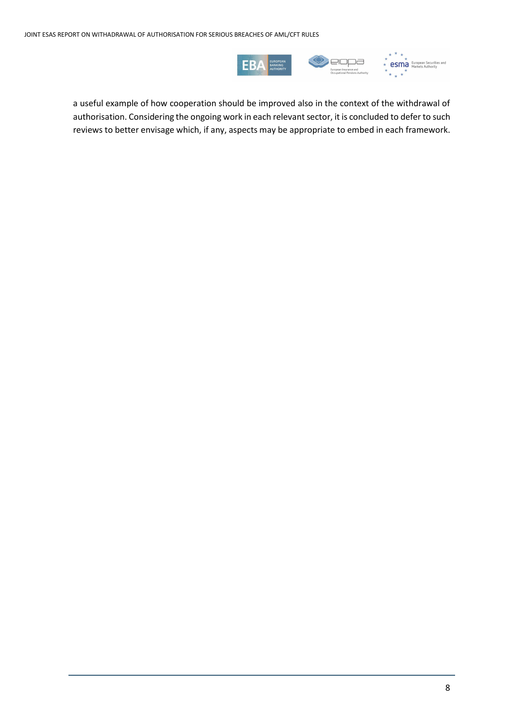

a useful example of how cooperation should be improved also in the context of the withdrawal of authorisation. Considering the ongoing work in each relevant sector, it is concluded to defer to such reviews to better envisage which, if any, aspects may be appropriate to embed in each framework.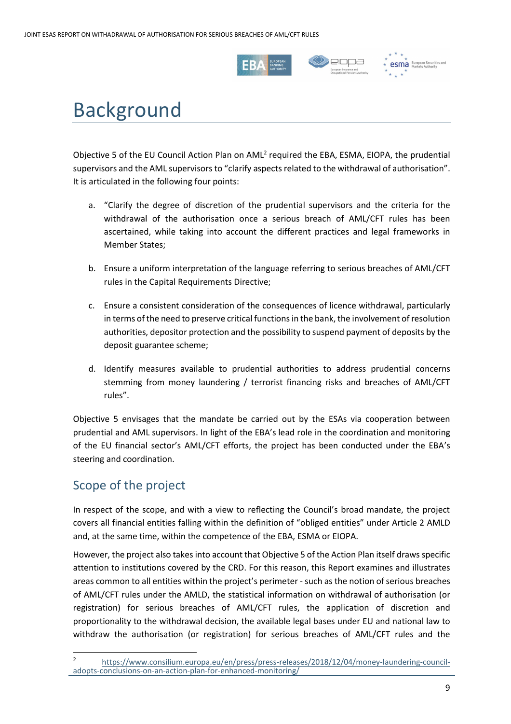



**esma** European Securiti

# Background

Objective 5 of the EU Council Action Plan on AML<sup>2</sup> required the EBA, ESMA, EIOPA, the prudential supervisors and the AML supervisors to "clarify aspects related to the withdrawal of authorisation". It is articulated in the following four points:

- a. "Clarify the degree of discretion of the prudential supervisors and the criteria for the withdrawal of the authorisation once a serious breach of AML/CFT rules has been ascertained, while taking into account the different practices and legal frameworks in Member States;
- b. Ensure a uniform interpretation of the language referring to serious breaches of AML/CFT rules in the Capital Requirements Directive;
- c. Ensure a consistent consideration of the consequences of licence withdrawal, particularly in terms of the need to preserve critical functions in the bank, the involvement of resolution authorities, depositor protection and the possibility to suspend payment of deposits by the deposit guarantee scheme;
- d. Identify measures available to prudential authorities to address prudential concerns stemming from money laundering / terrorist financing risks and breaches of AML/CFT rules".

Objective 5 envisages that the mandate be carried out by the ESAs via cooperation between prudential and AML supervisors. In light of the EBA's lead role in the coordination and monitoring of the EU financial sector's AML/CFT efforts, the project has been conducted under the EBA's steering and coordination.

## Scope of the project

In respect of the scope, and with a view to reflecting the Council's broad mandate, the project covers all financial entities falling within the definition of "obliged entities" under Article 2 AMLD and, at the same time, within the competence of the EBA, ESMA or EIOPA.

However, the project also takesinto account that Objective 5 of the Action Plan itself draws specific attention to institutions covered by the CRD. For this reason, this Report examines and illustrates areas common to all entities within the project's perimeter - such as the notion of serious breaches of AML/CFT rules under the AMLD, the statistical information on withdrawal of authorisation (or registration) for serious breaches of AML/CFT rules, the application of discretion and proportionality to the withdrawal decision, the available legal bases under EU and national law to withdraw the authorisation (or registration) for serious breaches of AML/CFT rules and the

<sup>2</sup> [https://www.consilium.europa.eu/en/press/press-releases/2018/12/04/money-laundering-council](https://www.consilium.europa.eu/en/press/press-releases/2018/12/04/money-laundering-council-adopts-conclusions-on-an-action-plan-for-enhanced-monitoring/)[adopts-conclusions-on-an-action-plan-for-enhanced-monitoring/](https://www.consilium.europa.eu/en/press/press-releases/2018/12/04/money-laundering-council-adopts-conclusions-on-an-action-plan-for-enhanced-monitoring/)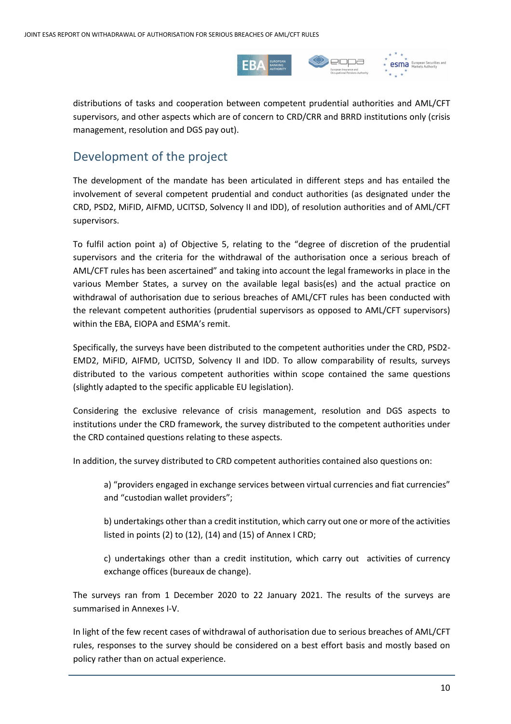

distributions of tasks and cooperation between competent prudential authorities and AML/CFT supervisors, and other aspects which are of concern to CRD/CRR and BRRD institutions only (crisis management, resolution and DGS pay out).

### Development of the project

The development of the mandate has been articulated in different steps and has entailed the involvement of several competent prudential and conduct authorities (as designated under the CRD, PSD2, MiFID, AIFMD, UCITSD, Solvency II and IDD), of resolution authorities and of AML/CFT supervisors.

To fulfil action point a) of Objective 5, relating to the "degree of discretion of the prudential supervisors and the criteria for the withdrawal of the authorisation once a serious breach of AML/CFT rules has been ascertained" and taking into account the legal frameworks in place in the various Member States, a survey on the available legal basis(es) and the actual practice on withdrawal of authorisation due to serious breaches of AML/CFT rules has been conducted with the relevant competent authorities (prudential supervisors as opposed to AML/CFT supervisors) within the EBA, EIOPA and ESMA's remit.

Specifically, the surveys have been distributed to the competent authorities under the CRD, PSD2- EMD2, MiFID, AIFMD, UCITSD, Solvency II and IDD. To allow comparability of results, surveys distributed to the various competent authorities within scope contained the same questions (slightly adapted to the specific applicable EU legislation).

Considering the exclusive relevance of crisis management, resolution and DGS aspects to institutions under the CRD framework, the survey distributed to the competent authorities under the CRD contained questions relating to these aspects.

In addition, the survey distributed to CRD competent authorities contained also questions on:

a) "providers engaged in exchange services between virtual currencies and fiat currencies" and "custodian wallet providers";

b) undertakings other than a credit institution, which carry out one or more of the activities listed in points (2) to (12), (14) and (15) of Annex I CRD;

c) undertakings other than a credit institution, which carry out activities of currency exchange offices (bureaux de change).

The surveys ran from 1 December 2020 to 22 January 2021. The results of the surveys are summarised in Annexes I-V.

In light of the few recent cases of withdrawal of authorisation due to serious breaches of AML/CFT rules, responses to the survey should be considered on a best effort basis and mostly based on policy rather than on actual experience.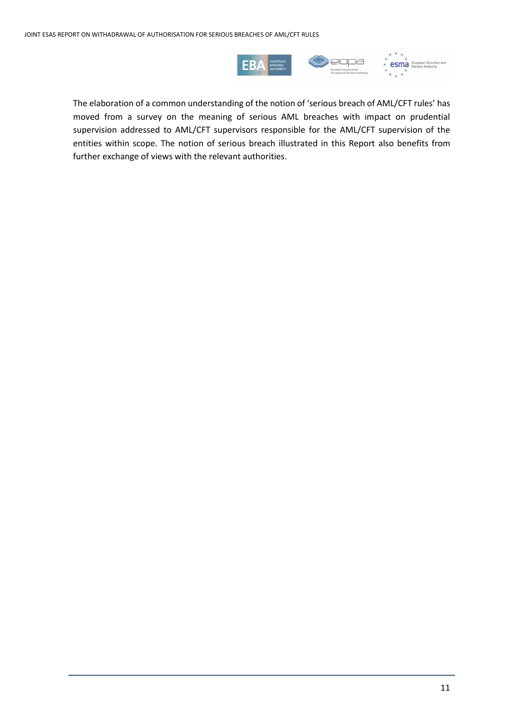

The elaboration of a common understanding of the notion of 'serious breach of AML/CFT rules' has moved from a survey on the meaning of serious AML breaches with impact on prudential supervision addressed to AML/CFT supervisors responsible for the AML/CFT supervision of the entities within scope. The notion of serious breach illustrated in this Report also benefits from further exchange of views with the relevant authorities.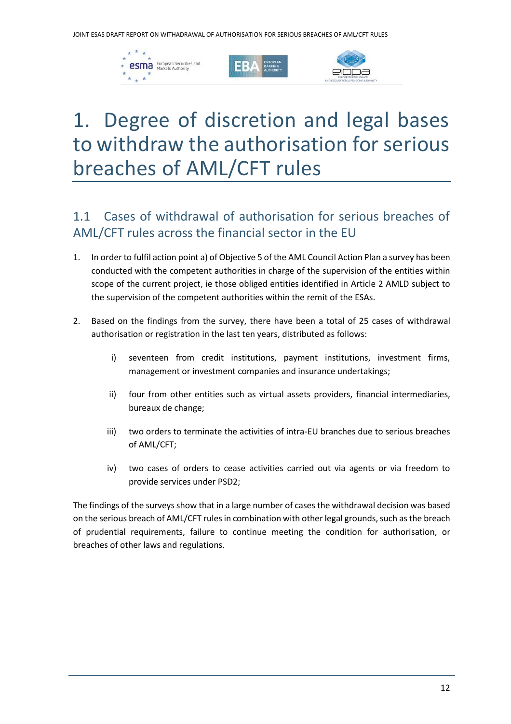





# <span id="page-11-0"></span>1. Degree of discretion and legal bases to withdraw the authorisation for serious breaches of AML/CFT rules

## 1.1 Cases of withdrawal of authorisation for serious breaches of AML/CFT rules across the financial sector in the EU

- 1. In order to fulfil action point a) of Objective 5 of the AML Council Action Plan a survey has been conducted with the competent authorities in charge of the supervision of the entities within scope of the current project, ie those obliged entities identified in Article 2 AMLD subject to the supervision of the competent authorities within the remit of the ESAs.
- 2. Based on the findings from the survey, there have been a total of 25 cases of withdrawal authorisation or registration in the last ten years, distributed as follows:
	- i) seventeen from credit institutions, payment institutions, investment firms, management or investment companies and insurance undertakings;
	- ii) four from other entities such as virtual assets providers, financial intermediaries, bureaux de change;
	- iii) two orders to terminate the activities of intra-EU branches due to serious breaches of AML/CFT;
	- iv) two cases of orders to cease activities carried out via agents or via freedom to provide services under PSD2;

The findings of the surveys show that in a large number of cases the withdrawal decision was based on the serious breach of AML/CFT rules in combination with other legal grounds, such as the breach of prudential requirements, failure to continue meeting the condition for authorisation, or breaches of other laws and regulations.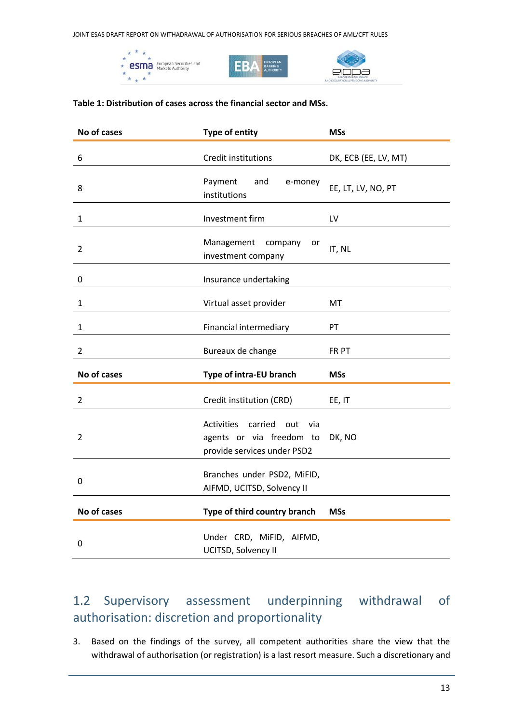JOINT ESAS DRAFT REPORT ON WITHADRAWAL OF AUTHORISATION FOR SERIOUS BREACHES OF AML/CFT RULES







#### **Table 1: Distribution of cases across the financial sector and MSs.**

| No of cases    | <b>Type of entity</b>                                                                                 | <b>MSs</b>           |
|----------------|-------------------------------------------------------------------------------------------------------|----------------------|
| 6              | Credit institutions                                                                                   | DK, ECB (EE, LV, MT) |
| 8              | Payment<br>and<br>e-money<br>institutions                                                             | EE, LT, LV, NO, PT   |
| $\mathbf{1}$   | Investment firm                                                                                       | LV                   |
| 2              | Management<br>company<br>or<br>investment company                                                     | IT, NL               |
| 0              | Insurance undertaking                                                                                 |                      |
| $\mathbf{1}$   | Virtual asset provider                                                                                | MT                   |
| $\mathbf{1}$   | Financial intermediary                                                                                | PT                   |
| $\overline{2}$ | Bureaux de change                                                                                     | FR PT                |
| No of cases    | Type of intra-EU branch                                                                               | <b>MSs</b>           |
| $\overline{2}$ | Credit institution (CRD)                                                                              | EE, IT               |
| $\overline{2}$ | <b>Activities</b><br>carried<br>out<br>via<br>agents or via freedom to<br>provide services under PSD2 | DK, NO               |
| 0              | Branches under PSD2, MiFID,<br>AIFMD, UCITSD, Solvency II                                             |                      |
| No of cases    | Type of third country branch                                                                          | <b>MSs</b>           |
| $\mathbf 0$    | Under CRD, MiFID, AIFMD,<br>UCITSD, Solvency II                                                       |                      |

## 1.2 Supervisory assessment underpinning withdrawal of authorisation: discretion and proportionality

3. Based on the findings of the survey, all competent authorities share the view that the withdrawal of authorisation (or registration) is a last resort measure. Such a discretionary and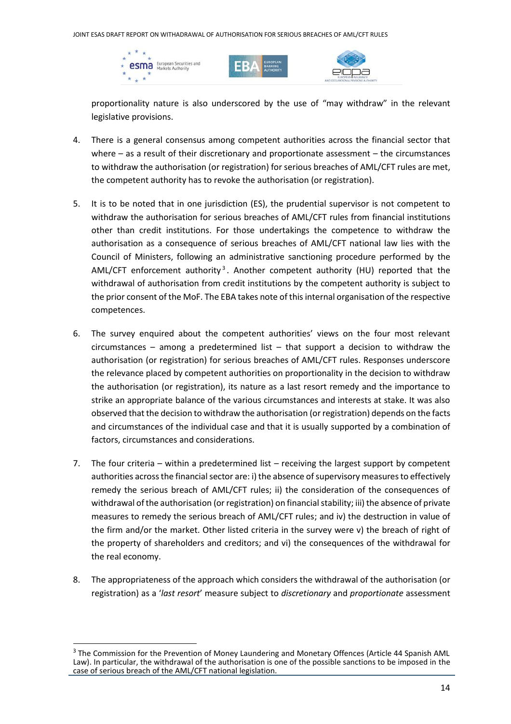





proportionality nature is also underscored by the use of "may withdraw" in the relevant legislative provisions.

- 4. There is a general consensus among competent authorities across the financial sector that where – as a result of their discretionary and proportionate assessment – the circumstances to withdraw the authorisation (or registration) for serious breaches of AML/CFT rules are met, the competent authority has to revoke the authorisation (or registration).
- 5. It is to be noted that in one jurisdiction (ES), the prudential supervisor is not competent to withdraw the authorisation for serious breaches of AML/CFT rules from financial institutions other than credit institutions. For those undertakings the competence to withdraw the authorisation as a consequence of serious breaches of AML/CFT national law lies with the Council of Ministers, following an administrative sanctioning procedure performed by the AML/CFT enforcement authority<sup>3</sup>. Another competent authority (HU) reported that the withdrawal of authorisation from credit institutions by the competent authority is subject to the prior consent of the MoF. The EBA takes note of this internal organisation of the respective competences.
- 6. The survey enquired about the competent authorities' views on the four most relevant  $circ$  – among a predetermined list – that support a decision to withdraw the authorisation (or registration) for serious breaches of AML/CFT rules. Responses underscore the relevance placed by competent authorities on proportionality in the decision to withdraw the authorisation (or registration), its nature as a last resort remedy and the importance to strike an appropriate balance of the various circumstances and interests at stake. It was also observed that the decision to withdraw the authorisation (or registration) depends on the facts and circumstances of the individual case and that it is usually supported by a combination of factors, circumstances and considerations.
- 7. The four criteria within a predetermined list receiving the largest support by competent authorities across the financial sector are: i) the absence of supervisory measures to effectively remedy the serious breach of AML/CFT rules; ii) the consideration of the consequences of withdrawal of the authorisation (or registration) on financial stability; iii) the absence of private measures to remedy the serious breach of AML/CFT rules; and iv) the destruction in value of the firm and/or the market. Other listed criteria in the survey were v) the breach of right of the property of shareholders and creditors; and vi) the consequences of the withdrawal for the real economy.
- 8. The appropriateness of the approach which considers the withdrawal of the authorisation (or registration) as a '*last resort*' measure subject to *discretionary* and *proportionate* assessment

<sup>&</sup>lt;sup>3</sup> The Commission for the Prevention of Money Laundering and Monetary Offences (Article 44 Spanish AML Law). In particular, the withdrawal of the authorisation is one of the possible sanctions to be imposed in the case of serious breach of the AML/CFT national legislation.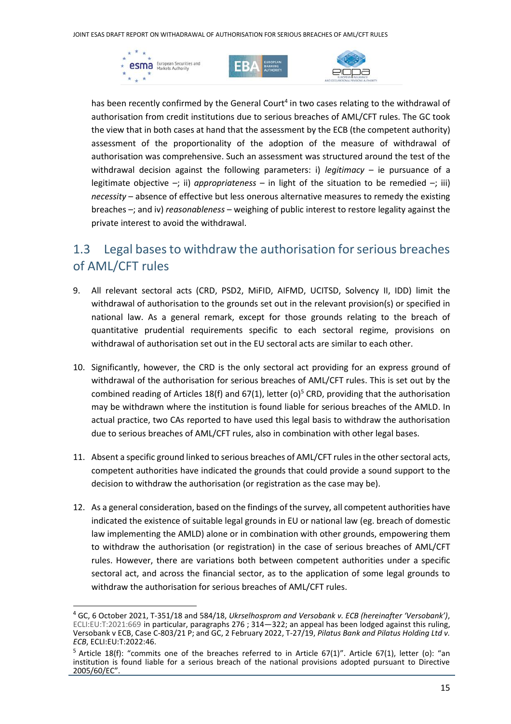





has been recently confirmed by the General Court<sup>4</sup> in two cases relating to the withdrawal of authorisation from credit institutions due to serious breaches of AML/CFT rules. The GC took the view that in both cases at hand that the assessment by the ECB (the competent authority) assessment of the proportionality of the adoption of the measure of withdrawal of authorisation was comprehensive. Such an assessment was structured around the test of the withdrawal decision against the following parameters: i) *legitimacy* – ie pursuance of a legitimate objective  $-$ ; ii) *appropriateness* – in light of the situation to be remedied  $-$ ; iii) *necessity* – absence of effective but less onerous alternative measures to remedy the existing breaches –; and iv) *reasonableness* – weighing of public interest to restore legality against the private interest to avoid the withdrawal.

## 1.3 Legal bases to withdraw the authorisation for serious breaches of AML/CFT rules

- 9. All relevant sectoral acts (CRD, PSD2, MiFID, AIFMD, UCITSD, Solvency II, IDD) limit the withdrawal of authorisation to the grounds set out in the relevant provision(s) or specified in national law. As a general remark, except for those grounds relating to the breach of quantitative prudential requirements specific to each sectoral regime, provisions on withdrawal of authorisation set out in the EU sectoral acts are similar to each other.
- 10. Significantly, however, the CRD is the only sectoral act providing for an express ground of withdrawal of the authorisation for serious breaches of AML/CFT rules. This is set out by the combined reading of Articles 18(f) and 67(1), letter (o)<sup>5</sup> CRD, providing that the authorisation may be withdrawn where the institution is found liable for serious breaches of the AMLD. In actual practice, two CAs reported to have used this legal basis to withdraw the authorisation due to serious breaches of AML/CFT rules, also in combination with other legal bases.
- 11. Absent a specific ground linked to serious breaches of AML/CFT rules in the other sectoral acts, competent authorities have indicated the grounds that could provide a sound support to the decision to withdraw the authorisation (or registration as the case may be).
- 12. As a general consideration, based on the findings of the survey, all competent authorities have indicated the existence of suitable legal grounds in EU or national law (eg. breach of domestic law implementing the AMLD) alone or in combination with other grounds, empowering them to withdraw the authorisation (or registration) in the case of serious breaches of AML/CFT rules. However, there are variations both between competent authorities under a specific sectoral act, and across the financial sector, as to the application of some legal grounds to withdraw the authorisation for serious breaches of AML/CFT rules.

<sup>4</sup> GC, 6 October 2021, T-351/18 and 584/18, *Ukrselhosprom and Versobank v. ECB (hereinafter 'Versobank')*, ECLI:EU:T:2021:669 in particular, paragraphs 276 ; 314—322; an appeal has been lodged against this ruling, Versobank v ECB, Case C-803/21 P; and GC, 2 February 2022, T-27/19, *Pilatus Bank and Pilatus Holding Ltd v. ECB*, ECLI:EU:T:2022:46.

 $5$  Article 18(f): "commits one of the breaches referred to in Article 67(1)". Article 67(1), letter (o): "an institution is found liable for a serious breach of the national provisions adopted pursuant to Directive 2005/60/EC".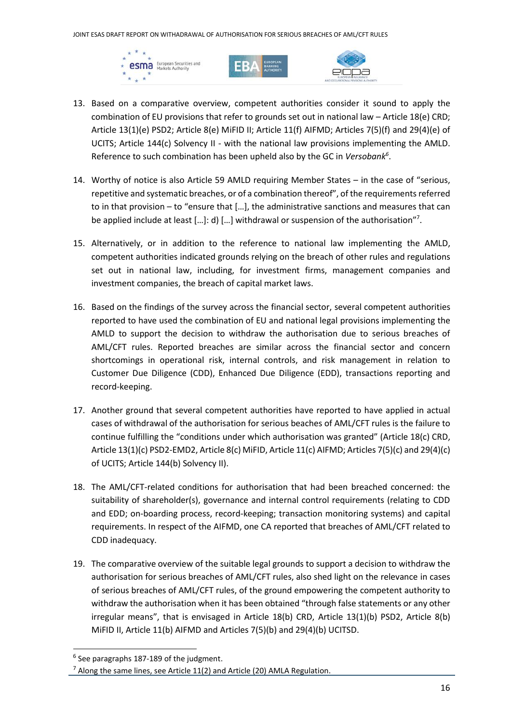





- 13. Based on a comparative overview, competent authorities consider it sound to apply the combination of EU provisions that refer to grounds set out in national law – Article 18(e) CRD; Article 13(1)(e) PSD2; Article 8(e) MiFID II; Article 11(f) AIFMD; Articles 7(5)(f) and 29(4)(e) of UCITS; Article 144(c) Solvency II - with the national law provisions implementing the AMLD. Reference to such combination has been upheld also by the GC in *Versobank<sup>6</sup>* .
- 14. Worthy of notice is also Article 59 AMLD requiring Member States in the case of "serious, repetitive and systematic breaches, or of a combination thereof", of the requirements referred to in that provision – to "ensure that […], the administrative sanctions and measures that can be applied include at least [...]: d) [...] withdrawal or suspension of the authorisation"<sup>7</sup>.
- 15. Alternatively, or in addition to the reference to national law implementing the AMLD, competent authorities indicated grounds relying on the breach of other rules and regulations set out in national law, including, for investment firms, management companies and investment companies, the breach of capital market laws.
- 16. Based on the findings of the survey across the financial sector, several competent authorities reported to have used the combination of EU and national legal provisions implementing the AMLD to support the decision to withdraw the authorisation due to serious breaches of AML/CFT rules. Reported breaches are similar across the financial sector and concern shortcomings in operational risk, internal controls, and risk management in relation to Customer Due Diligence (CDD), Enhanced Due Diligence (EDD), transactions reporting and record-keeping.
- 17. Another ground that several competent authorities have reported to have applied in actual cases of withdrawal of the authorisation for serious beaches of AML/CFT rules is the failure to continue fulfilling the "conditions under which authorisation was granted" (Article 18(c) CRD, Article 13(1)(c) PSD2-EMD2, Article 8(c) MiFID, Article 11(c) AIFMD; Articles 7(5)(c) and 29(4)(c) of UCITS; Article 144(b) Solvency II).
- 18. The AML/CFT-related conditions for authorisation that had been breached concerned: the suitability of shareholder(s), governance and internal control requirements (relating to CDD and EDD; on-boarding process, record-keeping; transaction monitoring systems) and capital requirements. In respect of the AIFMD, one CA reported that breaches of AML/CFT related to CDD inadequacy.
- 19. The comparative overview of the suitable legal grounds to support a decision to withdraw the authorisation for serious breaches of AML/CFT rules, also shed light on the relevance in cases of serious breaches of AML/CFT rules, of the ground empowering the competent authority to withdraw the authorisation when it has been obtained "through false statements or any other irregular means", that is envisaged in Article 18(b) CRD, Article 13(1)(b) PSD2, Article 8(b) MiFID II, Article 11(b) AIFMD and Articles 7(5)(b) and 29(4)(b) UCITSD.

 $6$  See paragraphs 187-189 of the judgment.

 $7$  Along the same lines, see Article 11(2) and Article (20) AMLA Regulation.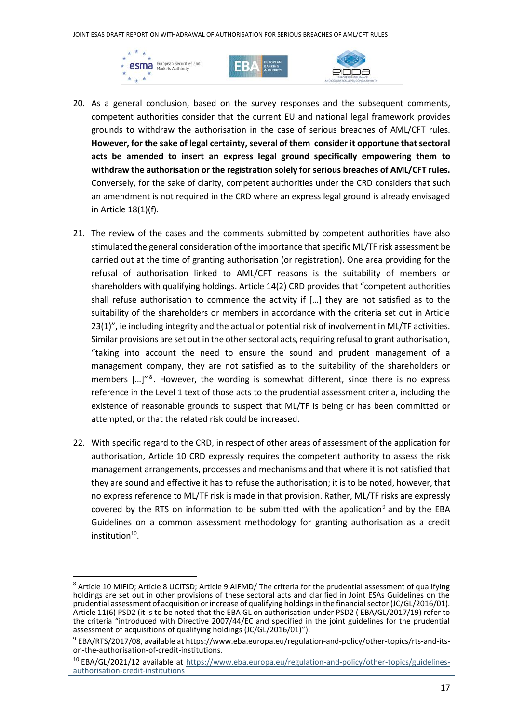JOINT ESAS DRAFT REPORT ON WITHADRAWAL OF AUTHORISATION FOR SERIOUS BREACHES OF AML/CFT RULES







- 20. As a general conclusion, based on the survey responses and the subsequent comments, competent authorities consider that the current EU and national legal framework provides grounds to withdraw the authorisation in the case of serious breaches of AML/CFT rules. However, for the sake of legal certainty, several of them consider it opportune that sectoral **acts be amended to insert an express legal ground specifically empowering them to withdraw the authorisation or the registration solely for serious breaches of AML/CFT rules.** Conversely, for the sake of clarity, competent authorities under the CRD considers that such an amendment is not required in the CRD where an express legal ground is already envisaged in Article 18(1)(f).
- 21. The review of the cases and the comments submitted by competent authorities have also stimulated the general consideration of the importance that specific ML/TF risk assessment be carried out at the time of granting authorisation (or registration). One area providing for the refusal of authorisation linked to AML/CFT reasons is the suitability of members or shareholders with qualifying holdings. Article 14(2) CRD provides that "competent authorities shall refuse authorisation to commence the activity if […] they are not satisfied as to the suitability of the shareholders or members in accordance with the criteria set out in Article 23(1)", ie including integrity and the actual or potential risk of involvement in ML/TF activities. Similar provisions are set out in the other sectoral acts, requiring refusal to grant authorisation, "taking into account the need to ensure the sound and prudent management of a management company, they are not satisfied as to the suitability of the shareholders or members [...]"<sup>8</sup>. However, the wording is somewhat different, since there is no express reference in the Level 1 text of those acts to the prudential assessment criteria, including the existence of reasonable grounds to suspect that ML/TF is being or has been committed or attempted, or that the related risk could be increased.
- 22. With specific regard to the CRD, in respect of other areas of assessment of the application for authorisation, Article 10 CRD expressly requires the competent authority to assess the risk management arrangements, processes and mechanisms and that where it is not satisfied that they are sound and effective it has to refuse the authorisation; it is to be noted, however, that no express reference to ML/TF risk is made in that provision. Rather, ML/TF risks are expressly covered by the RTS on information to be submitted with the application<sup>9</sup> and by the EBA Guidelines on a common assessment methodology for granting authorisation as a credit institution<sup>10</sup>.

<sup>&</sup>lt;sup>8</sup> Article 10 MIFID; Article 8 UCITSD; Article 9 AIFMD/ The criteria for the prudential assessment of qualifying holdings are set out in other provisions of these sectoral acts and clarified in Joint ESAs Guidelines on the prudential assessment of acquisition or increase of qualifying holdings in the financial sector (JC/GL/2016/01). Article 11(6) PSD2 (it is to be noted that the EBA GL on authorisation under PSD2 ( EBA/GL/2017/19) refer to the criteria "introduced with Directive 2007/44/EC and specified in the joint guidelines for the prudential assessment of acquisitions of qualifying holdings (JC/GL/2016/01)").

<sup>9</sup> EBA/RTS/2017/08, available at https://www.eba.europa.eu/regulation-and-policy/other-topics/rts-and-itson-the-authorisation-of-credit-institutions.

<sup>&</sup>lt;sup>10</sup> EBA/GL/2021/12 available at [https://www.eba.europa.eu/regulation-and-policy/other-topics/guidelines](https://www.eba.europa.eu/regulation-and-policy/other-topics/guidelines-authorisation-credit-institutions)[authorisation-credit-institutions](https://www.eba.europa.eu/regulation-and-policy/other-topics/guidelines-authorisation-credit-institutions)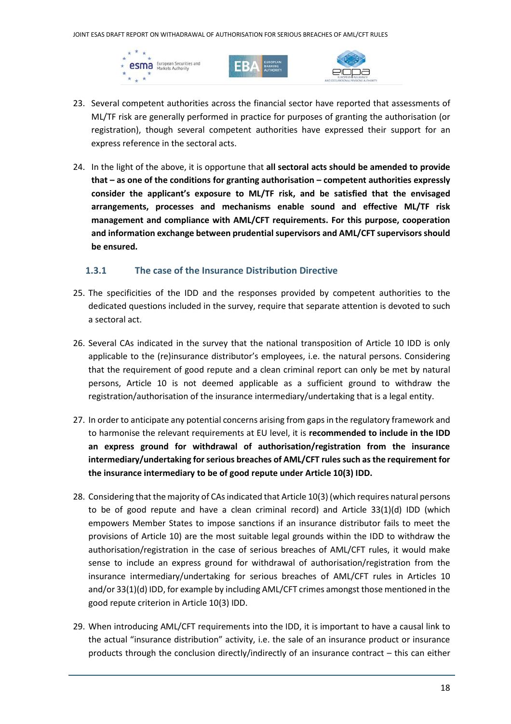





- 23. Several competent authorities across the financial sector have reported that assessments of ML/TF risk are generally performed in practice for purposes of granting the authorisation (or registration), though several competent authorities have expressed their support for an express reference in the sectoral acts.
- 24. In the light of the above, it is opportune that **all sectoral acts should be amended to provide that – as one of the conditions for granting authorisation – competent authorities expressly consider the applicant's exposure to ML/TF risk, and be satisfied that the envisaged arrangements, processes and mechanisms enable sound and effective ML/TF risk management and compliance with AML/CFT requirements. For this purpose, cooperation and information exchange between prudential supervisors and AML/CFT supervisors should be ensured.**

#### **1.3.1 The case of the Insurance Distribution Directive**

- 25. The specificities of the IDD and the responses provided by competent authorities to the dedicated questions included in the survey, require that separate attention is devoted to such a sectoral act.
- 26. Several CAs indicated in the survey that the national transposition of Article 10 IDD is only applicable to the (re)insurance distributor's employees, i.e. the natural persons. Considering that the requirement of good repute and a clean criminal report can only be met by natural persons, Article 10 is not deemed applicable as a sufficient ground to withdraw the registration/authorisation of the insurance intermediary/undertaking that is a legal entity.
- 27. In order to anticipate any potential concerns arising from gaps in the regulatory framework and to harmonise the relevant requirements at EU level, it is **recommended to include in the IDD an express ground for withdrawal of authorisation/registration from the insurance intermediary/undertaking for serious breaches of AML/CFT rules such as the requirement for the insurance intermediary to be of good repute under Article 10(3) IDD.**
- 28. Considering that the majority of CAs indicated that Article 10(3) (which requires natural persons to be of good repute and have a clean criminal record) and Article  $33(1)(d)$  IDD (which empowers Member States to impose sanctions if an insurance distributor fails to meet the provisions of Article 10) are the most suitable legal grounds within the IDD to withdraw the authorisation/registration in the case of serious breaches of AML/CFT rules, it would make sense to include an express ground for withdrawal of authorisation/registration from the insurance intermediary/undertaking for serious breaches of AML/CFT rules in Articles 10 and/or 33(1)(d) IDD, for example by including AML/CFT crimes amongst those mentioned in the good repute criterion in Article 10(3) IDD.
- 29. When introducing AML/CFT requirements into the IDD, it is important to have a causal link to the actual "insurance distribution" activity, i.e. the sale of an insurance product or insurance products through the conclusion directly/indirectly of an insurance contract – this can either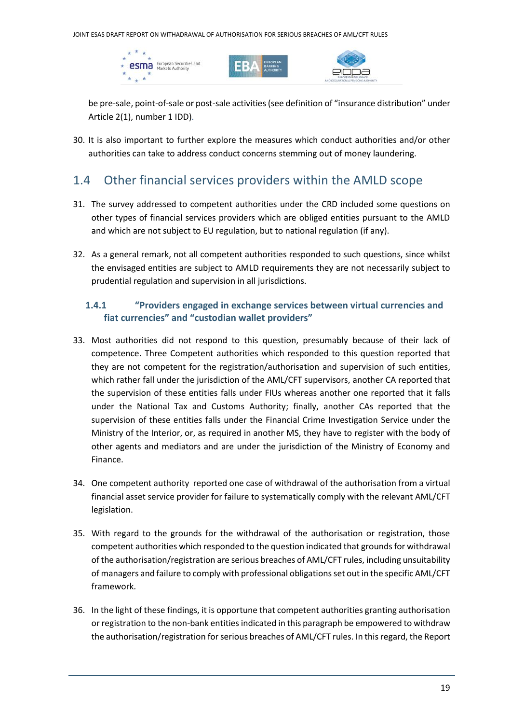JOINT ESAS DRAFT REPORT ON WITHADRAWAL OF AUTHORISATION FOR SERIOUS BREACHES OF AML/CFT RULES







be pre-sale, point-of-sale or post-sale activities (see definition of "insurance distribution" under Article 2(1), number 1 IDD).

30. It is also important to further explore the measures which conduct authorities and/or other authorities can take to address conduct concerns stemming out of money laundering.

### 1.4 Other financial services providers within the AMLD scope

- 31. The survey addressed to competent authorities under the CRD included some questions on other types of financial services providers which are obliged entities pursuant to the AMLD and which are not subject to EU regulation, but to national regulation (if any).
- 32. As a general remark, not all competent authorities responded to such questions, since whilst the envisaged entities are subject to AMLD requirements they are not necessarily subject to prudential regulation and supervision in all jurisdictions.

#### **1.4.1 "Providers engaged in exchange services between virtual currencies and fiat currencies" and "custodian wallet providers"**

- 33. Most authorities did not respond to this question, presumably because of their lack of competence. Three Competent authorities which responded to this question reported that they are not competent for the registration/authorisation and supervision of such entities, which rather fall under the jurisdiction of the AML/CFT supervisors, another CA reported that the supervision of these entities falls under FIUs whereas another one reported that it falls under the National Tax and Customs Authority; finally, another CAs reported that the supervision of these entities falls under the Financial Crime Investigation Service under the Ministry of the Interior, or, as required in another MS, they have to register with the body of other agents and mediators and are under the jurisdiction of the Ministry of Economy and Finance.
- 34. One competent authority reported one case of withdrawal of the authorisation from a virtual financial asset service provider for failure to systematically comply with the relevant AML/CFT legislation.
- 35. With regard to the grounds for the withdrawal of the authorisation or registration, those competent authorities which responded to the question indicated that grounds for withdrawal of the authorisation/registration are serious breaches of AML/CFT rules, including unsuitability of managers and failure to comply with professional obligations set out in the specific AML/CFT framework.
- 36. In the light of these findings, it is opportune that competent authorities granting authorisation or registration to the non-bank entities indicated in this paragraph be empowered to withdraw the authorisation/registration for serious breaches of AML/CFT rules. In this regard, the Report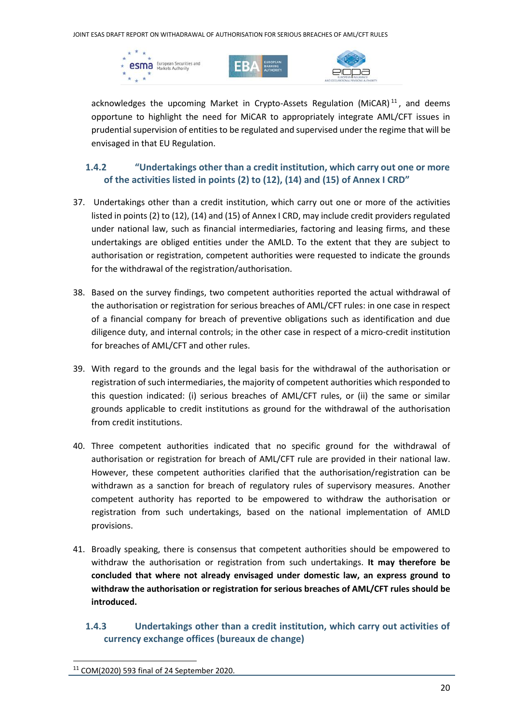





acknowledges the upcoming Market in Crypto-Assets Regulation (MiCAR)<sup>11</sup>, and deems opportune to highlight the need for MiCAR to appropriately integrate AML/CFT issues in prudential supervision of entities to be regulated and supervised under the regime that will be envisaged in that EU Regulation.

#### **1.4.2 "Undertakings other than a credit institution, which carry out one or more of the activities listed in points (2) to (12), (14) and (15) of Annex I CRD"**

- 37. Undertakings other than a credit institution, which carry out one or more of the activities listed in points (2) to (12), (14) and (15) of Annex I CRD, may include credit providers regulated under national law, such as financial intermediaries, factoring and leasing firms, and these undertakings are obliged entities under the AMLD. To the extent that they are subject to authorisation or registration, competent authorities were requested to indicate the grounds for the withdrawal of the registration/authorisation.
- 38. Based on the survey findings, two competent authorities reported the actual withdrawal of the authorisation or registration for serious breaches of AML/CFT rules: in one case in respect of a financial company for breach of preventive obligations such as identification and due diligence duty, and internal controls; in the other case in respect of a micro-credit institution for breaches of AML/CFT and other rules.
- 39. With regard to the grounds and the legal basis for the withdrawal of the authorisation or registration of such intermediaries, the majority of competent authorities which responded to this question indicated: (i) serious breaches of AML/CFT rules, or (ii) the same or similar grounds applicable to credit institutions as ground for the withdrawal of the authorisation from credit institutions.
- 40. Three competent authorities indicated that no specific ground for the withdrawal of authorisation or registration for breach of AML/CFT rule are provided in their national law. However, these competent authorities clarified that the authorisation/registration can be withdrawn as a sanction for breach of regulatory rules of supervisory measures. Another competent authority has reported to be empowered to withdraw the authorisation or registration from such undertakings, based on the national implementation of AMLD provisions.
- 41. Broadly speaking, there is consensus that competent authorities should be empowered to withdraw the authorisation or registration from such undertakings. **It may therefore be concluded that where not already envisaged under domestic law, an express ground to withdraw the authorisation or registration for serious breaches of AML/CFT rules should be introduced.**
	- **1.4.3 Undertakings other than a credit institution, which carry out activities of currency exchange offices (bureaux de change)**

<sup>11</sup> COM(2020) 593 final of 24 September 2020.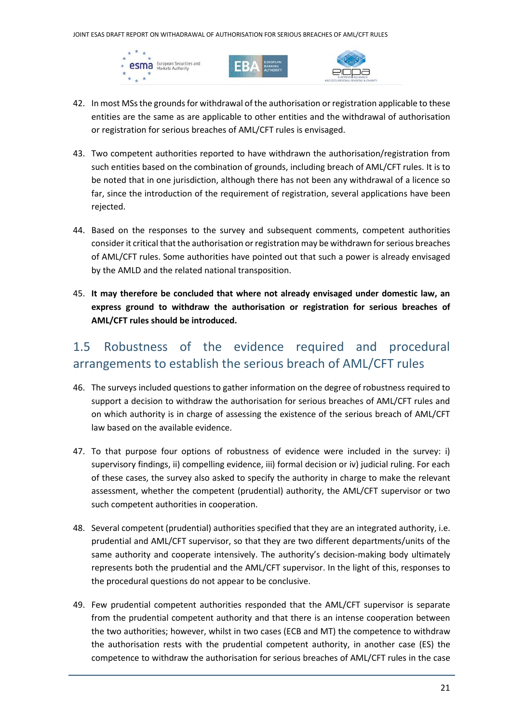





- 42. In most MSs the grounds for withdrawal of the authorisation or registration applicable to these entities are the same as are applicable to other entities and the withdrawal of authorisation or registration for serious breaches of AML/CFT rules is envisaged.
- 43. Two competent authorities reported to have withdrawn the authorisation/registration from such entities based on the combination of grounds, including breach of AML/CFT rules. It is to be noted that in one jurisdiction, although there has not been any withdrawal of a licence so far, since the introduction of the requirement of registration, several applications have been rejected.
- 44. Based on the responses to the survey and subsequent comments, competent authorities consider it critical that the authorisation or registration may be withdrawn for serious breaches of AML/CFT rules. Some authorities have pointed out that such a power is already envisaged by the AMLD and the related national transposition.
- 45. **It may therefore be concluded that where not already envisaged under domestic law, an express ground to withdraw the authorisation or registration for serious breaches of AML/CFT rules should be introduced.**

## 1.5 Robustness of the evidence required and procedural arrangements to establish the serious breach of AML/CFT rules

- 46. The surveys included questions to gather information on the degree of robustness required to support a decision to withdraw the authorisation for serious breaches of AML/CFT rules and on which authority is in charge of assessing the existence of the serious breach of AML/CFT law based on the available evidence.
- 47. To that purpose four options of robustness of evidence were included in the survey: i) supervisory findings, ii) compelling evidence, iii) formal decision or iv) judicial ruling. For each of these cases, the survey also asked to specify the authority in charge to make the relevant assessment, whether the competent (prudential) authority, the AML/CFT supervisor or two such competent authorities in cooperation.
- 48. Several competent (prudential) authorities specified that they are an integrated authority, i.e. prudential and AML/CFT supervisor, so that they are two different departments/units of the same authority and cooperate intensively. The authority's decision-making body ultimately represents both the prudential and the AML/CFT supervisor. In the light of this, responses to the procedural questions do not appear to be conclusive.
- 49. Few prudential competent authorities responded that the AML/CFT supervisor is separate from the prudential competent authority and that there is an intense cooperation between the two authorities; however, whilst in two cases (ECB and MT) the competence to withdraw the authorisation rests with the prudential competent authority, in another case (ES) the competence to withdraw the authorisation for serious breaches of AML/CFT rules in the case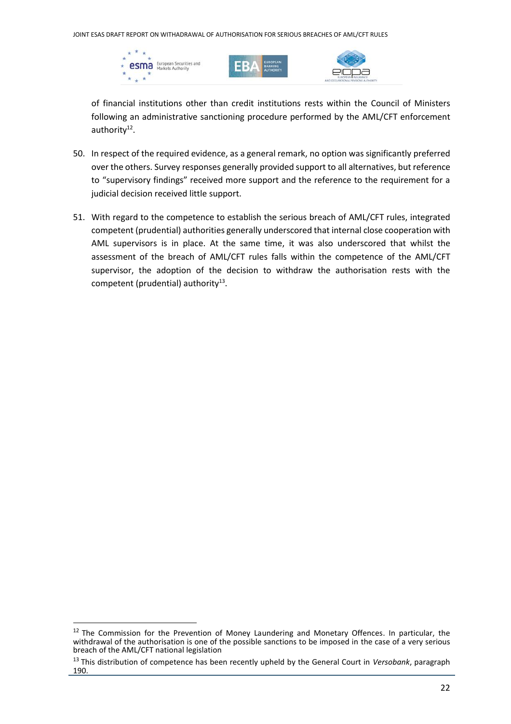





of financial institutions other than credit institutions rests within the Council of Ministers following an administrative sanctioning procedure performed by the AML/CFT enforcement authority<sup>12</sup>.

- 50. In respect of the required evidence, as a general remark, no option was significantly preferred over the others. Survey responses generally provided support to all alternatives, but reference to "supervisory findings" received more support and the reference to the requirement for a judicial decision received little support.
- 51. With regard to the competence to establish the serious breach of AML/CFT rules, integrated competent (prudential) authorities generally underscored that internal close cooperation with AML supervisors is in place. At the same time, it was also underscored that whilst the assessment of the breach of AML/CFT rules falls within the competence of the AML/CFT supervisor, the adoption of the decision to withdraw the authorisation rests with the competent (prudential) authority $^{13}$ .

<sup>&</sup>lt;sup>12</sup> The Commission for the Prevention of Money Laundering and Monetary Offences. In particular, the withdrawal of the authorisation is one of the possible sanctions to be imposed in the case of a very serious breach of the AML/CFT national legislation

<sup>13</sup> This distribution of competence has been recently upheld by the General Court in *Versobank*, paragraph 190.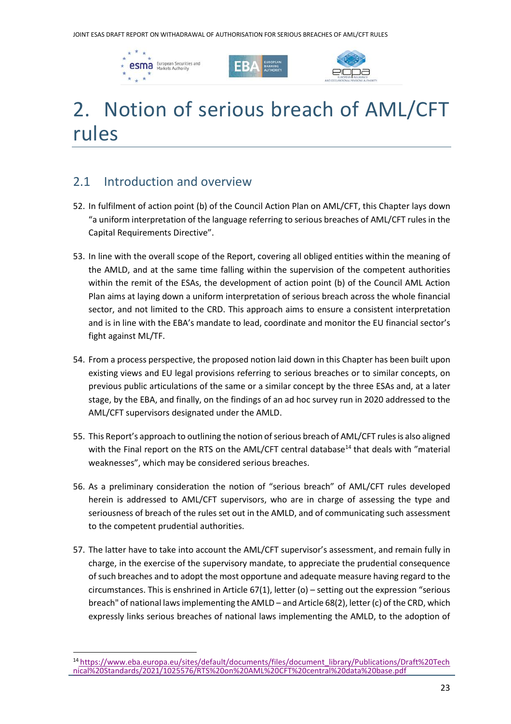





# 2. Notion of serious breach of AML/CFT rules

## 2.1 Introduction and overview

- 52. In fulfilment of action point (b) of the Council Action Plan on AML/CFT, this Chapter lays down "a uniform interpretation of the language referring to serious breaches of AML/CFT rules in the Capital Requirements Directive".
- 53. In line with the overall scope of the Report, covering all obliged entities within the meaning of the AMLD, and at the same time falling within the supervision of the competent authorities within the remit of the ESAs, the development of action point (b) of the Council AML Action Plan aims at laying down a uniform interpretation of serious breach across the whole financial sector, and not limited to the CRD. This approach aims to ensure a consistent interpretation and is in line with the EBA's mandate to lead, coordinate and monitor the EU financial sector's fight against ML/TF.
- 54. From a process perspective, the proposed notion laid down in this Chapter has been built upon existing views and EU legal provisions referring to serious breaches or to similar concepts, on previous public articulations of the same or a similar concept by the three ESAs and, at a later stage, by the EBA, and finally, on the findings of an ad hoc survey run in 2020 addressed to the AML/CFT supervisors designated under the AMLD.
- 55. This Report's approach to outlining the notion of serious breach of AML/CFT rules is also aligned with the Final report on the RTS on the AML/CFT central database<sup>14</sup> that deals with "material weaknesses", which may be considered serious breaches.
- 56. As a preliminary consideration the notion of "serious breach" of AML/CFT rules developed herein is addressed to AML/CFT supervisors, who are in charge of assessing the type and seriousness of breach of the rules set out in the AMLD, and of communicating such assessment to the competent prudential authorities.
- 57. The latter have to take into account the AML/CFT supervisor's assessment, and remain fully in charge, in the exercise of the supervisory mandate, to appreciate the prudential consequence of such breaches and to adopt the most opportune and adequate measure having regard to the circumstances. This is enshrined in Article 67(1), letter (o) – setting out the expression "serious breach" of national laws implementing the AMLD – and Article 68(2), letter (c) of the CRD, which expressly links serious breaches of national laws implementing the AMLD, to the adoption of

<sup>&</sup>lt;sup>14</sup> [https://www.eba.europa.eu/sites/default/documents/files/document\\_library/Publications/Draft%20Tech](https://www.eba.europa.eu/sites/default/documents/files/document_library/Publications/Draft%20Technical%20Standards/2021/1025576/RTS%20on%20AML%20CFT%20central%20data%20base.pdf) [nical%20Standards/2021/1025576/RTS%20on%20AML%20CFT%20central%20data%20base.pdf](https://www.eba.europa.eu/sites/default/documents/files/document_library/Publications/Draft%20Technical%20Standards/2021/1025576/RTS%20on%20AML%20CFT%20central%20data%20base.pdf)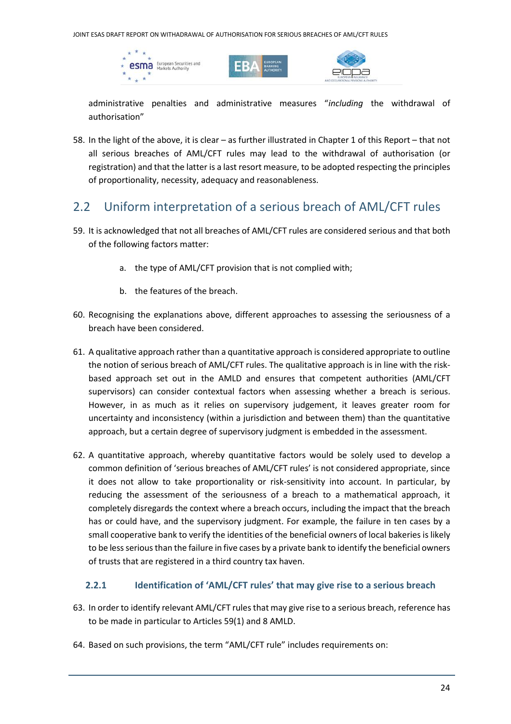





administrative penalties and administrative measures "*including* the withdrawal of authorisation"

58. In the light of the above, it is clear – as further illustrated in Chapter [1](#page-11-0) of this Report – that not all serious breaches of AML/CFT rules may lead to the withdrawal of authorisation (or registration) and that the latter is a last resort measure, to be adopted respecting the principles of proportionality, necessity, adequacy and reasonableness.

### 2.2 Uniform interpretation of a serious breach of AML/CFT rules

- 59. It is acknowledged that not all breaches of AML/CFT rules are considered serious and that both of the following factors matter:
	- a. the type of AML/CFT provision that is not complied with;
	- b. the features of the breach.
- 60. Recognising the explanations above, different approaches to assessing the seriousness of a breach have been considered.
- 61. A qualitative approach rather than a quantitative approach is considered appropriate to outline the notion of serious breach of AML/CFT rules. The qualitative approach is in line with the riskbased approach set out in the AMLD and ensures that competent authorities (AML/CFT supervisors) can consider contextual factors when assessing whether a breach is serious. However, in as much as it relies on supervisory judgement, it leaves greater room for uncertainty and inconsistency (within a jurisdiction and between them) than the quantitative approach, but a certain degree of supervisory judgment is embedded in the assessment.
- 62. A quantitative approach, whereby quantitative factors would be solely used to develop a common definition of 'serious breaches of AML/CFT rules' is not considered appropriate, since it does not allow to take proportionality or risk-sensitivity into account. In particular, by reducing the assessment of the seriousness of a breach to a mathematical approach, it completely disregards the context where a breach occurs, including the impact that the breach has or could have, and the supervisory judgment. For example, the failure in ten cases by a small cooperative bank to verify the identities of the beneficial owners of local bakeries is likely to be less serious than the failure in five cases by a private bank to identify the beneficial owners of trusts that are registered in a third country tax haven.

#### **2.2.1 Identification of 'AML/CFT rules' that may give rise to a serious breach**

- 63. In order to identify relevant AML/CFT rules that may give rise to a serious breach, reference has to be made in particular to Articles 59(1) and 8 AMLD.
- 64. Based on such provisions, the term "AML/CFT rule" includes requirements on: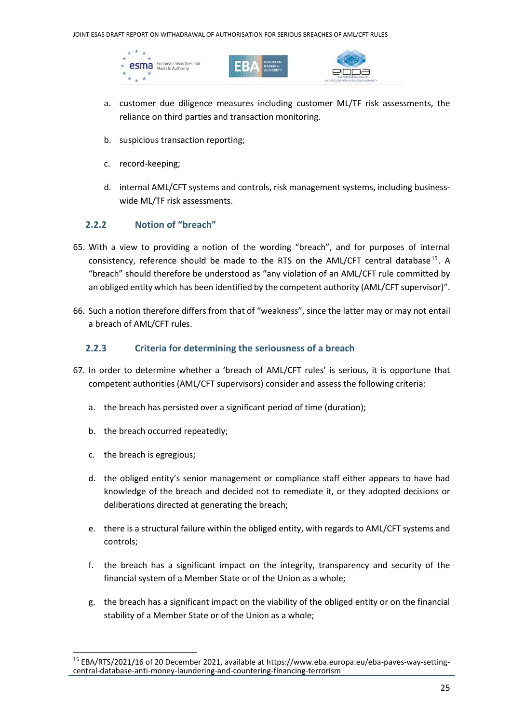





- a. customer due diligence measures including customer ML/TF risk assessments, the reliance on third parties and transaction monitoring.
- b. suspicious transaction reporting;
- c. record-keeping;
- d. internal AML/CFT systems and controls, risk management systems, including business‐ wide ML/TF risk assessments.

#### **2.2.2 Notion of "breach"**

- 65. With a view to providing a notion of the wording "breach", and for purposes of internal consistency, reference should be made to the RTS on the AML/CFT central database<sup>15</sup>. A "breach" should therefore be understood as "any violation of an AML/CFT rule committed by an obliged entity which has been identified by the competent authority (AML/CFT supervisor)".
- 66. Such a notion therefore differs from that of "weakness", since the latter may or may not entail a breach of AML/CFT rules.

#### **2.2.3 Criteria for determining the seriousness of a breach**

- 67. In order to determine whether a 'breach of AML/CFT rules' is serious, it is opportune that competent authorities (AML/CFT supervisors) consider and assess the following criteria:
	- a. the breach has persisted over a significant period of time (duration);
	- b. the breach occurred repeatedly;
	- c. the breach is egregious;
	- d. the obliged entity's senior management or compliance staff either appears to have had knowledge of the breach and decided not to remediate it, or they adopted decisions or deliberations directed at generating the breach;
	- e. there is a structural failure within the obliged entity, with regards to AML/CFT systems and controls;
	- f. the breach has a significant impact on the integrity, transparency and security of the financial system of a Member State or of the Union as a whole;
	- g. the breach has a significant impact on the viability of the obliged entity or on the financial stability of a Member State or of the Union as a whole;

<sup>15</sup> EBA/RTS/2021/16 of 20 December 2021, available at https://www.eba.europa.eu/eba-paves-way-settingcentral-database-anti-money-laundering-and-countering-financing-terrorism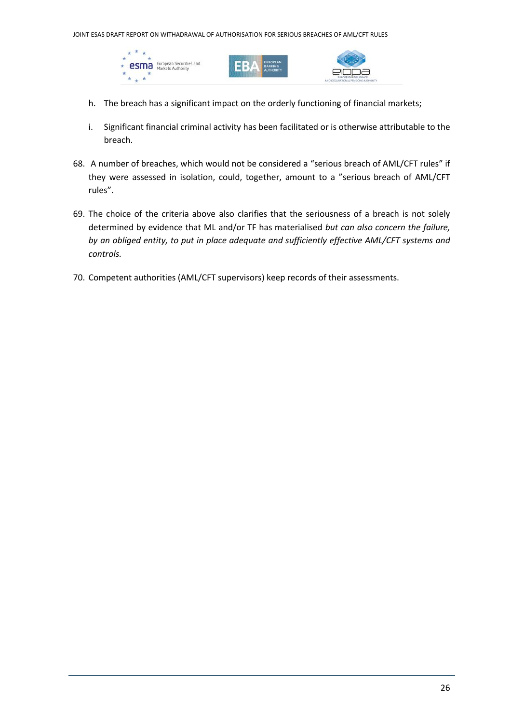





- h. The breach has a significant impact on the orderly functioning of financial markets;
- i. Significant financial criminal activity has been facilitated or is otherwise attributable to the breach.
- 68. A number of breaches, which would not be considered a "serious breach of AML/CFT rules" if they were assessed in isolation, could, together, amount to a "serious breach of AML/CFT rules".
- 69. The choice of the criteria above also clarifies that the seriousness of a breach is not solely determined by evidence that ML and/or TF has materialised *but can also concern the failure, by an obliged entity, to put in place adequate and sufficiently effective AML/CFT systems and controls.*
- 70. Competent authorities (AML/CFT supervisors) keep records of their assessments.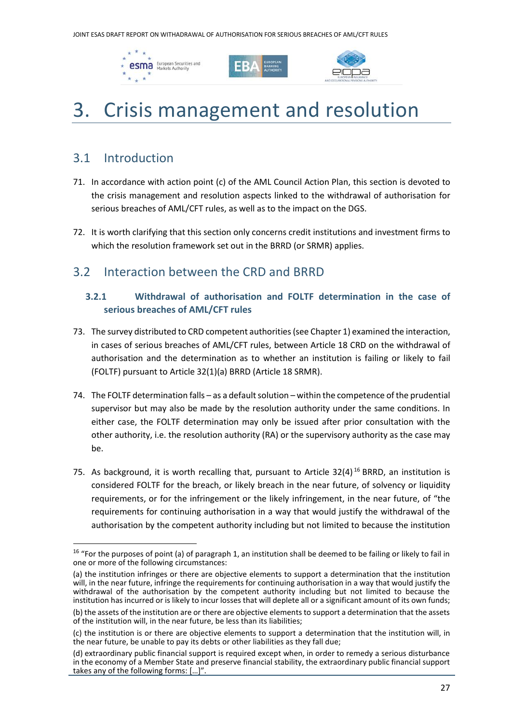





# 3. Crisis management and resolution

### 3.1 Introduction

- 71. In accordance with action point (c) of the AML Council Action Plan, this section is devoted to the crisis management and resolution aspects linked to the withdrawal of authorisation for serious breaches of AML/CFT rules, as well as to the impact on the DGS.
- 72. It is worth clarifying that this section only concerns credit institutions and investment firms to which the resolution framework set out in the BRRD (or SRMR) applies.

### 3.2 Interaction between the CRD and BRRD

#### **3.2.1 Withdrawal of authorisation and FOLTF determination in the case of serious breaches of AML/CFT rules**

- 73. The survey distributed to CRD competent authorities(see Chapter [1\)](#page-11-0) examined the interaction, in cases of serious breaches of AML/CFT rules, between Article 18 CRD on the withdrawal of authorisation and the determination as to whether an institution is failing or likely to fail (FOLTF) pursuant to Article 32(1)(a) BRRD (Article 18 SRMR).
- 74. The FOLTF determination falls as a default solution within the competence of the prudential supervisor but may also be made by the resolution authority under the same conditions. In either case, the FOLTF determination may only be issued after prior consultation with the other authority, i.e. the resolution authority (RA) or the supervisory authority as the case may be.
- 75. As background, it is worth recalling that, pursuant to Article  $32(4)^{16}$  BRRD, an institution is considered FOLTF for the breach, or likely breach in the near future, of solvency or liquidity requirements, or for the infringement or the likely infringement, in the near future, of "the requirements for continuing authorisation in a way that would justify the withdrawal of the authorisation by the competent authority including but not limited to because the institution

<sup>&</sup>lt;sup>16</sup> "For the purposes of point (a) of paragraph 1, an institution shall be deemed to be failing or likely to fail in one or more of the following circumstances:

<sup>(</sup>a) the institution infringes or there are objective elements to support a determination that the institution will, in the near future, infringe the requirements for continuing authorisation in a way that would justify the withdrawal of the authorisation by the competent authority including but not limited to because the institution has incurred or is likely to incur losses that will deplete all or a significant amount of its own funds;

<sup>(</sup>b) the assets of the institution are or there are objective elements to support a determination that the assets of the institution will, in the near future, be less than its liabilities;

<sup>(</sup>c) the institution is or there are objective elements to support a determination that the institution will, in the near future, be unable to pay its debts or other liabilities as they fall due;

<sup>(</sup>d) extraordinary public financial support is required except when, in order to remedy a serious disturbance in the economy of a Member State and preserve financial stability, the extraordinary public financial support takes any of the following forms: […]".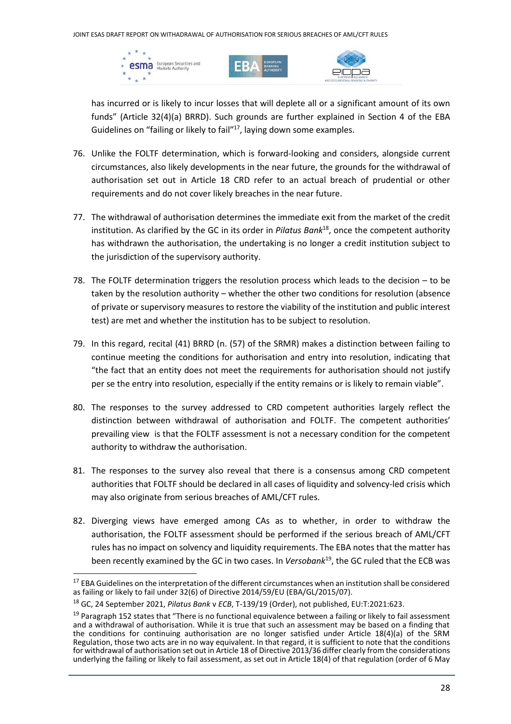





has incurred or is likely to incur losses that will deplete all or a significant amount of its own funds" (Article 32(4)(a) BRRD). Such grounds are further explained in Section 4 of the EBA Guidelines on "failing or likely to fail" <sup>17</sup>, laying down some examples.

- 76. Unlike the FOLTF determination, which is forward-looking and considers, alongside current circumstances, also likely developments in the near future, the grounds for the withdrawal of authorisation set out in Article 18 CRD refer to an actual breach of prudential or other requirements and do not cover likely breaches in the near future.
- 77. The withdrawal of authorisation determines the immediate exit from the market of the credit institution. As clarified by the GC in its order in *Pilatus Bank*<sup>18</sup>, once the competent authority has withdrawn the authorisation, the undertaking is no longer a credit institution subject to the jurisdiction of the supervisory authority.
- 78. The FOLTF determination triggers the resolution process which leads to the decision to be taken by the resolution authority – whether the other two conditions for resolution (absence of private or supervisory measures to restore the viability of the institution and public interest test) are met and whether the institution has to be subject to resolution.
- 79. In this regard, recital (41) BRRD (n. (57) of the SRMR) makes a distinction between failing to continue meeting the conditions for authorisation and entry into resolution, indicating that "the fact that an entity does not meet the requirements for authorisation should not justify per se the entry into resolution, especially if the entity remains or is likely to remain viable".
- 80. The responses to the survey addressed to CRD competent authorities largely reflect the distinction between withdrawal of authorisation and FOLTF. The competent authorities' prevailing view is that the FOLTF assessment is not a necessary condition for the competent authority to withdraw the authorisation.
- 81. The responses to the survey also reveal that there is a consensus among CRD competent authorities that FOLTF should be declared in all cases of liquidity and solvency-led crisis which may also originate from serious breaches of AML/CFT rules.
- 82. Diverging views have emerged among CAs as to whether, in order to withdraw the authorisation, the FOLTF assessment should be performed if the serious breach of AML/CFT rules has no impact on solvency and liquidity requirements. The EBA notes that the matter has been recently examined by the GC in two cases. In *Versobank*<sup>19</sup> , the GC ruled that the ECB was

<sup>&</sup>lt;sup>17</sup> EBA Guidelines on the interpretation of the different circumstances when an institution shall be considered as failing or likely to fail under 32(6) of Directive 2014/59/EU (EBA/GL/2015/07).

<sup>18</sup> GC, 24 September 2021, *Pilatus Bank* v *ECB*, T-139/19 (Order), not published, EU:T:2021:623.

<sup>&</sup>lt;sup>19</sup> Paragraph 152 states that "There is no functional equivalence between a failing or likely to fail assessment and a withdrawal of authorisation. While it is true that such an assessment may be based on a finding that the conditions for continuing authorisation are no longer satisfied under Article 18(4)(a) of the SRM Regulation, those two acts are in no way equivalent. In that regard, it is sufficient to note that the conditions for withdrawal of authorisation set out in Article 18 of Directive 2013/36 differ clearly from the considerations underlying the failing or likely to fail assessment, as set out in Article 18(4) of that regulation (order of 6 May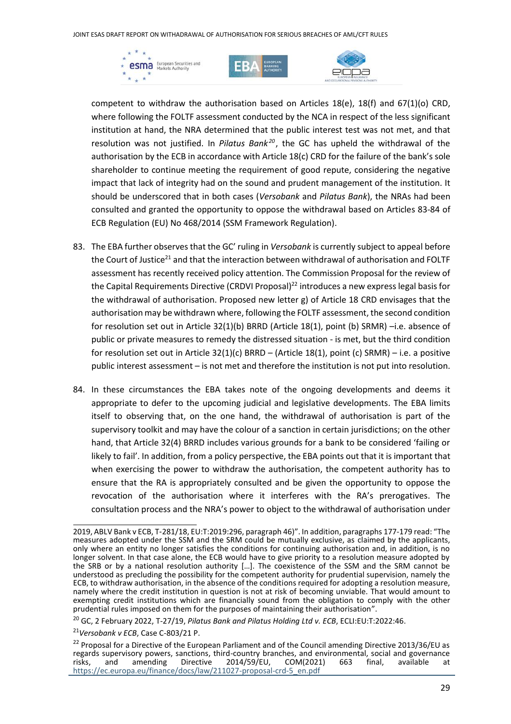





competent to withdraw the authorisation based on Articles 18(e), 18(f) and 67(1)(o) CRD, where following the FOLTF assessment conducted by the NCA in respect of the less significant institution at hand, the NRA determined that the public interest test was not met, and that resolution was not justified. In *Pilatus Bank<sup>20</sup>*, the GC has upheld the withdrawal of the authorisation by the ECB in accordance with Article 18(c) CRD for the failure of the bank's sole shareholder to continue meeting the requirement of good repute, considering the negative impact that lack of integrity had on the sound and prudent management of the institution. It should be underscored that in both cases (*Versobank* and *Pilatus Bank*), the NRAs had been consulted and granted the opportunity to oppose the withdrawal based on Articles 83-84 of ECB Regulation (EU) No 468/2014 (SSM Framework Regulation).

- 83. The EBA further observes that the GC' ruling in *Versobank* is currently subject to appeal before the Court of Justice<sup>21</sup> and that the interaction between withdrawal of authorisation and FOLTF assessment has recently received policy attention. The Commission Proposal for the review of the Capital Requirements Directive (CRDVI Proposal)<sup>22</sup> introduces a new express legal basis for the withdrawal of authorisation. Proposed new letter g) of Article 18 CRD envisages that the authorisation may be withdrawn where, following the FOLTF assessment, the second condition for resolution set out in Article 32(1)(b) BRRD (Article 18(1), point (b) SRMR) –i.e. absence of public or private measures to remedy the distressed situation - is met, but the third condition for resolution set out in Article 32(1)(c) BRRD – (Article 18(1), point (c) SRMR) – i.e. a positive public interest assessment – is not met and therefore the institution is not put into resolution.
- 84. In these circumstances the EBA takes note of the ongoing developments and deems it appropriate to defer to the upcoming judicial and legislative developments. The EBA limits itself to observing that, on the one hand, the withdrawal of authorisation is part of the supervisory toolkit and may have the colour of a sanction in certain jurisdictions; on the other hand, that Article 32(4) BRRD includes various grounds for a bank to be considered 'failing or likely to fail'. In addition, from a policy perspective, the EBA points out that it is important that when exercising the power to withdraw the authorisation, the competent authority has to ensure that the RA is appropriately consulted and be given the opportunity to oppose the revocation of the authorisation where it interferes with the RA's prerogatives. The consultation process and the NRA's power to object to the withdrawal of authorisation under

<sup>2019,</sup> ABLV Bank v ECB, T‑281/18, EU:T:2019:296, paragraph 46)". In addition, paragraphs 177-179 read: "The measures adopted under the SSM and the SRM could be mutually exclusive, as claimed by the applicants, only where an entity no longer satisfies the conditions for continuing authorisation and, in addition, is no longer solvent. In that case alone, the ECB would have to give priority to a resolution measure adopted by the SRB or by a national resolution authority […]. The coexistence of the SSM and the SRM cannot be understood as precluding the possibility for the competent authority for prudential supervision, namely the ECB, to withdraw authorisation, in the absence of the conditions required for adopting a resolution measure, namely where the credit institution in question is not at risk of becoming unviable. That would amount to exempting credit institutions which are financially sound from the obligation to comply with the other prudential rules imposed on them for the purposes of maintaining their authorisation".

<sup>20</sup> GC, 2 February 2022, T-27/19, *Pilatus Bank and Pilatus Holding Ltd v. ECB*, ECLI:EU:T:2022:46.

<sup>21</sup>*Versobank v ECB*, Case C-803/21 P.

<sup>&</sup>lt;sup>22</sup> Proposal for a Directive of the European Parliament and of the Council amending Directive 2013/36/EU as regards supervisory powers, sanctions, third-country branches, and environmental, social and governance<br>risks, and amending Directive 2014/59/EU, COM(2021) 663 final, available at risks, and amending Directive 2014/59/EU, COM(2021) 663 final, available at [https://ec.europa.eu/finance/docs/law/211027-proposal-crd-5\\_en.pdf](https://ec.europa.eu/finance/docs/law/211027-proposal-crd-5_en.pdf)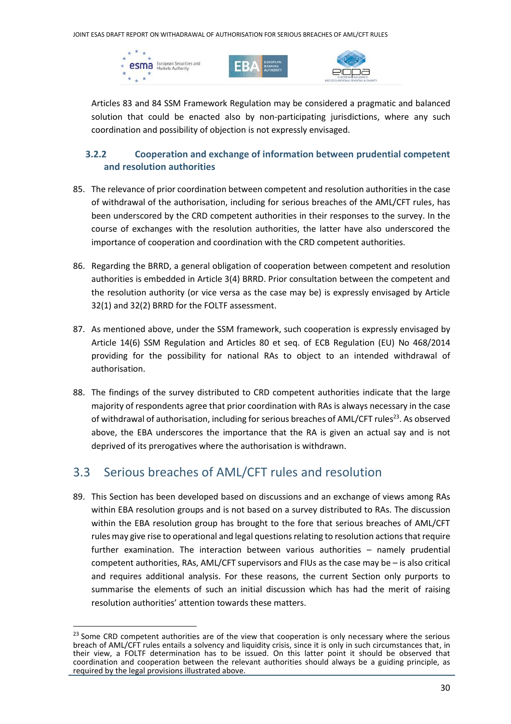





Articles 83 and 84 SSM Framework Regulation may be considered a pragmatic and balanced solution that could be enacted also by non-participating jurisdictions, where any such coordination and possibility of objection is not expressly envisaged.

### **3.2.2 Cooperation and exchange of information between prudential competent and resolution authorities**

- 85. The relevance of prior coordination between competent and resolution authorities in the case of withdrawal of the authorisation, including for serious breaches of the AML/CFT rules, has been underscored by the CRD competent authorities in their responses to the survey. In the course of exchanges with the resolution authorities, the latter have also underscored the importance of cooperation and coordination with the CRD competent authorities.
- 86. Regarding the BRRD, a general obligation of cooperation between competent and resolution authorities is embedded in Article 3(4) BRRD. Prior consultation between the competent and the resolution authority (or vice versa as the case may be) is expressly envisaged by Article 32(1) and 32(2) BRRD for the FOLTF assessment.
- 87. As mentioned above, under the SSM framework, such cooperation is expressly envisaged by Article 14(6) SSM Regulation and Articles 80 et seq. of ECB Regulation (EU) No 468/2014 providing for the possibility for national RAs to object to an intended withdrawal of authorisation.
- 88. The findings of the survey distributed to CRD competent authorities indicate that the large majority of respondents agree that prior coordination with RAs is always necessary in the case of withdrawal of authorisation, including for serious breaches of AML/CFT rules<sup>23</sup>. As observed above, the EBA underscores the importance that the RA is given an actual say and is not deprived of its prerogatives where the authorisation is withdrawn.

## 3.3 Serious breaches of AML/CFT rules and resolution

89. This Section has been developed based on discussions and an exchange of views among RAs within EBA resolution groups and is not based on a survey distributed to RAs. The discussion within the EBA resolution group has brought to the fore that serious breaches of AML/CFT rules may give rise to operational and legal questions relating to resolution actionsthat require further examination. The interaction between various authorities – namely prudential competent authorities, RAs, AML/CFT supervisors and FIUs as the case may be – is also critical and requires additional analysis. For these reasons, the current Section only purports to summarise the elements of such an initial discussion which has had the merit of raising resolution authorities' attention towards these matters.

<sup>&</sup>lt;sup>23</sup> Some CRD competent authorities are of the view that cooperation is only necessary where the serious breach of AML/CFT rules entails a solvency and liquidity crisis, since it is only in such circumstances that, in their view, a FOLTF determination has to be issued. On this latter point it should be observed that coordination and cooperation between the relevant authorities should always be a guiding principle, as required by the legal provisions illustrated above.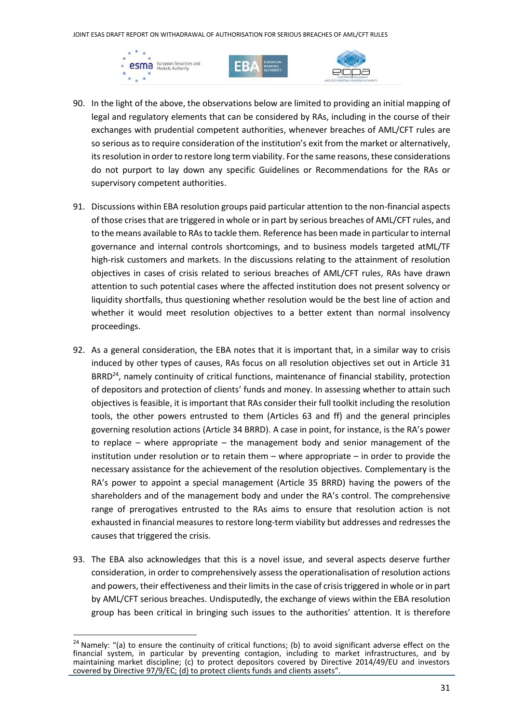





- 90. In the light of the above, the observations below are limited to providing an initial mapping of legal and regulatory elements that can be considered by RAs, including in the course of their exchanges with prudential competent authorities, whenever breaches of AML/CFT rules are so serious as to require consideration of the institution's exit from the market or alternatively, its resolution in order to restore long term viability. For the same reasons, these considerations do not purport to lay down any specific Guidelines or Recommendations for the RAs or supervisory competent authorities.
- 91. Discussions within EBA resolution groups paid particular attention to the non-financial aspects of those crises that are triggered in whole or in part by serious breaches of AML/CFT rules, and to the means available to RAsto tackle them. Reference has been made in particular to internal governance and internal controls shortcomings, and to business models targeted atML/TF high-risk customers and markets. In the discussions relating to the attainment of resolution objectives in cases of crisis related to serious breaches of AML/CFT rules, RAs have drawn attention to such potential cases where the affected institution does not present solvency or liquidity shortfalls, thus questioning whether resolution would be the best line of action and whether it would meet resolution objectives to a better extent than normal insolvency proceedings.
- 92. As a general consideration, the EBA notes that it is important that, in a similar way to crisis induced by other types of causes, RAs focus on all resolution objectives set out in Article 31 BRRD<sup>24</sup>, namely continuity of critical functions, maintenance of financial stability, protection of depositors and protection of clients' funds and money. In assessing whether to attain such objectives is feasible, it is important that RAs consider their full toolkit including the resolution tools, the other powers entrusted to them (Articles 63 and ff) and the general principles governing resolution actions (Article 34 BRRD). A case in point, for instance, is the RA's power to replace – where appropriate – the management body and senior management of the institution under resolution or to retain them – where appropriate – in order to provide the necessary assistance for the achievement of the resolution objectives. Complementary is the RA's power to appoint a special management (Article 35 BRRD) having the powers of the shareholders and of the management body and under the RA's control. The comprehensive range of prerogatives entrusted to the RAs aims to ensure that resolution action is not exhausted in financial measures to restore long-term viability but addresses and redresses the causes that triggered the crisis.
- 93. The EBA also acknowledges that this is a novel issue, and several aspects deserve further consideration, in order to comprehensively assess the operationalisation of resolution actions and powers, their effectiveness and their limits in the case of crisis triggered in whole or in part by AML/CFT serious breaches. Undisputedly, the exchange of views within the EBA resolution group has been critical in bringing such issues to the authorities' attention. It is therefore

<sup>&</sup>lt;sup>24</sup> Namely: "(a) to ensure the continuity of critical functions; (b) to avoid significant adverse effect on the financial system, in particular by preventing contagion, including to market infrastructures, and by maintaining market discipline; (c) to protect depositors covered by Directive 2014/49/EU and investors covered by Directive 97/9/EC; (d) to protect clients funds and clients assets".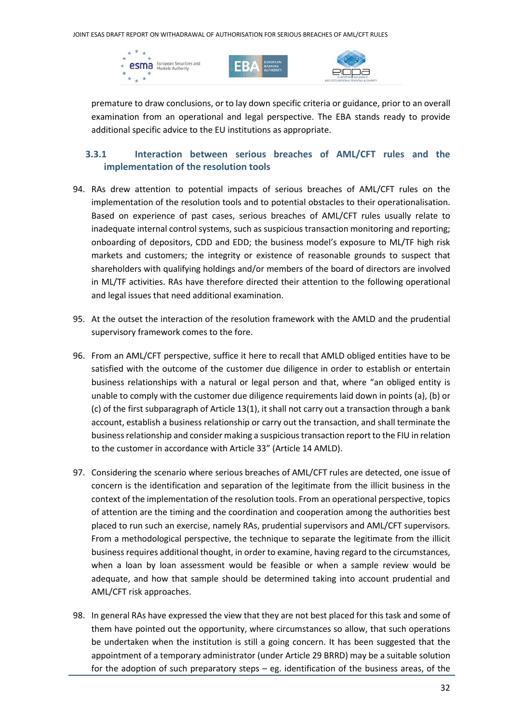





premature to draw conclusions, or to lay down specific criteria or guidance, prior to an overall examination from an operational and legal perspective. The EBA stands ready to provide additional specific advice to the EU institutions as appropriate.

#### **3.3.1 Interaction between serious breaches of AML/CFT rules and the implementation of the resolution tools**

- 94. RAs drew attention to potential impacts of serious breaches of AML/CFT rules on the implementation of the resolution tools and to potential obstacles to their operationalisation. Based on experience of past cases, serious breaches of AML/CFT rules usually relate to inadequate internal control systems, such as suspicious transaction monitoring and reporting; onboarding of depositors, CDD and EDD; the business model's exposure to ML/TF high risk markets and customers; the integrity or existence of reasonable grounds to suspect that shareholders with qualifying holdings and/or members of the board of directors are involved in ML/TF activities. RAs have therefore directed their attention to the following operational and legal issues that need additional examination.
- 95. At the outset the interaction of the resolution framework with the AMLD and the prudential supervisory framework comes to the fore.
- 96. From an AML/CFT perspective, suffice it here to recall that AMLD obliged entities have to be satisfied with the outcome of the customer due diligence in order to establish or entertain business relationships with a natural or legal person and that, where "an obliged entity is unable to comply with the customer due diligence requirements laid down in points (a), (b) or (c) of the first subparagraph of Article 13(1), it shall not carry out a transaction through a bank account, establish a business relationship or carry out the transaction, and shall terminate the business relationship and consider making a suspicious transaction report to the FIU in relation to the customer in accordance with Article 33" (Article 14 AMLD).
- 97. Considering the scenario where serious breaches of AML/CFT rules are detected, one issue of concern is the identification and separation of the legitimate from the illicit business in the context of the implementation of the resolution tools. From an operational perspective, topics of attention are the timing and the coordination and cooperation among the authorities best placed to run such an exercise, namely RAs, prudential supervisors and AML/CFT supervisors. From a methodological perspective, the technique to separate the legitimate from the illicit business requires additional thought, in order to examine, having regard to the circumstances, when a loan by loan assessment would be feasible or when a sample review would be adequate, and how that sample should be determined taking into account prudential and AML/CFT risk approaches.
- 98. In general RAs have expressed the view that they are not best placed for this task and some of them have pointed out the opportunity, where circumstances so allow, that such operations be undertaken when the institution is still a going concern. It has been suggested that the appointment of a temporary administrator (under Article 29 BRRD) may be a suitable solution for the adoption of such preparatory steps – eg. identification of the business areas, of the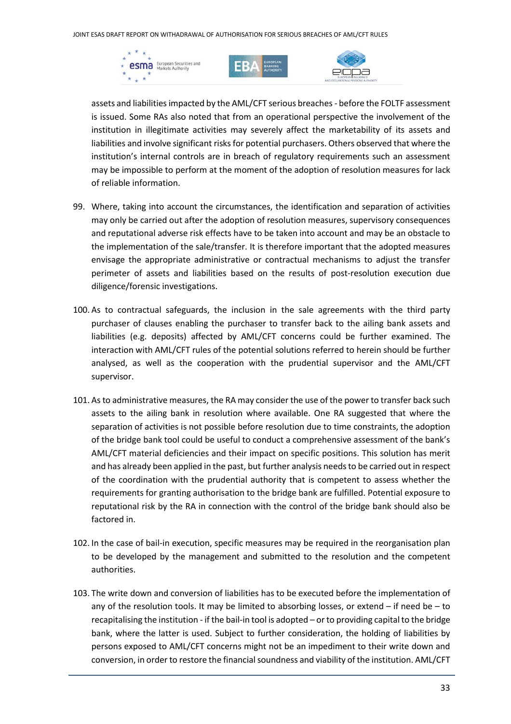





assets and liabilities impacted by the AML/CFT serious breaches - before the FOLTF assessment is issued. Some RAs also noted that from an operational perspective the involvement of the institution in illegitimate activities may severely affect the marketability of its assets and liabilities and involve significant risks for potential purchasers. Others observed that where the institution's internal controls are in breach of regulatory requirements such an assessment may be impossible to perform at the moment of the adoption of resolution measures for lack of reliable information.

- 99. Where, taking into account the circumstances, the identification and separation of activities may only be carried out after the adoption of resolution measures, supervisory consequences and reputational adverse risk effects have to be taken into account and may be an obstacle to the implementation of the sale/transfer. It is therefore important that the adopted measures envisage the appropriate administrative or contractual mechanisms to adjust the transfer perimeter of assets and liabilities based on the results of post-resolution execution due diligence/forensic investigations.
- 100. As to contractual safeguards, the inclusion in the sale agreements with the third party purchaser of clauses enabling the purchaser to transfer back to the ailing bank assets and liabilities (e.g. deposits) affected by AML/CFT concerns could be further examined. The interaction with AML/CFT rules of the potential solutions referred to herein should be further analysed, as well as the cooperation with the prudential supervisor and the AML/CFT supervisor.
- 101. As to administrative measures, the RA may consider the use of the power to transfer back such assets to the ailing bank in resolution where available. One RA suggested that where the separation of activities is not possible before resolution due to time constraints, the adoption of the bridge bank tool could be useful to conduct a comprehensive assessment of the bank's AML/CFT material deficiencies and their impact on specific positions. This solution has merit and has already been applied in the past, but further analysis needs to be carried out in respect of the coordination with the prudential authority that is competent to assess whether the requirements for granting authorisation to the bridge bank are fulfilled. Potential exposure to reputational risk by the RA in connection with the control of the bridge bank should also be factored in.
- 102. In the case of bail-in execution, specific measures may be required in the reorganisation plan to be developed by the management and submitted to the resolution and the competent authorities.
- 103. The write down and conversion of liabilities has to be executed before the implementation of any of the resolution tools. It may be limited to absorbing losses, or extend  $-$  if need be  $-$  to recapitalising the institution - if the bail-in tool is adopted – or to providing capital to the bridge bank, where the latter is used. Subject to further consideration, the holding of liabilities by persons exposed to AML/CFT concerns might not be an impediment to their write down and conversion, in order to restore the financial soundness and viability of the institution. AML/CFT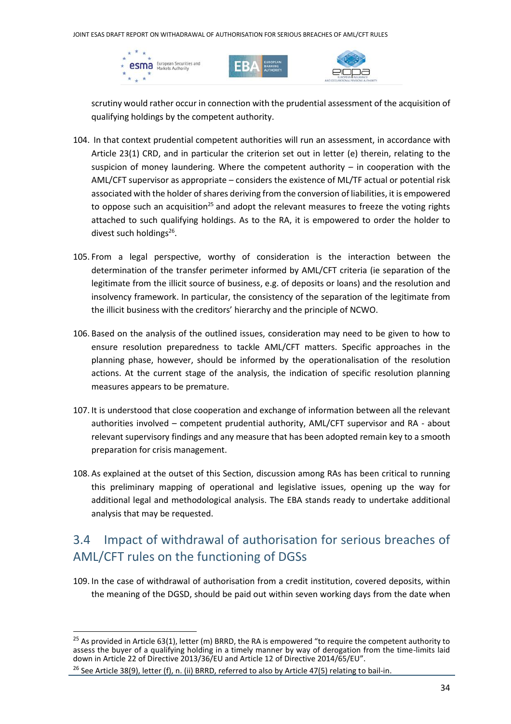





scrutiny would rather occur in connection with the prudential assessment of the acquisition of qualifying holdings by the competent authority.

- 104. In that context prudential competent authorities will run an assessment, in accordance with Article 23(1) CRD, and in particular the criterion set out in letter (e) therein, relating to the suspicion of money laundering. Where the competent authority  $-$  in cooperation with the AML/CFT supervisor as appropriate – considers the existence of ML/TF actual or potential risk associated with the holder of shares deriving from the conversion of liabilities, it is empowered to oppose such an acquisition<sup>25</sup> and adopt the relevant measures to freeze the voting rights attached to such qualifying holdings. As to the RA, it is empowered to order the holder to divest such holdings<sup>26</sup>.
- 105. From a legal perspective, worthy of consideration is the interaction between the determination of the transfer perimeter informed by AML/CFT criteria (ie separation of the legitimate from the illicit source of business, e.g. of deposits or loans) and the resolution and insolvency framework. In particular, the consistency of the separation of the legitimate from the illicit business with the creditors' hierarchy and the principle of NCWO.
- 106. Based on the analysis of the outlined issues, consideration may need to be given to how to ensure resolution preparedness to tackle AML/CFT matters. Specific approaches in the planning phase, however, should be informed by the operationalisation of the resolution actions. At the current stage of the analysis, the indication of specific resolution planning measures appears to be premature.
- 107. It is understood that close cooperation and exchange of information between all the relevant authorities involved – competent prudential authority, AML/CFT supervisor and RA - about relevant supervisory findings and any measure that has been adopted remain key to a smooth preparation for crisis management.
- 108. As explained at the outset of this Section, discussion among RAs has been critical to running this preliminary mapping of operational and legislative issues, opening up the way for additional legal and methodological analysis. The EBA stands ready to undertake additional analysis that may be requested.

## 3.4 Impact of withdrawal of authorisation for serious breaches of AML/CFT rules on the functioning of DGSs

109. In the case of withdrawal of authorisation from a credit institution, covered deposits, within the meaning of the DGSD, should be paid out within seven working days from the date when

 $25$  As provided in Article 63(1), letter (m) BRRD, the RA is empowered "to require the competent authority to assess the buyer of a qualifying holding in a timely manner by way of derogation from the time-limits laid down in Article 22 of Directive 2013/36/EU and Article 12 of Directive 2014/65/EU".

<sup>&</sup>lt;sup>26</sup> See Article 38(9), letter (f), n. (ii) BRRD, referred to also by Article 47(5) relating to bail-in.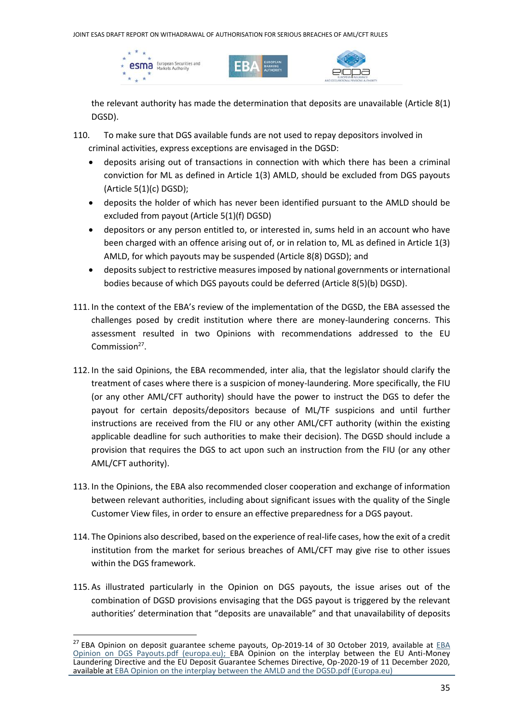





the relevant authority has made the determination that deposits are unavailable (Article 8(1) DGSD).

- 110. To make sure that DGS available funds are not used to repay depositors involved in criminal activities, express exceptions are envisaged in the DGSD:
	- deposits arising out of transactions in connection with which there has been a criminal conviction for ML as defined in Article 1(3) AMLD, should be excluded from DGS payouts (Article 5(1)(c) DGSD);
	- deposits the holder of which has never been identified pursuant to the AMLD should be excluded from payout (Article 5(1)(f) DGSD)
	- depositors or any person entitled to, or interested in, sums held in an account who have been charged with an offence arising out of, or in relation to, ML as defined in Article 1(3) AMLD, for which payouts may be suspended (Article 8(8) DGSD); and
	- deposits subject to restrictive measures imposed by national governments or international bodies because of which DGS payouts could be deferred (Article 8(5)(b) DGSD).
- 111. In the context of the EBA's review of the implementation of the DGSD, the EBA assessed the challenges posed by credit institution where there are money-laundering concerns. This assessment resulted in two Opinions with recommendations addressed to the EU Commission<sup>27</sup>.
- 112. In the said Opinions, the EBA recommended, inter alia, that the legislator should clarify the treatment of cases where there is a suspicion of money-laundering. More specifically, the FIU (or any other AML/CFT authority) should have the power to instruct the DGS to defer the payout for certain deposits/depositors because of ML/TF suspicions and until further instructions are received from the FIU or any other AML/CFT authority (within the existing applicable deadline for such authorities to make their decision). The DGSD should include a provision that requires the DGS to act upon such an instruction from the FIU (or any other AML/CFT authority).
- 113. In the Opinions, the EBA also recommended closer cooperation and exchange of information between relevant authorities, including about significant issues with the quality of the Single Customer View files, in order to ensure an effective preparedness for a DGS payout.
- 114. The Opinions also described, based on the experience of real-life cases, how the exit of a credit institution from the market for serious breaches of AML/CFT may give rise to other issues within the DGS framework.
- 115. As illustrated particularly in the Opinion on DGS payouts, the issue arises out of the combination of DGSD provisions envisaging that the DGS payout is triggered by the relevant authorities' determination that "deposits are unavailable" and that unavailability of deposits

<sup>&</sup>lt;sup>27</sup> [EBA](https://www.eba.europa.eu/sites/default/documents/files/document_library/EBA%20Opinion%20on%20DGS%20Payouts.pdf) Opinion on deposit guarantee scheme payouts, Op-2019-14 of 30 October 2019, available at **EBA** [Opinion on DGS Payouts.pdf \(europa.eu\);](https://www.eba.europa.eu/sites/default/documents/files/document_library/EBA%20Opinion%20on%20DGS%20Payouts.pdf) EBA Opinion on the interplay between the EU Anti-Money Laundering Directive and the EU Deposit Guarantee Schemes Directive, Op-2020-19 of 11 December 2020, available a[t EBA Opinion on the interplay between the AMLD and the DGSD.pdf \(Europa.eu\)](https://www.eba.europa.eu/sites/default/documents/files/document_library/Publications/Opinions/2020/961347/EBA%20Opinion%20on%20the%20interplay%20between%20the%20AMLD%20and%20the%20DGSD.pdf)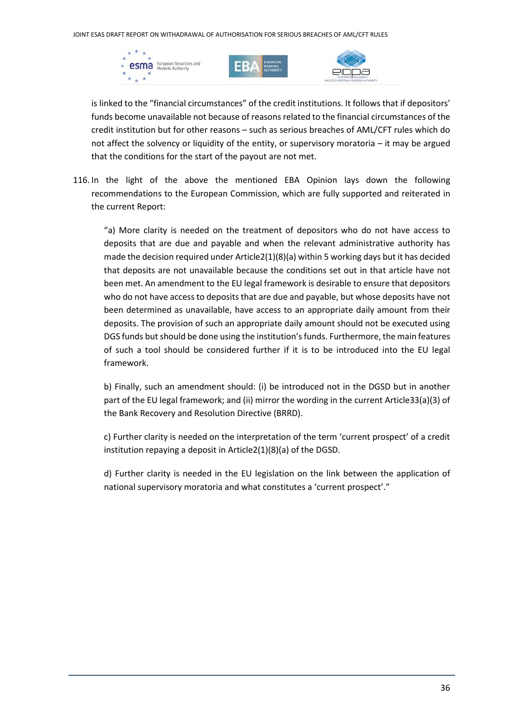





is linked to the "financial circumstances" of the credit institutions. It follows that if depositors' funds become unavailable not because of reasons related to the financial circumstances of the credit institution but for other reasons – such as serious breaches of AML/CFT rules which do not affect the solvency or liquidity of the entity, or supervisory moratoria – it may be argued that the conditions for the start of the payout are not met.

116. In the light of the above the mentioned EBA Opinion lays down the following recommendations to the European Commission, which are fully supported and reiterated in the current Report:

"a) More clarity is needed on the treatment of depositors who do not have access to deposits that are due and payable and when the relevant administrative authority has made the decision required under Article2(1)(8)(a) within 5 working days but it has decided that deposits are not unavailable because the conditions set out in that article have not been met. An amendment to the EU legal framework is desirable to ensure that depositors who do not have access to deposits that are due and payable, but whose deposits have not been determined as unavailable, have access to an appropriate daily amount from their deposits. The provision of such an appropriate daily amount should not be executed using DGS funds but should be done using the institution's funds. Furthermore, the main features of such a tool should be considered further if it is to be introduced into the EU legal framework.

b) Finally, such an amendment should: (i) be introduced not in the DGSD but in another part of the EU legal framework; and (ii) mirror the wording in the current Article33(a)(3) of the Bank Recovery and Resolution Directive (BRRD).

c) Further clarity is needed on the interpretation of the term 'current prospect' of a credit institution repaying a deposit in Article2(1)(8)(a) of the DGSD.

d) Further clarity is needed in the EU legislation on the link between the application of national supervisory moratoria and what constitutes a 'current prospect'."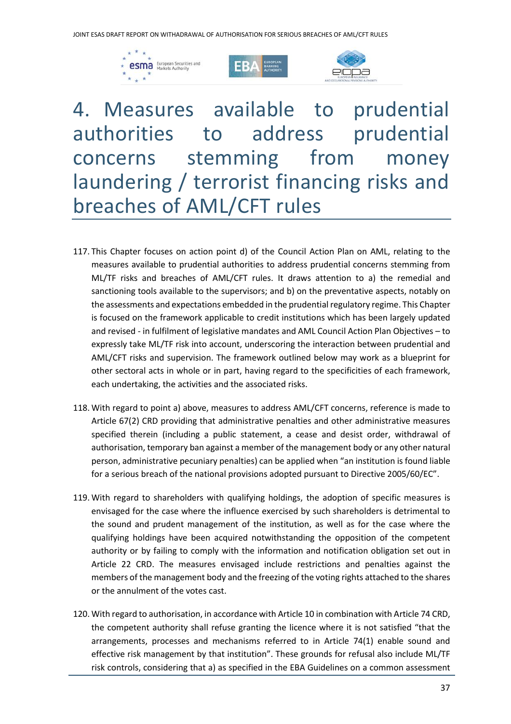





4. Measures available to prudential authorities to address prudential concerns stemming from money laundering / terrorist financing risks and breaches of AML/CFT rules

- 117. This Chapter focuses on action point d) of the Council Action Plan on AML, relating to the measures available to prudential authorities to address prudential concerns stemming from ML/TF risks and breaches of AML/CFT rules. It draws attention to a) the remedial and sanctioning tools available to the supervisors; and b) on the preventative aspects, notably on the assessments and expectations embedded in the prudential regulatory regime. This Chapter is focused on the framework applicable to credit institutions which has been largely updated and revised - in fulfilment of legislative mandates and AML Council Action Plan Objectives – to expressly take ML/TF risk into account, underscoring the interaction between prudential and AML/CFT risks and supervision. The framework outlined below may work as a blueprint for other sectoral acts in whole or in part, having regard to the specificities of each framework, each undertaking, the activities and the associated risks.
- 118. With regard to point a) above, measures to address AML/CFT concerns, reference is made to Article 67(2) CRD providing that administrative penalties and other administrative measures specified therein (including a public statement, a cease and desist order, withdrawal of authorisation, temporary ban against a member of the management body or any other natural person, administrative pecuniary penalties) can be applied when "an institution is found liable for a serious breach of the national provisions adopted pursuant to Directive 2005/60/EC".
- 119. With regard to shareholders with qualifying holdings, the adoption of specific measures is envisaged for the case where the influence exercised by such shareholders is detrimental to the sound and prudent management of the institution, as well as for the case where the qualifying holdings have been acquired notwithstanding the opposition of the competent authority or by failing to comply with the information and notification obligation set out in Article 22 CRD. The measures envisaged include restrictions and penalties against the members of the management body and the freezing of the voting rights attached to the shares or the annulment of the votes cast.
- 120. With regard to authorisation, in accordance with Article 10 in combination with Article 74 CRD, the competent authority shall refuse granting the licence where it is not satisfied "that the arrangements, processes and mechanisms referred to in Article 74(1) enable sound and effective risk management by that institution". These grounds for refusal also include ML/TF risk controls, considering that a) as specified in the EBA Guidelines on a common assessment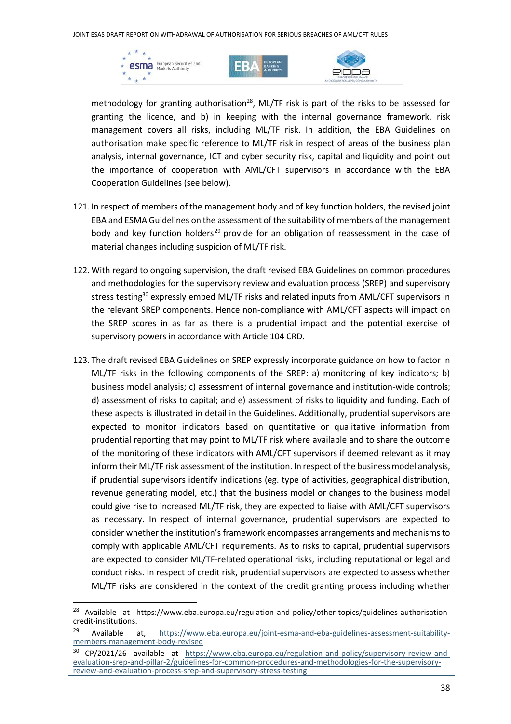





methodology for granting authorisation<sup>28</sup>, ML/TF risk is part of the risks to be assessed for granting the licence, and b) in keeping with the internal governance framework, risk management covers all risks, including ML/TF risk. In addition, the EBA Guidelines on authorisation make specific reference to ML/TF risk in respect of areas of the business plan analysis, internal governance, ICT and cyber security risk, capital and liquidity and point out the importance of cooperation with AML/CFT supervisors in accordance with the EBA Cooperation Guidelines (see below).

- 121. In respect of members of the management body and of key function holders, the revised joint EBA and ESMA Guidelines on the assessment of the suitability of members of the management body and key function holders<sup>29</sup> provide for an obligation of reassessment in the case of material changes including suspicion of ML/TF risk.
- 122. With regard to ongoing supervision, the draft revised EBA Guidelines on common procedures and methodologies for the supervisory review and evaluation process (SREP) and supervisory stress testing<sup>30</sup> expressly embed ML/TF risks and related inputs from AML/CFT supervisors in the relevant SREP components. Hence non-compliance with AML/CFT aspects will impact on the SREP scores in as far as there is a prudential impact and the potential exercise of supervisory powers in accordance with Article 104 CRD.
- 123. The draft revised EBA Guidelines on SREP expressly incorporate guidance on how to factor in ML/TF risks in the following components of the SREP: a) monitoring of key indicators; b) business model analysis; c) assessment of internal governance and institution-wide controls; d) assessment of risks to capital; and e) assessment of risks to liquidity and funding. Each of these aspects is illustrated in detail in the Guidelines. Additionally, prudential supervisors are expected to monitor indicators based on quantitative or qualitative information from prudential reporting that may point to ML/TF risk where available and to share the outcome of the monitoring of these indicators with AML/CFT supervisors if deemed relevant as it may inform their ML/TF risk assessment of the institution. In respect of the business model analysis, if prudential supervisors identify indications (eg. type of activities, geographical distribution, revenue generating model, etc.) that the business model or changes to the business model could give rise to increased ML/TF risk, they are expected to liaise with AML/CFT supervisors as necessary. In respect of internal governance, prudential supervisors are expected to consider whether the institution's framework encompasses arrangements and mechanisms to comply with applicable AML/CFT requirements. As to risks to capital, prudential supervisors are expected to consider ML/TF-related operational risks, including reputational or legal and conduct risks. In respect of credit risk, prudential supervisors are expected to assess whether ML/TF risks are considered in the context of the credit granting process including whether

<sup>&</sup>lt;sup>28</sup> Available at https://www.eba.europa.eu/regulation-and-policy/other-topics/guidelines-authorisationcredit-institutions.

<sup>&</sup>lt;sup>29</sup> Available at, [https://www.eba.europa.eu/joint-esma-and-eba-guidelines-assessment-suitability](https://www.eba.europa.eu/joint-esma-and-eba-guidelines-assessment-suitability-members-management-body-revised)[members-management-body-revised](https://www.eba.europa.eu/joint-esma-and-eba-guidelines-assessment-suitability-members-management-body-revised)

<sup>&</sup>lt;sup>30</sup> CP/2021/26 available at [https://www.eba.europa.eu/regulation-and-policy/supervisory-review-and](https://www.eba.europa.eu/regulation-and-policy/supervisory-review-and-evaluation-srep-and-pillar-2/guidelines-for-common-procedures-and-methodologies-for-the-supervisory-review-and-evaluation-process-srep-and-supervisory-stress-testing)[evaluation-srep-and-pillar-2/guidelines-for-common-procedures-and-methodologies-for-the-supervisory](https://www.eba.europa.eu/regulation-and-policy/supervisory-review-and-evaluation-srep-and-pillar-2/guidelines-for-common-procedures-and-methodologies-for-the-supervisory-review-and-evaluation-process-srep-and-supervisory-stress-testing)[review-and-evaluation-process-srep-and-supervisory-stress-testing](https://www.eba.europa.eu/regulation-and-policy/supervisory-review-and-evaluation-srep-and-pillar-2/guidelines-for-common-procedures-and-methodologies-for-the-supervisory-review-and-evaluation-process-srep-and-supervisory-stress-testing)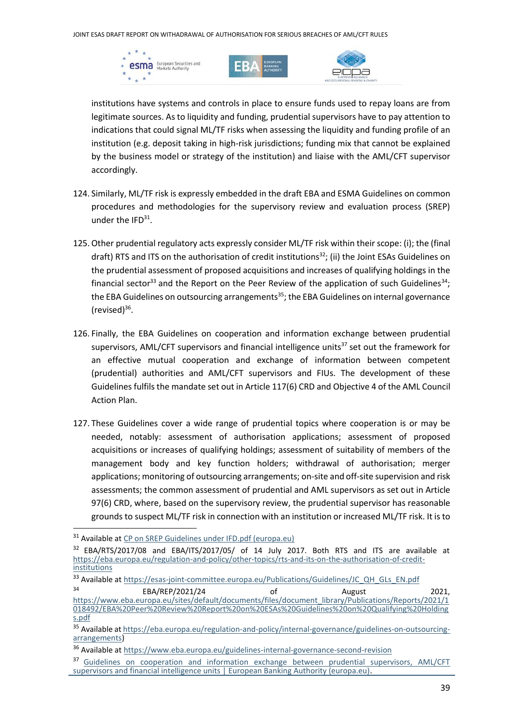





institutions have systems and controls in place to ensure funds used to repay loans are from legitimate sources. As to liquidity and funding, prudential supervisors have to pay attention to indications that could signal ML/TF risks when assessing the liquidity and funding profile of an institution (e.g. deposit taking in high-risk jurisdictions; funding mix that cannot be explained by the business model or strategy of the institution) and liaise with the AML/CFT supervisor accordingly.

- 124. Similarly, ML/TF risk is expressly embedded in the draft EBA and ESMA Guidelines on common procedures and methodologies for the supervisory review and evaluation process (SREP) under the  $IFD<sup>31</sup>$ .
- 125.Other prudential regulatory acts expressly consider ML/TF risk within their scope: (i); the (final draft) RTS and ITS on the authorisation of credit institutions<sup>32</sup>; (ii) the Joint ESAs Guidelines on the prudential assessment of proposed acquisitions and increases of qualifying holdings in the financial sector<sup>33</sup> and the Report on the Peer Review of the application of such Guidelines<sup>34</sup>; the EBA Guidelines on outsourcing arrangements<sup>35</sup>; the EBA Guidelines on internal governance (revised) $^{36}$ .
- 126. Finally, the EBA Guidelines on cooperation and information exchange between prudential supervisors, AML/CFT supervisors and financial intelligence units<sup>37</sup> set out the framework for an effective mutual cooperation and exchange of information between competent (prudential) authorities and AML/CFT supervisors and FIUs. The development of these Guidelines fulfils the mandate set out in Article 117(6) CRD and Objective 4 of the AML Council Action Plan.
- 127. These Guidelines cover a wide range of prudential topics where cooperation is or may be needed, notably: assessment of authorisation applications; assessment of proposed acquisitions or increases of qualifying holdings; assessment of suitability of members of the management body and key function holders; withdrawal of authorisation; merger applications; monitoring of outsourcing arrangements; on-site and off-site supervision and risk assessments; the common assessment of prudential and AML supervisors as set out in Article 97(6) CRD, where, based on the supervisory review, the prudential supervisor has reasonable grounds to suspect ML/TF risk in connection with an institution or increased ML/TF risk. It is to

<sup>&</sup>lt;sup>31</sup> Available at [CP on SREP Guidelines under IFD.pdf \(europa.eu\)](https://www.eba.europa.eu/sites/default/documents/files/document_library/Publications/Consultations/2022/Consultation%20on%20Guidelines%20on%20common%20procedures%20and%20methodologies%20for%20the%20supervisory%20review%20and%20evaluation%20process%20%28SREP%29/1024395/CP%20on%20SREP%20Guidelines%20under%20IFD.pdf)

<sup>&</sup>lt;sup>32</sup> EBA/RTS/2017/08 and EBA/ITS/2017/05/ of 14 July 2017. Both RTS and ITS are available at [https://eba.europa.eu/regulation-and-policy/other-topics/rts-and-its-on-the-authorisation-of-credit](https://eba.europa.eu/regulation-and-policy/other-topics/rts-and-its-on-the-authorisation-of-credit-institutions)**[institutions](https://eba.europa.eu/regulation-and-policy/other-topics/rts-and-its-on-the-authorisation-of-credit-institutions)** 

<sup>33</sup> Available at [https://esas-joint-committee.europa.eu/Publications/Guidelines/JC\\_QH\\_GLs\\_EN.pdf](https://esas-joint-committee.europa.eu/Publications/Guidelines/JC_QH_GLs_EN.pdf)

<sup>34</sup> EBA/REP/2021/24 of August 2021, [https://www.eba.europa.eu/sites/default/documents/files/document\\_library/Publications/Reports/2021/1](https://www.eba.europa.eu/sites/default/documents/files/document_library/Publications/Reports/2021/1018492/EBA%20Peer%20Review%20Report%20on%20ESAs%20Guidelines%20on%20Qualifying%20Holdings.pdf) [018492/EBA%20Peer%20Review%20Report%20on%20ESAs%20Guidelines%20on%20Qualifying%20Holding](https://www.eba.europa.eu/sites/default/documents/files/document_library/Publications/Reports/2021/1018492/EBA%20Peer%20Review%20Report%20on%20ESAs%20Guidelines%20on%20Qualifying%20Holdings.pdf) [s.pdf](https://www.eba.europa.eu/sites/default/documents/files/document_library/Publications/Reports/2021/1018492/EBA%20Peer%20Review%20Report%20on%20ESAs%20Guidelines%20on%20Qualifying%20Holdings.pdf)

<sup>35</sup> Available a[t https://eba.europa.eu/regulation-and-policy/internal-governance/guidelines-on-outsourcing](https://eba.europa.eu/regulation-and-policy/internal-governance/guidelines-on-outsourcing-arrangements)[arrangements\)](https://eba.europa.eu/regulation-and-policy/internal-governance/guidelines-on-outsourcing-arrangements)

<sup>36</sup> Available at<https://www.eba.europa.eu/guidelines-internal-governance-second-revision>

<sup>&</sup>lt;sup>37</sup> Guidelines on cooperation and information exchange between prudential supervisors, AML/CFT [supervisors and financial intelligence units | European Banking Authority \(europa.eu\).](https://www.eba.europa.eu/regulation-and-policy/anti-money-laundering-and-countering-financing-terrorism/guidelines-cooperation-and-information-exchange-between-prudential-supervisors-amlcft-supervisors)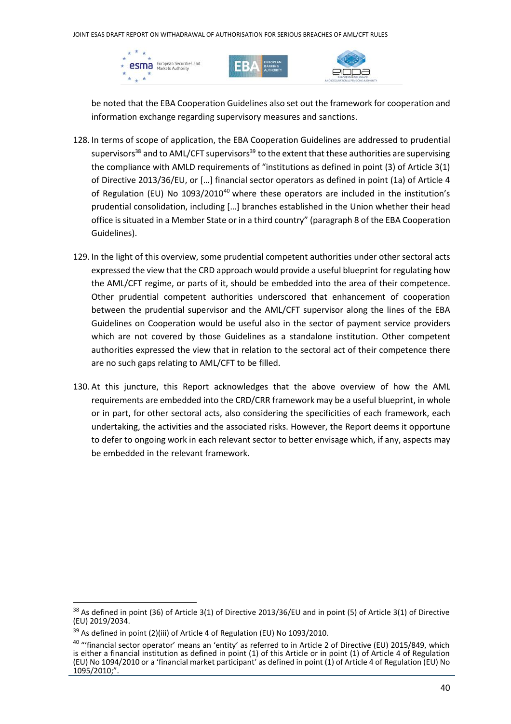





be noted that the EBA Cooperation Guidelines also set out the framework for cooperation and information exchange regarding supervisory measures and sanctions.

- 128. In terms of scope of application, the EBA Cooperation Guidelines are addressed to prudential supervisors<sup>38</sup> and to AML/CFT supervisors<sup>39</sup> to the extent that these authorities are supervising the compliance with AMLD requirements of "institutions as defined in point (3) of Article 3(1) of Directive 2013/36/EU, or […] financial sector operators as defined in point (1a) of Article 4 of Regulation (EU) No  $1093/2010^{40}$  where these operators are included in the institution's prudential consolidation, including […] branches established in the Union whether their head office is situated in a Member State or in a third country" (paragraph 8 of the EBA Cooperation Guidelines).
- 129. In the light of this overview, some prudential competent authorities under other sectoral acts expressed the view that the CRD approach would provide a useful blueprint for regulating how the AML/CFT regime, or parts of it, should be embedded into the area of their competence. Other prudential competent authorities underscored that enhancement of cooperation between the prudential supervisor and the AML/CFT supervisor along the lines of the EBA Guidelines on Cooperation would be useful also in the sector of payment service providers which are not covered by those Guidelines as a standalone institution. Other competent authorities expressed the view that in relation to the sectoral act of their competence there are no such gaps relating to AML/CFT to be filled.
- 130. At this juncture, this Report acknowledges that the above overview of how the AML requirements are embedded into the CRD/CRR framework may be a useful blueprint, in whole or in part, for other sectoral acts, also considering the specificities of each framework, each undertaking, the activities and the associated risks. However, the Report deems it opportune to defer to ongoing work in each relevant sector to better envisage which, if any, aspects may be embedded in the relevant framework.

<sup>38</sup> As defined in point (36) of Article 3(1) of Directive 2013/36/EU and in point (5) of Article 3(1) of Directive (EU) 2019/2034.

<sup>&</sup>lt;sup>39</sup> As defined in point (2)(iii) of Article 4 of Regulation (EU) No 1093/2010.

<sup>&</sup>lt;sup>40</sup> "'financial sector operator' means an 'entity' as referred to in Article 2 of Directive (EU) 2015/849, which is either a financial institution as defined in point (1) of this Article or in point (1) of Article 4 of Regulation (EU) No 1094/2010 or a 'financial market participant' as defined in point (1) of Article 4 of Regulation (EU) No 1095/2010;".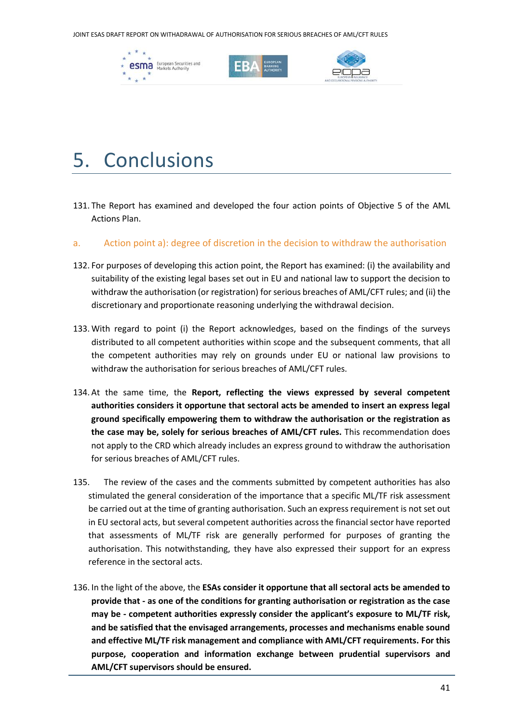JOINT ESAS DRAFT REPORT ON WITHADRAWAL OF AUTHORISATION FOR SERIOUS BREACHES OF AML/CFT RULES







# 5. Conclusions

- 131. The Report has examined and developed the four action points of Objective 5 of the AML Actions Plan.
- a. Action point a): degree of discretion in the decision to withdraw the authorisation
- 132. For purposes of developing this action point, the Report has examined: (i) the availability and suitability of the existing legal bases set out in EU and national law to support the decision to withdraw the authorisation (or registration) for serious breaches of AML/CFT rules; and (ii) the discretionary and proportionate reasoning underlying the withdrawal decision.
- 133. With regard to point (i) the Report acknowledges, based on the findings of the surveys distributed to all competent authorities within scope and the subsequent comments, that all the competent authorities may rely on grounds under EU or national law provisions to withdraw the authorisation for serious breaches of AML/CFT rules.
- 134. At the same time, the **Report, reflecting the views expressed by several competent authorities considers it opportune that sectoral acts be amended to insert an express legal ground specifically empowering them to withdraw the authorisation or the registration as the case may be, solely for serious breaches of AML/CFT rules.** This recommendation does not apply to the CRD which already includes an express ground to withdraw the authorisation for serious breaches of AML/CFT rules.
- 135. The review of the cases and the comments submitted by competent authorities has also stimulated the general consideration of the importance that a specific ML/TF risk assessment be carried out at the time of granting authorisation. Such an express requirement is not set out in EU sectoral acts, but several competent authorities across the financial sector have reported that assessments of ML/TF risk are generally performed for purposes of granting the authorisation. This notwithstanding, they have also expressed their support for an express reference in the sectoral acts.
- 136. In the light of the above, the **ESAs consider it opportune that all sectoral acts be amended to provide that - as one of the conditions for granting authorisation or registration as the case may be - competent authorities expressly consider the applicant's exposure to ML/TF risk, and be satisfied that the envisaged arrangements, processes and mechanisms enable sound and effective ML/TF risk management and compliance with AML/CFT requirements. For this purpose, cooperation and information exchange between prudential supervisors and AML/CFT supervisors should be ensured.**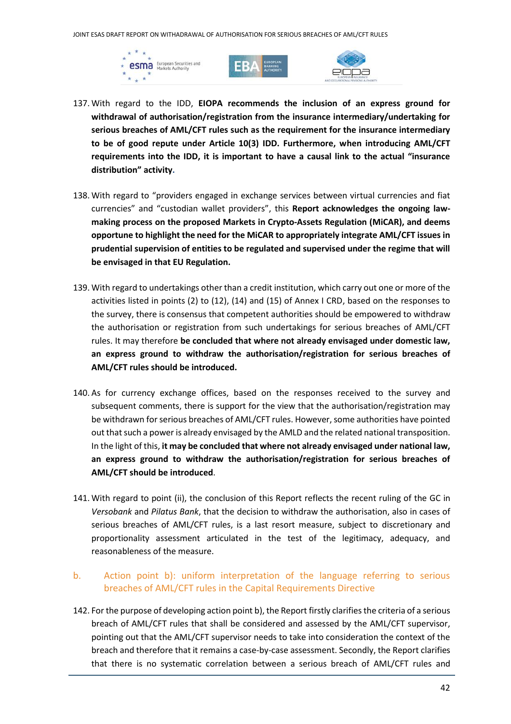





- 137. With regard to the IDD, **EIOPA recommends the inclusion of an express ground for withdrawal of authorisation/registration from the insurance intermediary/undertaking for serious breaches of AML/CFT rules such as the requirement for the insurance intermediary to be of good repute under Article 10(3) IDD. Furthermore, when introducing AML/CFT requirements into the IDD, it is important to have a causal link to the actual "insurance distribution" activity.**
- 138. With regard to "providers engaged in exchange services between virtual currencies and fiat currencies" and "custodian wallet providers", this **Report acknowledges the ongoing lawmaking process on the proposed Markets in Crypto-Assets Regulation (MiCAR), and deems opportune to highlight the need for the MiCAR to appropriately integrate AML/CFT issues in prudential supervision of entities to be regulated and supervised under the regime that will be envisaged in that EU Regulation.**
- 139. With regard to undertakings other than a credit institution, which carry out one or more of the activities listed in points (2) to (12), (14) and (15) of Annex I CRD, based on the responses to the survey, there is consensus that competent authorities should be empowered to withdraw the authorisation or registration from such undertakings for serious breaches of AML/CFT rules. It may therefore **be concluded that where not already envisaged under domestic law, an express ground to withdraw the authorisation/registration for serious breaches of AML/CFT rules should be introduced.**
- 140. As for currency exchange offices, based on the responses received to the survey and subsequent comments, there is support for the view that the authorisation/registration may be withdrawn for serious breaches of AML/CFT rules. However, some authorities have pointed out that such a power is already envisaged by the AMLD and the related national transposition. In the light of this, **it may be concluded that where not already envisaged under national law, an express ground to withdraw the authorisation/registration for serious breaches of AML/CFT should be introduced**.
- 141. With regard to point (ii), the conclusion of this Report reflects the recent ruling of the GC in *Versobank* and *Pilatus Bank*, that the decision to withdraw the authorisation, also in cases of serious breaches of AML/CFT rules, is a last resort measure, subject to discretionary and proportionality assessment articulated in the test of the legitimacy, adequacy, and reasonableness of the measure.
- b. Action point b): uniform interpretation of the language referring to serious breaches of AML/CFT rules in the Capital Requirements Directive
- 142. For the purpose of developing action point b), the Report firstly clarifies the criteria of a serious breach of AML/CFT rules that shall be considered and assessed by the AML/CFT supervisor, pointing out that the AML/CFT supervisor needs to take into consideration the context of the breach and therefore that it remains a case-by-case assessment. Secondly, the Report clarifies that there is no systematic correlation between a serious breach of AML/CFT rules and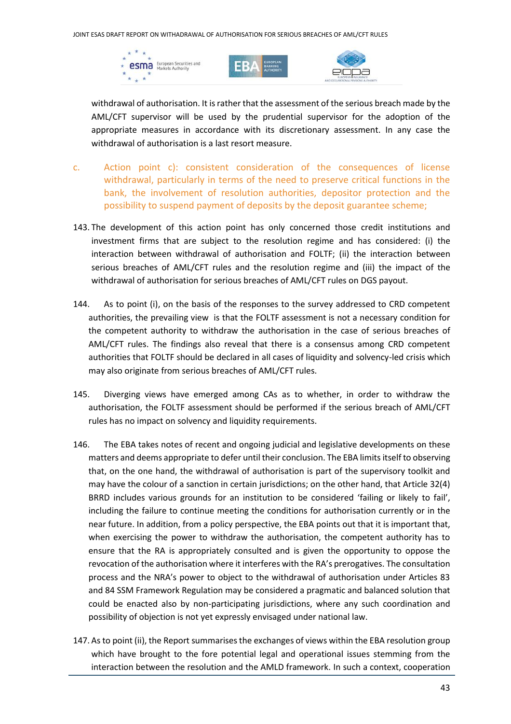





withdrawal of authorisation. It is rather that the assessment of the serious breach made by the AML/CFT supervisor will be used by the prudential supervisor for the adoption of the appropriate measures in accordance with its discretionary assessment. In any case the withdrawal of authorisation is a last resort measure.

- c. Action point c): consistent consideration of the consequences of license withdrawal, particularly in terms of the need to preserve critical functions in the bank, the involvement of resolution authorities, depositor protection and the possibility to suspend payment of deposits by the deposit guarantee scheme;
- 143. The development of this action point has only concerned those credit institutions and investment firms that are subject to the resolution regime and has considered: (i) the interaction between withdrawal of authorisation and FOLTF; (ii) the interaction between serious breaches of AML/CFT rules and the resolution regime and (iii) the impact of the withdrawal of authorisation for serious breaches of AML/CFT rules on DGS payout.
- 144. As to point (i), on the basis of the responses to the survey addressed to CRD competent authorities, the prevailing view is that the FOLTF assessment is not a necessary condition for the competent authority to withdraw the authorisation in the case of serious breaches of AML/CFT rules. The findings also reveal that there is a consensus among CRD competent authorities that FOLTF should be declared in all cases of liquidity and solvency-led crisis which may also originate from serious breaches of AML/CFT rules.
- 145. Diverging views have emerged among CAs as to whether, in order to withdraw the authorisation, the FOLTF assessment should be performed if the serious breach of AML/CFT rules has no impact on solvency and liquidity requirements.
- 146. The EBA takes notes of recent and ongoing judicial and legislative developments on these matters and deems appropriate to defer until their conclusion. The EBA limits itself to observing that, on the one hand, the withdrawal of authorisation is part of the supervisory toolkit and may have the colour of a sanction in certain jurisdictions; on the other hand, that Article 32(4) BRRD includes various grounds for an institution to be considered 'failing or likely to fail', including the failure to continue meeting the conditions for authorisation currently or in the near future. In addition, from a policy perspective, the EBA points out that it is important that, when exercising the power to withdraw the authorisation, the competent authority has to ensure that the RA is appropriately consulted and is given the opportunity to oppose the revocation of the authorisation where it interferes with the RA's prerogatives. The consultation process and the NRA's power to object to the withdrawal of authorisation under Articles 83 and 84 SSM Framework Regulation may be considered a pragmatic and balanced solution that could be enacted also by non-participating jurisdictions, where any such coordination and possibility of objection is not yet expressly envisaged under national law.
- 147. As to point (ii), the Report summarises the exchanges of views within the EBA resolution group which have brought to the fore potential legal and operational issues stemming from the interaction between the resolution and the AMLD framework. In such a context, cooperation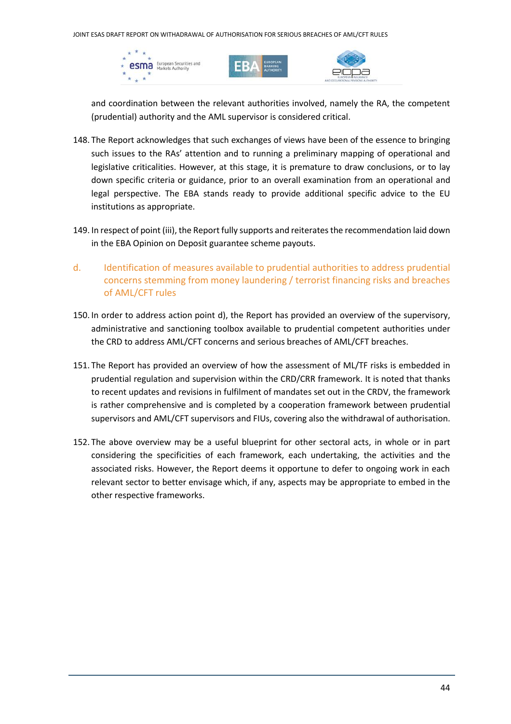





and coordination between the relevant authorities involved, namely the RA, the competent (prudential) authority and the AML supervisor is considered critical.

- 148. The Report acknowledges that such exchanges of views have been of the essence to bringing such issues to the RAs' attention and to running a preliminary mapping of operational and legislative criticalities. However, at this stage, it is premature to draw conclusions, or to lay down specific criteria or guidance, prior to an overall examination from an operational and legal perspective. The EBA stands ready to provide additional specific advice to the EU institutions as appropriate.
- 149. In respect of point (iii), the Report fully supports and reiterates the recommendation laid down in the EBA Opinion on Deposit guarantee scheme payouts.
- d. Identification of measures available to prudential authorities to address prudential concerns stemming from money laundering / terrorist financing risks and breaches of AML/CFT rules
- 150. In order to address action point d), the Report has provided an overview of the supervisory, administrative and sanctioning toolbox available to prudential competent authorities under the CRD to address AML/CFT concerns and serious breaches of AML/CFT breaches.
- 151. The Report has provided an overview of how the assessment of ML/TF risks is embedded in prudential regulation and supervision within the CRD/CRR framework. It is noted that thanks to recent updates and revisions in fulfilment of mandates set out in the CRDV, the framework is rather comprehensive and is completed by a cooperation framework between prudential supervisors and AML/CFT supervisors and FIUs, covering also the withdrawal of authorisation.
- 152. The above overview may be a useful blueprint for other sectoral acts, in whole or in part considering the specificities of each framework, each undertaking, the activities and the associated risks. However, the Report deems it opportune to defer to ongoing work in each relevant sector to better envisage which, if any, aspects may be appropriate to embed in the other respective frameworks.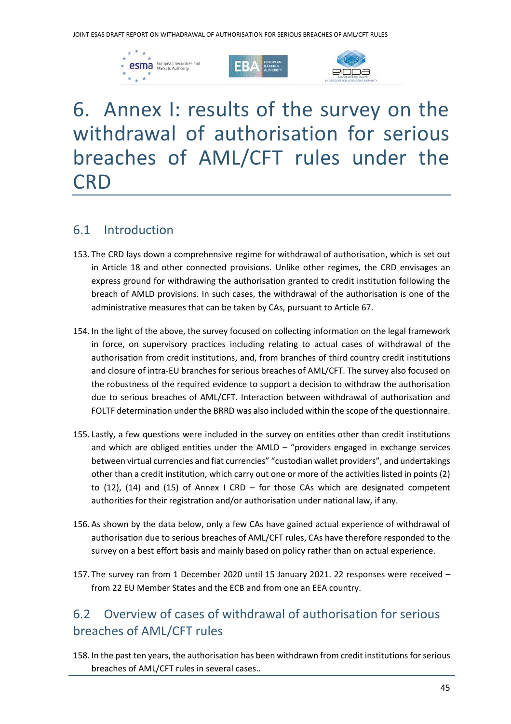





## 6. Annex I: results of the survey on the withdrawal of authorisation for serious breaches of AML/CFT rules under the **CRD**

### 6.1 Introduction

- 153. The CRD lays down a comprehensive regime for withdrawal of authorisation, which is set out in Article 18 and other connected provisions. Unlike other regimes, the CRD envisages an express ground for withdrawing the authorisation granted to credit institution following the breach of AMLD provisions. In such cases, the withdrawal of the authorisation is one of the administrative measures that can be taken by CAs, pursuant to Article 67.
- 154. In the light of the above, the survey focused on collecting information on the legal framework in force, on supervisory practices including relating to actual cases of withdrawal of the authorisation from credit institutions, and, from branches of third country credit institutions and closure of intra-EU branches for serious breaches of AML/CFT. The survey also focused on the robustness of the required evidence to support a decision to withdraw the authorisation due to serious breaches of AML/CFT. Interaction between withdrawal of authorisation and FOLTF determination under the BRRD was also included within the scope of the questionnaire.
- 155. Lastly, a few questions were included in the survey on entities other than credit institutions and which are obliged entities under the AMLD – "providers engaged in exchange services between virtual currencies and fiat currencies" "custodian wallet providers", and undertakings other than a credit institution, which carry out one or more of the activities listed in points (2) to (12), (14) and (15) of Annex I CRD – for those CAs which are designated competent authorities for their registration and/or authorisation under national law, if any.
- 156. As shown by the data below, only a few CAs have gained actual experience of withdrawal of authorisation due to serious breaches of AML/CFT rules, CAs have therefore responded to the survey on a best effort basis and mainly based on policy rather than on actual experience.
- 157. The survey ran from 1 December 2020 until 15 January 2021. 22 responses were received from 22 EU Member States and the ECB and from one an EEA country.

## 6.2 Overview of cases of withdrawal of authorisation for serious breaches of AML/CFT rules

158. In the past ten years, the authorisation has been withdrawn from credit institutions for serious breaches of AML/CFT rules in several cases..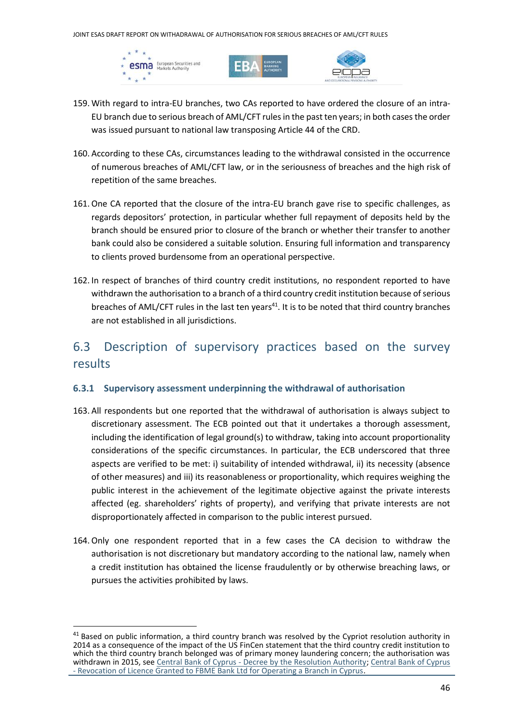





- 159. With regard to intra-EU branches, two CAs reported to have ordered the closure of an intra-EU branch due to serious breach of AML/CFT rules in the past ten years; in both cases the order was issued pursuant to national law transposing Article 44 of the CRD.
- 160. According to these CAs, circumstances leading to the withdrawal consisted in the occurrence of numerous breaches of AML/CFT law, or in the seriousness of breaches and the high risk of repetition of the same breaches.
- 161.One CA reported that the closure of the intra-EU branch gave rise to specific challenges, as regards depositors' protection, in particular whether full repayment of deposits held by the branch should be ensured prior to closure of the branch or whether their transfer to another bank could also be considered a suitable solution. Ensuring full information and transparency to clients proved burdensome from an operational perspective.
- 162. In respect of branches of third country credit institutions, no respondent reported to have withdrawn the authorisation to a branch of a third country credit institution because of serious breaches of AML/CFT rules in the last ten years<sup>41</sup>. It is to be noted that third country branches are not established in all jurisdictions.

## 6.3 Description of supervisory practices based on the survey results

#### **6.3.1 Supervisory assessment underpinning the withdrawal of authorisation**

- 163. All respondents but one reported that the withdrawal of authorisation is always subject to discretionary assessment. The ECB pointed out that it undertakes a thorough assessment, including the identification of legal ground(s) to withdraw, taking into account proportionality considerations of the specific circumstances. In particular, the ECB underscored that three aspects are verified to be met: i) suitability of intended withdrawal, ii) its necessity (absence of other measures) and iii) its reasonableness or proportionality, which requires weighing the public interest in the achievement of the legitimate objective against the private interests affected (eg. shareholders' rights of property), and verifying that private interests are not disproportionately affected in comparison to the public interest pursued.
- 164.Only one respondent reported that in a few cases the CA decision to withdraw the authorisation is not discretionary but mandatory according to the national law, namely when a credit institution has obtained the license fraudulently or by otherwise breaching laws, or pursues the activities prohibited by laws.

<sup>&</sup>lt;sup>41</sup> Based on public information, a third country branch was resolved by the Cypriot resolution authority in 2014 as a consequence of the impact of the US FinCen statement that the third country credit institution to which the third country branch belonged was of primary money laundering concern; the authorisation was withdrawn in 2015, see Central Bank of Cyprus - [Decree by the Resolution Authority;](https://www.centralbank.cy/en/announcements/21072014-1) Central Bank of Cyprus - [Revocation of Licence Granted to FBME Bank Ltd for Operating a Branch in Cyprus.](https://www.centralbank.cy/en/announcements/22122015-1)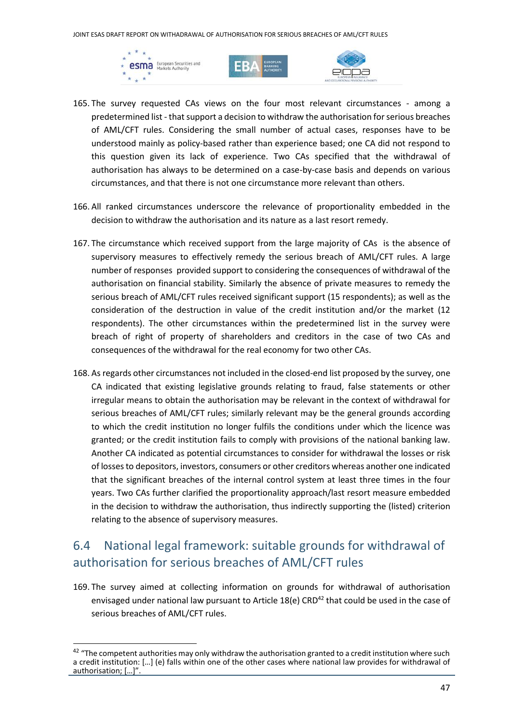





- 165. The survey requested CAs views on the four most relevant circumstances among a predetermined list - that support a decision to withdraw the authorisation for serious breaches of AML/CFT rules. Considering the small number of actual cases, responses have to be understood mainly as policy-based rather than experience based; one CA did not respond to this question given its lack of experience. Two CAs specified that the withdrawal of authorisation has always to be determined on a case-by-case basis and depends on various circumstances, and that there is not one circumstance more relevant than others.
- 166. All ranked circumstances underscore the relevance of proportionality embedded in the decision to withdraw the authorisation and its nature as a last resort remedy.
- 167. The circumstance which received support from the large majority of CAs is the absence of supervisory measures to effectively remedy the serious breach of AML/CFT rules. A large number of responses provided support to considering the consequences of withdrawal of the authorisation on financial stability. Similarly the absence of private measures to remedy the serious breach of AML/CFT rules received significant support (15 respondents); as well as the consideration of the destruction in value of the credit institution and/or the market (12 respondents). The other circumstances within the predetermined list in the survey were breach of right of property of shareholders and creditors in the case of two CAs and consequences of the withdrawal for the real economy for two other CAs.
- 168. As regards other circumstances not included in the closed-end list proposed by the survey, one CA indicated that existing legislative grounds relating to fraud, false statements or other irregular means to obtain the authorisation may be relevant in the context of withdrawal for serious breaches of AML/CFT rules; similarly relevant may be the general grounds according to which the credit institution no longer fulfils the conditions under which the licence was granted; or the credit institution fails to comply with provisions of the national banking law. Another CA indicated as potential circumstances to consider for withdrawal the losses or risk of lossesto depositors, investors, consumers or other creditors whereas another one indicated that the significant breaches of the internal control system at least three times in the four years. Two CAs further clarified the proportionality approach/last resort measure embedded in the decision to withdraw the authorisation, thus indirectly supporting the (listed) criterion relating to the absence of supervisory measures.

## 6.4 National legal framework: suitable grounds for withdrawal of authorisation for serious breaches of AML/CFT rules

169. The survey aimed at collecting information on grounds for withdrawal of authorisation envisaged under national law pursuant to Article  $18(e)$  CRD<sup>42</sup> that could be used in the case of serious breaches of AML/CFT rules.

 $42$  "The competent authorities may only withdraw the authorisation granted to a credit institution where such a credit institution: […] (e) falls within one of the other cases where national law provides for withdrawal of authorisation; […]".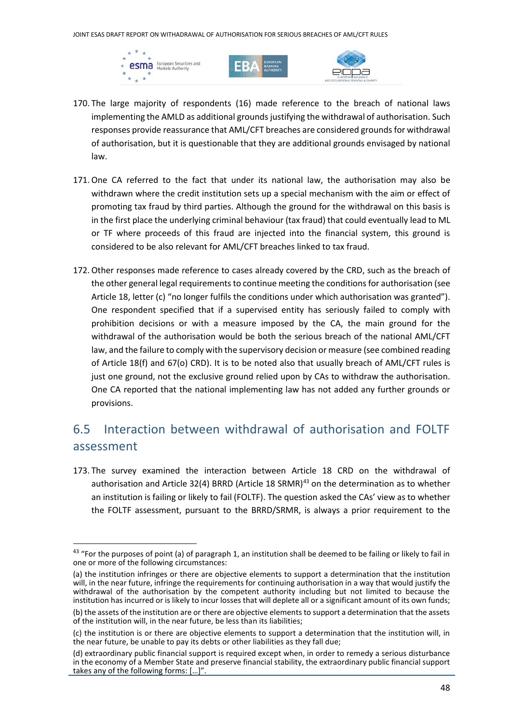





- 170. The large majority of respondents (16) made reference to the breach of national laws implementing the AMLD as additional grounds justifying the withdrawal of authorisation. Such responses provide reassurance that AML/CFT breaches are considered grounds for withdrawal of authorisation, but it is questionable that they are additional grounds envisaged by national law.
- 171.One CA referred to the fact that under its national law, the authorisation may also be withdrawn where the credit institution sets up a special mechanism with the aim or effect of promoting tax fraud by third parties. Although the ground for the withdrawal on this basis is in the first place the underlying criminal behaviour (tax fraud) that could eventually lead to ML or TF where proceeds of this fraud are injected into the financial system, this ground is considered to be also relevant for AML/CFT breaches linked to tax fraud.
- 172.Other responses made reference to cases already covered by the CRD, such as the breach of the other general legal requirements to continue meeting the conditions for authorisation (see Article 18, letter (c) "no longer fulfils the conditions under which authorisation was granted"). One respondent specified that if a supervised entity has seriously failed to comply with prohibition decisions or with a measure imposed by the CA, the main ground for the withdrawal of the authorisation would be both the serious breach of the national AML/CFT law, and the failure to comply with the supervisory decision or measure (see combined reading of Article 18(f) and 67(o) CRD). It is to be noted also that usually breach of AML/CFT rules is just one ground, not the exclusive ground relied upon by CAs to withdraw the authorisation. One CA reported that the national implementing law has not added any further grounds or provisions.

### 6.5 Interaction between withdrawal of authorisation and FOLTF assessment

<span id="page-47-0"></span>173. The survey examined the interaction between Article 18 CRD on the withdrawal of authorisation and Article 32(4) BRRD (Article 18 SRMR) $43$  on the determination as to whether an institution is failing or likely to fail (FOLTF). The question asked the CAs' view as to whether the FOLTF assessment, pursuant to the BRRD/SRMR, is always a prior requirement to the

<sup>&</sup>lt;sup>43</sup> "For the purposes of point (a) of paragraph 1, an institution shall be deemed to be failing or likely to fail in one or more of the following circumstances:

<sup>(</sup>a) the institution infringes or there are objective elements to support a determination that the institution will, in the near future, infringe the requirements for continuing authorisation in a way that would justify the withdrawal of the authorisation by the competent authority including but not limited to because the institution has incurred or is likely to incur losses that will deplete all or a significant amount of its own funds;

<sup>(</sup>b) the assets of the institution are or there are objective elements to support a determination that the assets of the institution will, in the near future, be less than its liabilities;

<sup>(</sup>c) the institution is or there are objective elements to support a determination that the institution will, in the near future, be unable to pay its debts or other liabilities as they fall due;

<sup>(</sup>d) extraordinary public financial support is required except when, in order to remedy a serious disturbance in the economy of a Member State and preserve financial stability, the extraordinary public financial support takes any of the following forms: […]".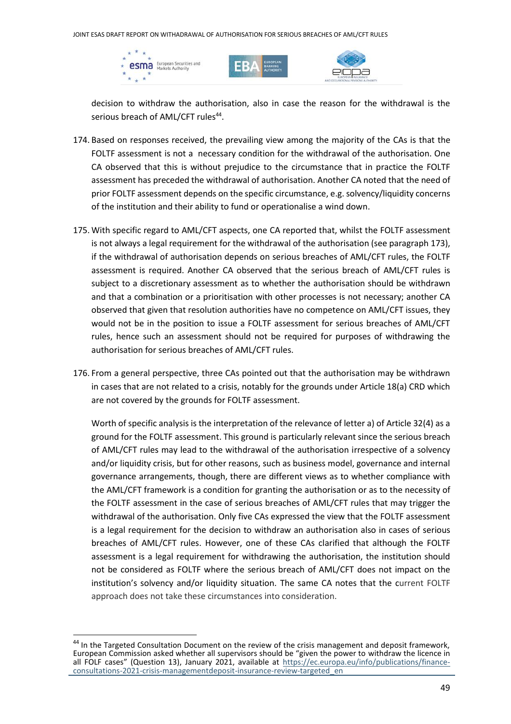





decision to withdraw the authorisation, also in case the reason for the withdrawal is the serious breach of AML/CFT rules<sup>44</sup>.

- 174. Based on responses received, the prevailing view among the majority of the CAs is that the FOLTF assessment is not a necessary condition for the withdrawal of the authorisation. One CA observed that this is without prejudice to the circumstance that in practice the FOLTF assessment has preceded the withdrawal of authorisation. Another CA noted that the need of prior FOLTF assessment depends on the specific circumstance, e.g. solvency/liquidity concerns of the institution and their ability to fund or operationalise a wind down.
- 175. With specific regard to AML/CFT aspects, one CA reported that, whilst the FOLTF assessment is not always a legal requirement for the withdrawal of the authorisation (see paragrap[h 173\)](#page-47-0), if the withdrawal of authorisation depends on serious breaches of AML/CFT rules, the FOLTF assessment is required. Another CA observed that the serious breach of AML/CFT rules is subject to a discretionary assessment as to whether the authorisation should be withdrawn and that a combination or a prioritisation with other processes is not necessary; another CA observed that given that resolution authorities have no competence on AML/CFT issues, they would not be in the position to issue a FOLTF assessment for serious breaches of AML/CFT rules, hence such an assessment should not be required for purposes of withdrawing the authorisation for serious breaches of AML/CFT rules.
- 176. From a general perspective, three CAs pointed out that the authorisation may be withdrawn in cases that are not related to a crisis, notably for the grounds under Article 18(a) CRD which are not covered by the grounds for FOLTF assessment.

Worth of specific analysis is the interpretation of the relevance of letter a) of Article 32(4) as a ground for the FOLTF assessment. This ground is particularly relevant since the serious breach of AML/CFT rules may lead to the withdrawal of the authorisation irrespective of a solvency and/or liquidity crisis, but for other reasons, such as business model, governance and internal governance arrangements, though, there are different views as to whether compliance with the AML/CFT framework is a condition for granting the authorisation or as to the necessity of the FOLTF assessment in the case of serious breaches of AML/CFT rules that may trigger the withdrawal of the authorisation. Only five CAs expressed the view that the FOLTF assessment is a legal requirement for the decision to withdraw an authorisation also in cases of serious breaches of AML/CFT rules. However, one of these CAs clarified that although the FOLTF assessment is a legal requirement for withdrawing the authorisation, the institution should not be considered as FOLTF where the serious breach of AML/CFT does not impact on the institution's solvency and/or liquidity situation. The same CA notes that the current FOLTF approach does not take these circumstances into consideration.

<sup>&</sup>lt;sup>44</sup> In the Targeted Consultation Document on the review of the crisis management and deposit framework, European Commission asked whether all supervisors should be "given the power to withdraw the licence in all FOLF cases" (Question 13), January 2021, available at [https://ec.europa.eu/info/publications/finance](https://ec.europa.eu/info/publications/finance-consultations-2021-crisis-managementdeposit-insurance-review-targeted_en)[consultations-2021-crisis-managementdeposit-insurance-review-targeted\\_en](https://ec.europa.eu/info/publications/finance-consultations-2021-crisis-managementdeposit-insurance-review-targeted_en)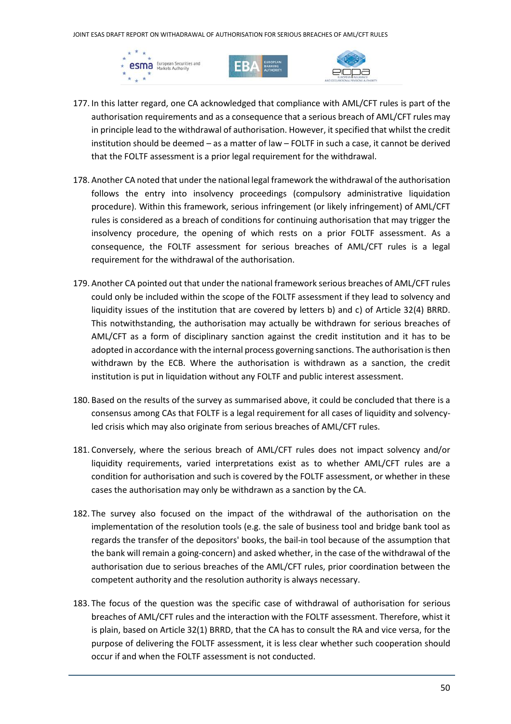





- 177. In this latter regard, one CA acknowledged that compliance with AML/CFT rules is part of the authorisation requirements and as a consequence that a serious breach of AML/CFT rules may in principle lead to the withdrawal of authorisation. However, it specified that whilst the credit institution should be deemed – as a matter of law – FOLTF in such a case, it cannot be derived that the FOLTF assessment is a prior legal requirement for the withdrawal.
- 178. Another CA noted that under the national legal framework the withdrawal of the authorisation follows the entry into insolvency proceedings (compulsory administrative liquidation procedure). Within this framework, serious infringement (or likely infringement) of AML/CFT rules is considered as a breach of conditions for continuing authorisation that may trigger the insolvency procedure, the opening of which rests on a prior FOLTF assessment. As a consequence, the FOLTF assessment for serious breaches of AML/CFT rules is a legal requirement for the withdrawal of the authorisation.
- 179. Another CA pointed out that under the national framework serious breaches of AML/CFT rules could only be included within the scope of the FOLTF assessment if they lead to solvency and liquidity issues of the institution that are covered by letters b) and c) of Article 32(4) BRRD. This notwithstanding, the authorisation may actually be withdrawn for serious breaches of AML/CFT as a form of disciplinary sanction against the credit institution and it has to be adopted in accordance with the internal process governing sanctions. The authorisation is then withdrawn by the ECB. Where the authorisation is withdrawn as a sanction, the credit institution is put in liquidation without any FOLTF and public interest assessment.
- 180. Based on the results of the survey as summarised above, it could be concluded that there is a consensus among CAs that FOLTF is a legal requirement for all cases of liquidity and solvencyled crisis which may also originate from serious breaches of AML/CFT rules.
- 181. Conversely, where the serious breach of AML/CFT rules does not impact solvency and/or liquidity requirements, varied interpretations exist as to whether AML/CFT rules are a condition for authorisation and such is covered by the FOLTF assessment, or whether in these cases the authorisation may only be withdrawn as a sanction by the CA.
- 182. The survey also focused on the impact of the withdrawal of the authorisation on the implementation of the resolution tools (e.g. the sale of business tool and bridge bank tool as regards the transfer of the depositors' books, the bail-in tool because of the assumption that the bank will remain a going-concern) and asked whether, in the case of the withdrawal of the authorisation due to serious breaches of the AML/CFT rules, prior coordination between the competent authority and the resolution authority is always necessary.
- 183. The focus of the question was the specific case of withdrawal of authorisation for serious breaches of AML/CFT rules and the interaction with the FOLTF assessment. Therefore, whist it is plain, based on Article 32(1) BRRD, that the CA has to consult the RA and vice versa, for the purpose of delivering the FOLTF assessment, it is less clear whether such cooperation should occur if and when the FOLTF assessment is not conducted.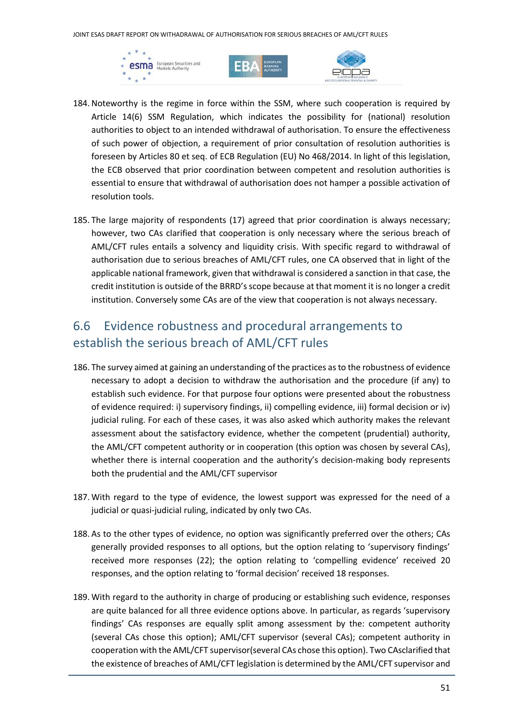JOINT ESAS DRAFT REPORT ON WITHADRAWAL OF AUTHORISATION FOR SERIOUS BREACHES OF AML/CFT RULES







- 184. Noteworthy is the regime in force within the SSM, where such cooperation is required by Article 14(6) SSM Regulation, which indicates the possibility for (national) resolution authorities to object to an intended withdrawal of authorisation. To ensure the effectiveness of such power of objection, a requirement of prior consultation of resolution authorities is foreseen by Articles 80 et seq. of ECB Regulation (EU) No 468/2014. In light of this legislation, the ECB observed that prior coordination between competent and resolution authorities is essential to ensure that withdrawal of authorisation does not hamper a possible activation of resolution tools.
- 185. The large majority of respondents (17) agreed that prior coordination is always necessary; however, two CAs clarified that cooperation is only necessary where the serious breach of AML/CFT rules entails a solvency and liquidity crisis. With specific regard to withdrawal of authorisation due to serious breaches of AML/CFT rules, one CA observed that in light of the applicable national framework, given that withdrawal is considered a sanction in that case, the credit institution is outside of the BRRD's scope because at that moment it is no longer a credit institution. Conversely some CAs are of the view that cooperation is not always necessary.

## 6.6 Evidence robustness and procedural arrangements to establish the serious breach of AML/CFT rules

- 186. The survey aimed at gaining an understanding of the practices as to the robustness of evidence necessary to adopt a decision to withdraw the authorisation and the procedure (if any) to establish such evidence. For that purpose four options were presented about the robustness of evidence required: i) supervisory findings, ii) compelling evidence, iii) formal decision or iv) judicial ruling. For each of these cases, it was also asked which authority makes the relevant assessment about the satisfactory evidence, whether the competent (prudential) authority, the AML/CFT competent authority or in cooperation (this option was chosen by several CAs), whether there is internal cooperation and the authority's decision-making body represents both the prudential and the AML/CFT supervisor
- 187. With regard to the type of evidence, the lowest support was expressed for the need of a judicial or quasi-judicial ruling, indicated by only two CAs.
- 188. As to the other types of evidence, no option was significantly preferred over the others; CAs generally provided responses to all options, but the option relating to 'supervisory findings' received more responses (22); the option relating to 'compelling evidence' received 20 responses, and the option relating to 'formal decision' received 18 responses.
- 189. With regard to the authority in charge of producing or establishing such evidence, responses are quite balanced for all three evidence options above. In particular, as regards 'supervisory findings' CAs responses are equally split among assessment by the: competent authority (several CAs chose this option); AML/CFT supervisor (several CAs); competent authority in cooperation with the AML/CFT supervisor(several CAs chose this option). Two CAsclarified that the existence of breaches of AML/CFT legislation is determined by the AML/CFT supervisor and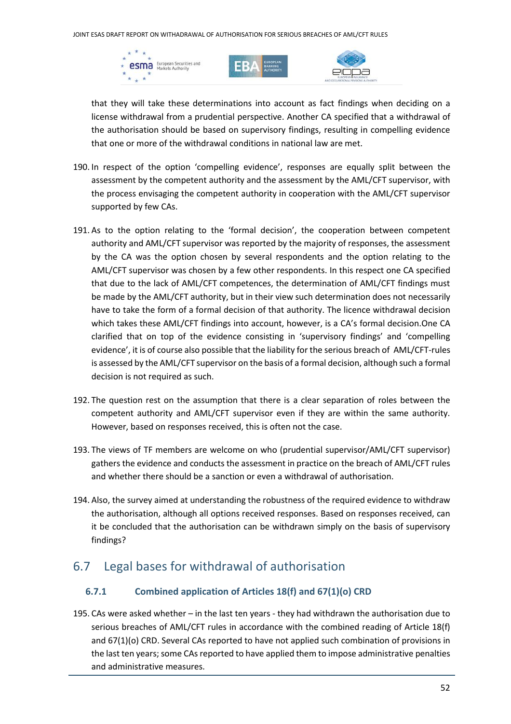





that they will take these determinations into account as fact findings when deciding on a license withdrawal from a prudential perspective. Another CA specified that a withdrawal of the authorisation should be based on supervisory findings, resulting in compelling evidence that one or more of the withdrawal conditions in national law are met.

- 190. In respect of the option 'compelling evidence', responses are equally split between the assessment by the competent authority and the assessment by the AML/CFT supervisor, with the process envisaging the competent authority in cooperation with the AML/CFT supervisor supported by few CAs.
- 191. As to the option relating to the 'formal decision', the cooperation between competent authority and AML/CFT supervisor was reported by the majority of responses, the assessment by the CA was the option chosen by several respondents and the option relating to the AML/CFT supervisor was chosen by a few other respondents. In this respect one CA specified that due to the lack of AML/CFT competences, the determination of AML/CFT findings must be made by the AML/CFT authority, but in their view such determination does not necessarily have to take the form of a formal decision of that authority. The licence withdrawal decision which takes these AML/CFT findings into account, however, is a CA's formal decision.One CA clarified that on top of the evidence consisting in 'supervisory findings' and 'compelling evidence', it is of course also possible that the liability for the serious breach of AML/CFT-rules is assessed by the AML/CFT supervisor on the basis of a formal decision, although such a formal decision is not required as such.
- 192. The question rest on the assumption that there is a clear separation of roles between the competent authority and AML/CFT supervisor even if they are within the same authority. However, based on responses received, this is often not the case.
- 193. The views of TF members are welcome on who (prudential supervisor/AML/CFT supervisor) gathers the evidence and conducts the assessment in practice on the breach of AML/CFT rules and whether there should be a sanction or even a withdrawal of authorisation.
- 194. Also, the survey aimed at understanding the robustness of the required evidence to withdraw the authorisation, although all options received responses. Based on responses received, can it be concluded that the authorisation can be withdrawn simply on the basis of supervisory findings?

#### 6.7 Legal bases for withdrawal of authorisation

#### **6.7.1 Combined application of Articles 18(f) and 67(1)(o) CRD**

195. CAs were asked whether – in the last ten years - they had withdrawn the authorisation due to serious breaches of AML/CFT rules in accordance with the combined reading of Article 18(f) and 67(1)(o) CRD. Several CAs reported to have not applied such combination of provisions in the last ten years; some CAs reported to have applied them to impose administrative penalties and administrative measures.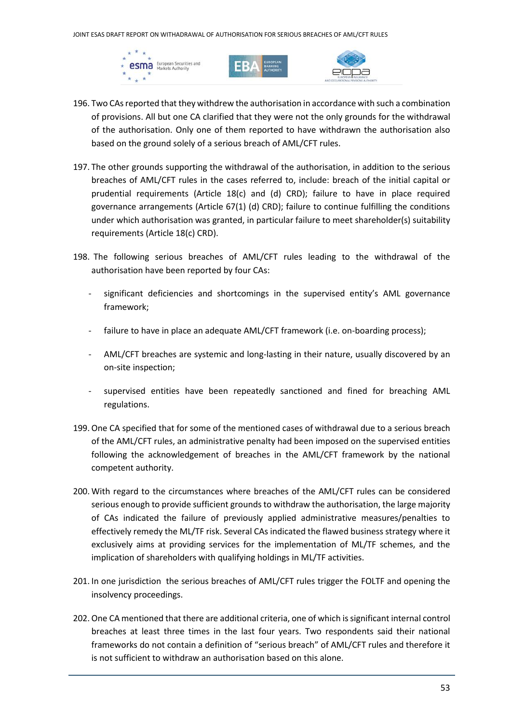





- 196. Two CAs reported that they withdrew the authorisation in accordance with such a combination of provisions. All but one CA clarified that they were not the only grounds for the withdrawal of the authorisation. Only one of them reported to have withdrawn the authorisation also based on the ground solely of a serious breach of AML/CFT rules.
- 197. The other grounds supporting the withdrawal of the authorisation, in addition to the serious breaches of AML/CFT rules in the cases referred to, include: breach of the initial capital or prudential requirements (Article 18(c) and (d) CRD); failure to have in place required governance arrangements (Article 67(1) (d) CRD); failure to continue fulfilling the conditions under which authorisation was granted, in particular failure to meet shareholder(s) suitability requirements (Article 18(c) CRD).
- 198. The following serious breaches of AML/CFT rules leading to the withdrawal of the authorisation have been reported by four CAs:
	- significant deficiencies and shortcomings in the supervised entity's AML governance framework;
	- failure to have in place an adequate AML/CFT framework (i.e. on-boarding process);
	- AML/CFT breaches are systemic and long-lasting in their nature, usually discovered by an on-site inspection;
	- supervised entities have been repeatedly sanctioned and fined for breaching AML regulations.
- 199.One CA specified that for some of the mentioned cases of withdrawal due to a serious breach of the AML/CFT rules, an administrative penalty had been imposed on the supervised entities following the acknowledgement of breaches in the AML/CFT framework by the national competent authority.
- 200. With regard to the circumstances where breaches of the AML/CFT rules can be considered serious enough to provide sufficient grounds to withdraw the authorisation, the large majority of CAs indicated the failure of previously applied administrative measures/penalties to effectively remedy the ML/TF risk. Several CAs indicated the flawed business strategy where it exclusively aims at providing services for the implementation of ML/TF schemes, and the implication of shareholders with qualifying holdings in ML/TF activities.
- 201. In one jurisdiction the serious breaches of AML/CFT rules trigger the FOLTF and opening the insolvency proceedings.
- 202.One CA mentioned that there are additional criteria, one of which is significant internal control breaches at least three times in the last four years. Two respondents said their national frameworks do not contain a definition of "serious breach" of AML/CFT rules and therefore it is not sufficient to withdraw an authorisation based on this alone.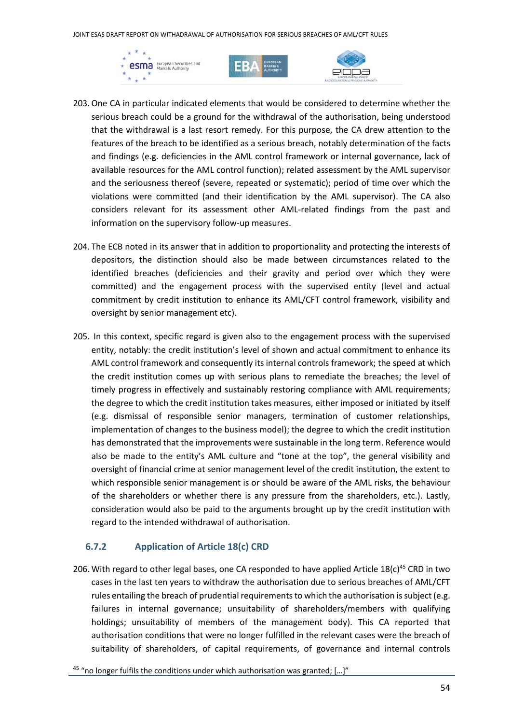JOINT ESAS DRAFT REPORT ON WITHADRAWAL OF AUTHORISATION FOR SERIOUS BREACHES OF AML/CFT RULES







- 203.One CA in particular indicated elements that would be considered to determine whether the serious breach could be a ground for the withdrawal of the authorisation, being understood that the withdrawal is a last resort remedy. For this purpose, the CA drew attention to the features of the breach to be identified as a serious breach, notably determination of the facts and findings (e.g. deficiencies in the AML control framework or internal governance, lack of available resources for the AML control function); related assessment by the AML supervisor and the seriousness thereof (severe, repeated or systematic); period of time over which the violations were committed (and their identification by the AML supervisor). The CA also considers relevant for its assessment other AML-related findings from the past and information on the supervisory follow-up measures.
- 204. The ECB noted in its answer that in addition to proportionality and protecting the interests of depositors, the distinction should also be made between circumstances related to the identified breaches (deficiencies and their gravity and period over which they were committed) and the engagement process with the supervised entity (level and actual commitment by credit institution to enhance its AML/CFT control framework, visibility and oversight by senior management etc).
- 205. In this context, specific regard is given also to the engagement process with the supervised entity, notably: the credit institution's level of shown and actual commitment to enhance its AML control framework and consequently its internal controls framework; the speed at which the credit institution comes up with serious plans to remediate the breaches; the level of timely progress in effectively and sustainably restoring compliance with AML requirements; the degree to which the credit institution takes measures, either imposed or initiated by itself (e.g. dismissal of responsible senior managers, termination of customer relationships, implementation of changes to the business model); the degree to which the credit institution has demonstrated that the improvements were sustainable in the long term. Reference would also be made to the entity's AML culture and "tone at the top", the general visibility and oversight of financial crime at senior management level of the credit institution, the extent to which responsible senior management is or should be aware of the AML risks, the behaviour of the shareholders or whether there is any pressure from the shareholders, etc.). Lastly, consideration would also be paid to the arguments brought up by the credit institution with regard to the intended withdrawal of authorisation.

#### **6.7.2 Application of Article 18(c) CRD**

206. With regard to other legal bases, one CA responded to have applied Article  $18(c)^{45}$  CRD in two cases in the last ten years to withdraw the authorisation due to serious breaches of AML/CFT rules entailing the breach of prudential requirements to which the authorisation is subject (e.g. failures in internal governance; unsuitability of shareholders/members with qualifying holdings; unsuitability of members of the management body). This CA reported that authorisation conditions that were no longer fulfilled in the relevant cases were the breach of suitability of shareholders, of capital requirements, of governance and internal controls

<sup>&</sup>lt;sup>45</sup> "no longer fulfils the conditions under which authorisation was granted; [...]"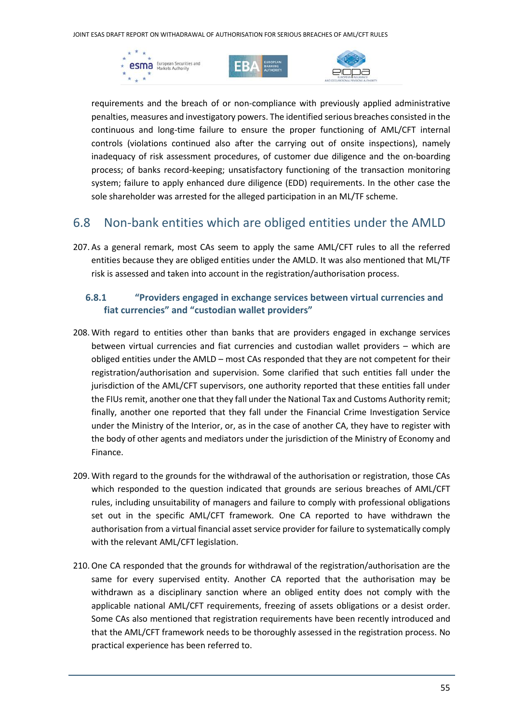





requirements and the breach of or non-compliance with previously applied administrative penalties, measures and investigatory powers. The identified serious breaches consisted in the continuous and long-time failure to ensure the proper functioning of AML/CFT internal controls (violations continued also after the carrying out of onsite inspections), namely inadequacy of risk assessment procedures, of customer due diligence and the on-boarding process; of banks record-keeping; unsatisfactory functioning of the transaction monitoring system; failure to apply enhanced dure diligence (EDD) requirements. In the other case the sole shareholder was arrested for the alleged participation in an ML/TF scheme.

#### 6.8 Non-bank entities which are obliged entities under the AMLD

207. As a general remark, most CAs seem to apply the same AML/CFT rules to all the referred entities because they are obliged entities under the AMLD. It was also mentioned that ML/TF risk is assessed and taken into account in the registration/authorisation process.

#### **6.8.1 "Providers engaged in exchange services between virtual currencies and fiat currencies" and "custodian wallet providers"**

- 208. With regard to entities other than banks that are providers engaged in exchange services between virtual currencies and fiat currencies and custodian wallet providers – which are obliged entities under the AMLD – most CAs responded that they are not competent for their registration/authorisation and supervision. Some clarified that such entities fall under the jurisdiction of the AML/CFT supervisors, one authority reported that these entities fall under the FIUs remit, another one that they fall under the National Tax and Customs Authority remit; finally, another one reported that they fall under the Financial Crime Investigation Service under the Ministry of the Interior, or, as in the case of another CA, they have to register with the body of other agents and mediators under the jurisdiction of the Ministry of Economy and Finance.
- 209. With regard to the grounds for the withdrawal of the authorisation or registration, those CAs which responded to the question indicated that grounds are serious breaches of AML/CFT rules, including unsuitability of managers and failure to comply with professional obligations set out in the specific AML/CFT framework. One CA reported to have withdrawn the authorisation from a virtual financial asset service provider for failure to systematically comply with the relevant AML/CFT legislation.
- 210.One CA responded that the grounds for withdrawal of the registration/authorisation are the same for every supervised entity. Another CA reported that the authorisation may be withdrawn as a disciplinary sanction where an obliged entity does not comply with the applicable national AML/CFT requirements, freezing of assets obligations or a desist order. Some CAs also mentioned that registration requirements have been recently introduced and that the AML/CFT framework needs to be thoroughly assessed in the registration process. No practical experience has been referred to.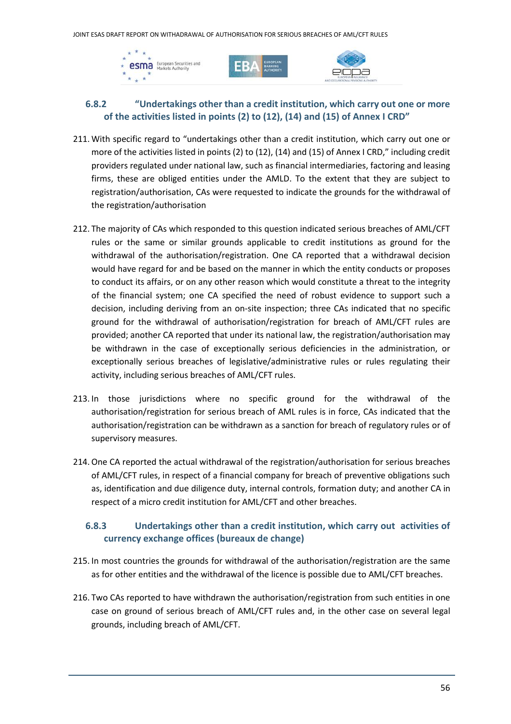





#### **6.8.2 "Undertakings other than a credit institution, which carry out one or more of the activities listed in points (2) to (12), (14) and (15) of Annex I CRD"**

- 211. With specific regard to "undertakings other than a credit institution, which carry out one or more of the activities listed in points (2) to (12), (14) and (15) of Annex I CRD," including credit providers regulated under national law, such as financial intermediaries, factoring and leasing firms, these are obliged entities under the AMLD. To the extent that they are subject to registration/authorisation, CAs were requested to indicate the grounds for the withdrawal of the registration/authorisation
- 212. The majority of CAs which responded to this question indicated serious breaches of AML/CFT rules or the same or similar grounds applicable to credit institutions as ground for the withdrawal of the authorisation/registration. One CA reported that a withdrawal decision would have regard for and be based on the manner in which the entity conducts or proposes to conduct its affairs, or on any other reason which would constitute a threat to the integrity of the financial system; one CA specified the need of robust evidence to support such a decision, including deriving from an on-site inspection; three CAs indicated that no specific ground for the withdrawal of authorisation/registration for breach of AML/CFT rules are provided; another CA reported that under its national law, the registration/authorisation may be withdrawn in the case of exceptionally serious deficiencies in the administration, or exceptionally serious breaches of legislative/administrative rules or rules regulating their activity, including serious breaches of AML/CFT rules.
- 213. In those jurisdictions where no specific ground for the withdrawal of the authorisation/registration for serious breach of AML rules is in force, CAs indicated that the authorisation/registration can be withdrawn as a sanction for breach of regulatory rules or of supervisory measures.
- 214.One CA reported the actual withdrawal of the registration/authorisation for serious breaches of AML/CFT rules, in respect of a financial company for breach of preventive obligations such as, identification and due diligence duty, internal controls, formation duty; and another CA in respect of a micro credit institution for AML/CFT and other breaches.

#### **6.8.3 Undertakings other than a credit institution, which carry out activities of currency exchange offices (bureaux de change)**

- 215. In most countries the grounds for withdrawal of the authorisation/registration are the same as for other entities and the withdrawal of the licence is possible due to AML/CFT breaches.
- 216. Two CAs reported to have withdrawn the authorisation/registration from such entities in one case on ground of serious breach of AML/CFT rules and, in the other case on several legal grounds, including breach of AML/CFT.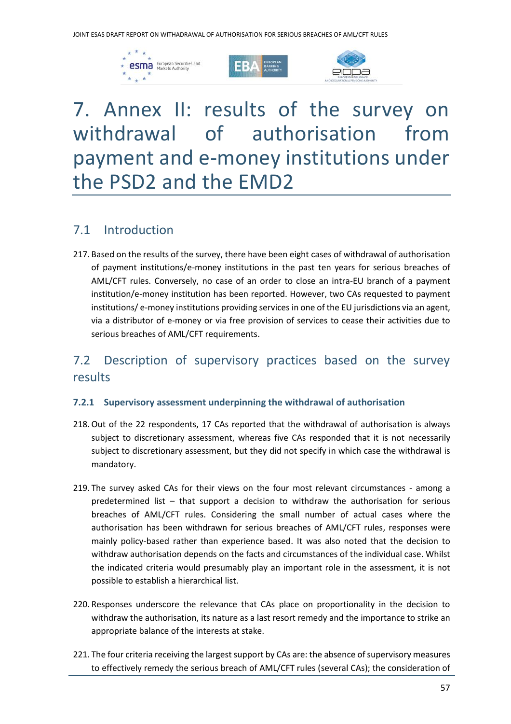





## 7. Annex II: results of the survey on withdrawal of authorisation from payment and e‐money institutions under the PSD2 and the EMD2

#### 7.1 Introduction

217. Based on the results of the survey, there have been eight cases of withdrawal of authorisation of payment institutions/e-money institutions in the past ten years for serious breaches of AML/CFT rules. Conversely, no case of an order to close an intra-EU branch of a payment institution/e-money institution has been reported. However, two CAs requested to payment institutions/ e-money institutions providing services in one of the EU jurisdictions via an agent, via a distributor of e-money or via free provision of services to cease their activities due to serious breaches of AML/CFT requirements.

### 7.2 Description of supervisory practices based on the survey results

#### **7.2.1 Supervisory assessment underpinning the withdrawal of authorisation**

- 218.Out of the 22 respondents, 17 CAs reported that the withdrawal of authorisation is always subject to discretionary assessment, whereas five CAs responded that it is not necessarily subject to discretionary assessment, but they did not specify in which case the withdrawal is mandatory.
- 219. The survey asked CAs for their views on the four most relevant circumstances among a predetermined list – that support a decision to withdraw the authorisation for serious breaches of AML/CFT rules. Considering the small number of actual cases where the authorisation has been withdrawn for serious breaches of AML/CFT rules, responses were mainly policy-based rather than experience based. It was also noted that the decision to withdraw authorisation depends on the facts and circumstances of the individual case. Whilst the indicated criteria would presumably play an important role in the assessment, it is not possible to establish a hierarchical list.
- 220. Responses underscore the relevance that CAs place on proportionality in the decision to withdraw the authorisation, its nature as a last resort remedy and the importance to strike an appropriate balance of the interests at stake.
- 221. The four criteria receiving the largest support by CAs are: the absence of supervisory measures to effectively remedy the serious breach of AML/CFT rules (several CAs); the consideration of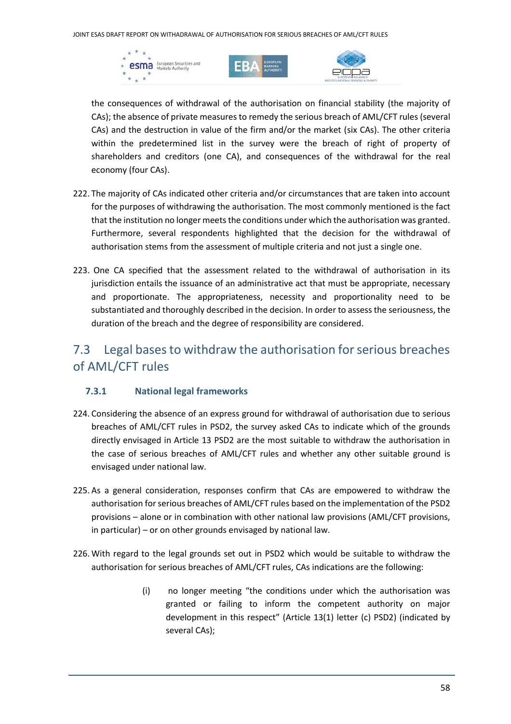





the consequences of withdrawal of the authorisation on financial stability (the majority of CAs); the absence of private measures to remedy the serious breach of AML/CFT rules (several CAs) and the destruction in value of the firm and/or the market (six CAs). The other criteria within the predetermined list in the survey were the breach of right of property of shareholders and creditors (one CA), and consequences of the withdrawal for the real economy (four CAs).

- 222. The majority of CAs indicated other criteria and/or circumstances that are taken into account for the purposes of withdrawing the authorisation. The most commonly mentioned is the fact that the institution no longer meets the conditions under which the authorisation was granted. Furthermore, several respondents highlighted that the decision for the withdrawal of authorisation stems from the assessment of multiple criteria and not just a single one.
- 223. One CA specified that the assessment related to the withdrawal of authorisation in its jurisdiction entails the issuance of an administrative act that must be appropriate, necessary and proportionate. The appropriateness, necessity and proportionality need to be substantiated and thoroughly described in the decision. In order to assess the seriousness, the duration of the breach and the degree of responsibility are considered.

## 7.3 Legal bases to withdraw the authorisation for serious breaches of AML/CFT rules

#### **7.3.1 National legal frameworks**

- 224. Considering the absence of an express ground for withdrawal of authorisation due to serious breaches of AML/CFT rules in PSD2, the survey asked CAs to indicate which of the grounds directly envisaged in Article 13 PSD2 are the most suitable to withdraw the authorisation in the case of serious breaches of AML/CFT rules and whether any other suitable ground is envisaged under national law.
- 225. As a general consideration, responses confirm that CAs are empowered to withdraw the authorisation for serious breaches of AML/CFT rules based on the implementation of the PSD2 provisions – alone or in combination with other national law provisions (AML/CFT provisions, in particular) – or on other grounds envisaged by national law.
- 226. With regard to the legal grounds set out in PSD2 which would be suitable to withdraw the authorisation for serious breaches of AML/CFT rules, CAs indications are the following:
	- (i) no longer meeting "the conditions under which the authorisation was granted or failing to inform the competent authority on major development in this respect" (Article 13(1) letter (c) PSD2) (indicated by several CAs);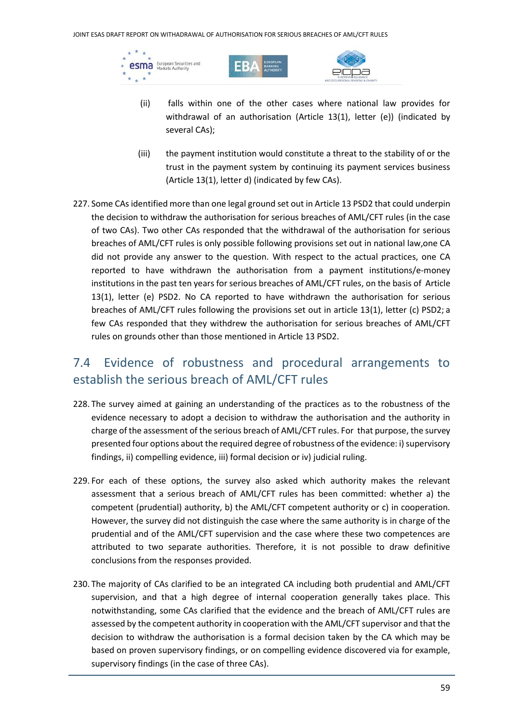esma European Securities and  $\star$ 





- (ii) falls within one of the other cases where national law provides for withdrawal of an authorisation (Article 13(1), letter (e)) (indicated by several CAs);
- (iii) the payment institution would constitute a threat to the stability of or the trust in the payment system by continuing its payment services business (Article 13(1), letter d) (indicated by few CAs).
- 227. Some CAs identified more than one legal ground set out in Article 13 PSD2 that could underpin the decision to withdraw the authorisation for serious breaches of AML/CFT rules (in the case of two CAs). Two other CAs responded that the withdrawal of the authorisation for serious breaches of AML/CFT rules is only possible following provisions set out in national law,one CA did not provide any answer to the question. With respect to the actual practices, one CA reported to have withdrawn the authorisation from a payment institutions/e-money institutions in the past ten years for serious breaches of AML/CFT rules, on the basis of Article 13(1), letter (e) PSD2. No CA reported to have withdrawn the authorisation for serious breaches of AML/CFT rules following the provisions set out in article 13(1), letter (c) PSD2; a few CAs responded that they withdrew the authorisation for serious breaches of AML/CFT rules on grounds other than those mentioned in Article 13 PSD2.

## 7.4 Evidence of robustness and procedural arrangements to establish the serious breach of AML/CFT rules

- 228. The survey aimed at gaining an understanding of the practices as to the robustness of the evidence necessary to adopt a decision to withdraw the authorisation and the authority in charge of the assessment of the serious breach of AML/CFT rules. For that purpose, the survey presented four options about the required degree of robustness of the evidence: i) supervisory findings, ii) compelling evidence, iii) formal decision or iv) judicial ruling.
- 229. For each of these options, the survey also asked which authority makes the relevant assessment that a serious breach of AML/CFT rules has been committed: whether a) the competent (prudential) authority, b) the AML/CFT competent authority or c) in cooperation. However, the survey did not distinguish the case where the same authority is in charge of the prudential and of the AML/CFT supervision and the case where these two competences are attributed to two separate authorities. Therefore, it is not possible to draw definitive conclusions from the responses provided.
- 230. The majority of CAs clarified to be an integrated CA including both prudential and AML/CFT supervision, and that a high degree of internal cooperation generally takes place. This notwithstanding, some CAs clarified that the evidence and the breach of AML/CFT rules are assessed by the competent authority in cooperation with the AML/CFT supervisor and that the decision to withdraw the authorisation is a formal decision taken by the CA which may be based on proven supervisory findings, or on compelling evidence discovered via for example, supervisory findings (in the case of three CAs).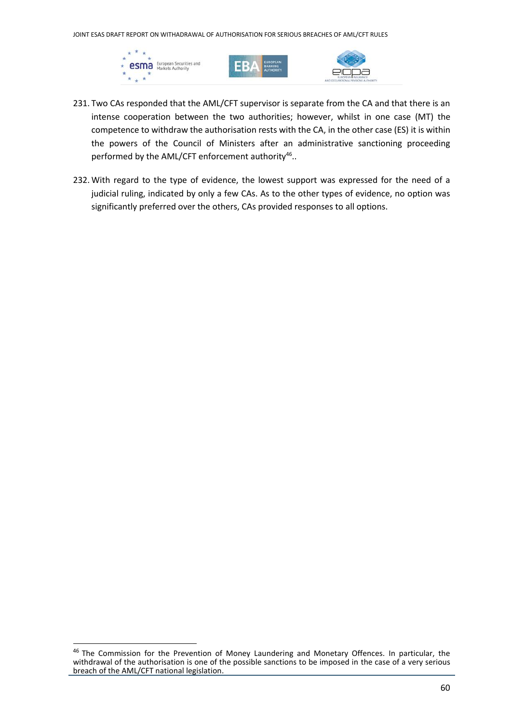JOINT ESAS DRAFT REPORT ON WITHADRAWAL OF AUTHORISATION FOR SERIOUS BREACHES OF AML/CFT RULES







- 231. Two CAs responded that the AML/CFT supervisor is separate from the CA and that there is an intense cooperation between the two authorities; however, whilst in one case (MT) the competence to withdraw the authorisation rests with the CA, in the other case (ES) it is within the powers of the Council of Ministers after an administrative sanctioning proceeding performed by the AML/CFT enforcement authority<sup>46</sup>..
- 232. With regard to the type of evidence, the lowest support was expressed for the need of a judicial ruling, indicated by only a few CAs. As to the other types of evidence, no option was significantly preferred over the others, CAs provided responses to all options.

<sup>&</sup>lt;sup>46</sup> The Commission for the Prevention of Money Laundering and Monetary Offences. In particular, the withdrawal of the authorisation is one of the possible sanctions to be imposed in the case of a very serious breach of the AML/CFT national legislation.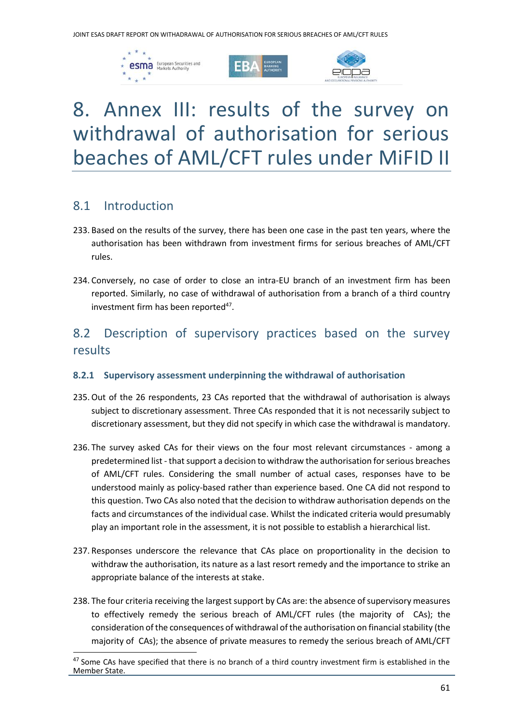





## 8. Annex III: results of the survey on withdrawal of authorisation for serious beaches of AML/CFT rules under MiFID II

#### 8.1 Introduction

- 233. Based on the results of the survey, there has been one case in the past ten years, where the authorisation has been withdrawn from investment firms for serious breaches of AML/CFT rules.
- 234. Conversely, no case of order to close an intra-EU branch of an investment firm has been reported. Similarly, no case of withdrawal of authorisation from a branch of a third country investment firm has been reported<sup>47</sup>.

### 8.2 Description of supervisory practices based on the survey results

#### **8.2.1 Supervisory assessment underpinning the withdrawal of authorisation**

- 235.Out of the 26 respondents, 23 CAs reported that the withdrawal of authorisation is always subject to discretionary assessment. Three CAs responded that it is not necessarily subject to discretionary assessment, but they did not specify in which case the withdrawal is mandatory.
- 236. The survey asked CAs for their views on the four most relevant circumstances among a predetermined list - that support a decision to withdraw the authorisation for serious breaches of AML/CFT rules. Considering the small number of actual cases, responses have to be understood mainly as policy-based rather than experience based. One CA did not respond to this question. Two CAs also noted that the decision to withdraw authorisation depends on the facts and circumstances of the individual case. Whilst the indicated criteria would presumably play an important role in the assessment, it is not possible to establish a hierarchical list.
- 237. Responses underscore the relevance that CAs place on proportionality in the decision to withdraw the authorisation, its nature as a last resort remedy and the importance to strike an appropriate balance of the interests at stake.
- 238. The four criteria receiving the largest support by CAs are: the absence of supervisory measures to effectively remedy the serious breach of AML/CFT rules (the majority of CAs); the consideration of the consequences of withdrawal of the authorisation on financial stability (the majority of CAs); the absence of private measures to remedy the serious breach of AML/CFT

<sup>&</sup>lt;sup>47</sup> Some CAs have specified that there is no branch of a third country investment firm is established in the Member State.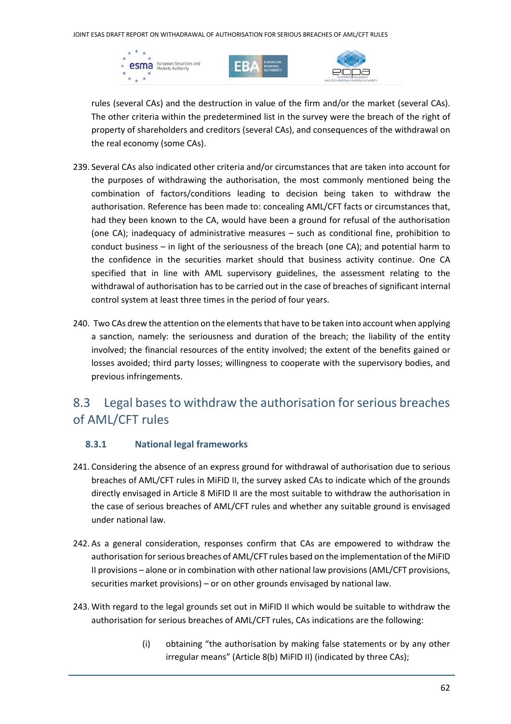





rules (several CAs) and the destruction in value of the firm and/or the market (several CAs). The other criteria within the predetermined list in the survey were the breach of the right of property of shareholders and creditors (several CAs), and consequences of the withdrawal on the real economy (some CAs).

- 239. Several CAs also indicated other criteria and/or circumstances that are taken into account for the purposes of withdrawing the authorisation, the most commonly mentioned being the combination of factors/conditions leading to decision being taken to withdraw the authorisation. Reference has been made to: concealing AML/CFT facts or circumstances that, had they been known to the CA, would have been a ground for refusal of the authorisation (one CA); inadequacy of administrative measures – such as conditional fine, prohibition to conduct business – in light of the seriousness of the breach (one CA); and potential harm to the confidence in the securities market should that business activity continue. One CA specified that in line with AML supervisory guidelines, the assessment relating to the withdrawal of authorisation has to be carried out in the case of breaches of significant internal control system at least three times in the period of four years.
- 240. Two CAs drew the attention on the elements that have to be taken into account when applying a sanction, namely: the seriousness and duration of the breach; the liability of the entity involved; the financial resources of the entity involved; the extent of the benefits gained or losses avoided; third party losses; willingness to cooperate with the supervisory bodies, and previous infringements.

## 8.3 Legal bases to withdraw the authorisation for serious breaches of AML/CFT rules

#### **8.3.1 National legal frameworks**

- 241. Considering the absence of an express ground for withdrawal of authorisation due to serious breaches of AML/CFT rules in MiFID II, the survey asked CAs to indicate which of the grounds directly envisaged in Article 8 MiFID II are the most suitable to withdraw the authorisation in the case of serious breaches of AML/CFT rules and whether any suitable ground is envisaged under national law.
- 242. As a general consideration, responses confirm that CAs are empowered to withdraw the authorisation for serious breaches of AML/CFT rules based on the implementation of the MiFID II provisions – alone or in combination with other national law provisions (AML/CFT provisions, securities market provisions) – or on other grounds envisaged by national law.
- 243. With regard to the legal grounds set out in MiFID II which would be suitable to withdraw the authorisation for serious breaches of AML/CFT rules, CAs indications are the following:
	- (i) obtaining "the authorisation by making false statements or by any other irregular means" (Article 8(b) MiFID II) (indicated by three CAs);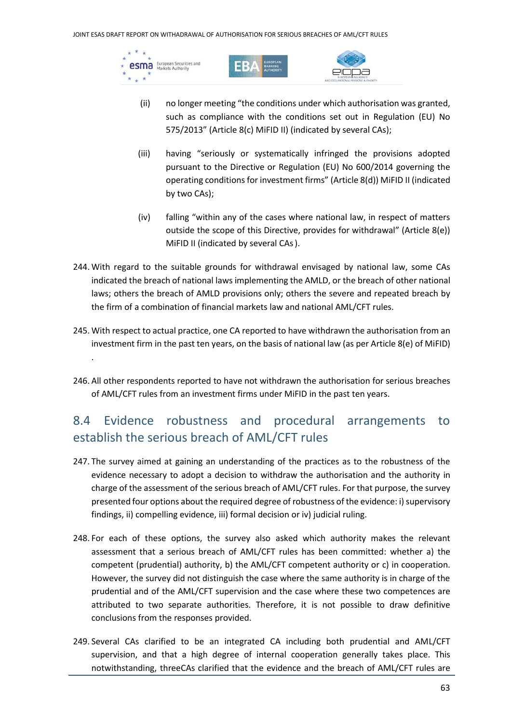esma European Securities and  $\rightarrow$ 





- (ii) no longer meeting "the conditions under which authorisation was granted, such as compliance with the conditions set out in Regulation (EU) No 575/2013" (Article 8(c) MiFID II) (indicated by several CAs);
- (iii) having "seriously or systematically infringed the provisions adopted pursuant to the Directive or Regulation (EU) No 600/2014 governing the operating conditions for investment firms" (Article 8(d)) MiFID II (indicated by two CAs);
- (iv) falling "within any of the cases where national law, in respect of matters outside the scope of this Directive, provides for withdrawal" (Article 8(e)) MiFID II (indicated by several CAs).
- 244. With regard to the suitable grounds for withdrawal envisaged by national law, some CAs indicated the breach of national laws implementing the AMLD, or the breach of other national laws; others the breach of AMLD provisions only; others the severe and repeated breach by the firm of a combination of financial markets law and national AML/CFT rules.
- 245. With respect to actual practice, one CA reported to have withdrawn the authorisation from an investment firm in the past ten years, on the basis of national law (as per Article 8(e) of MiFID) .
- 246. All other respondents reported to have not withdrawn the authorisation for serious breaches of AML/CFT rules from an investment firms under MiFID in the past ten years.

## 8.4 Evidence robustness and procedural arrangements to establish the serious breach of AML/CFT rules

- 247. The survey aimed at gaining an understanding of the practices as to the robustness of the evidence necessary to adopt a decision to withdraw the authorisation and the authority in charge of the assessment of the serious breach of AML/CFT rules. For that purpose, the survey presented four options about the required degree of robustness of the evidence: i) supervisory findings, ii) compelling evidence, iii) formal decision or iv) judicial ruling.
- 248. For each of these options, the survey also asked which authority makes the relevant assessment that a serious breach of AML/CFT rules has been committed: whether a) the competent (prudential) authority, b) the AML/CFT competent authority or c) in cooperation. However, the survey did not distinguish the case where the same authority is in charge of the prudential and of the AML/CFT supervision and the case where these two competences are attributed to two separate authorities. Therefore, it is not possible to draw definitive conclusions from the responses provided.
- 249. Several CAs clarified to be an integrated CA including both prudential and AML/CFT supervision, and that a high degree of internal cooperation generally takes place. This notwithstanding, threeCAs clarified that the evidence and the breach of AML/CFT rules are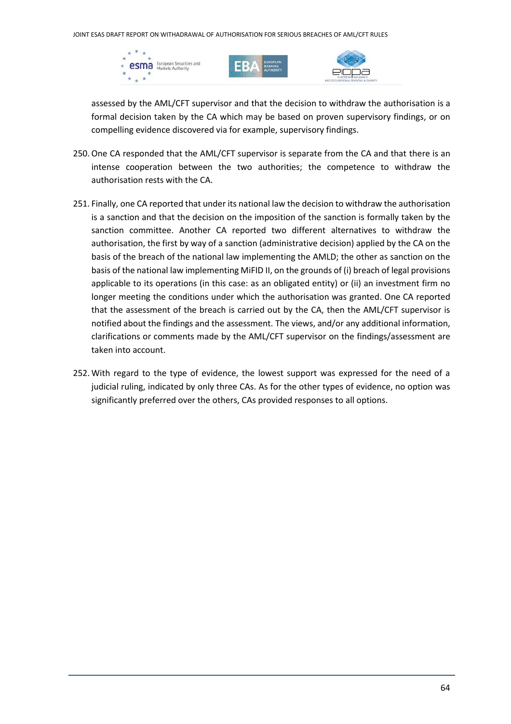





assessed by the AML/CFT supervisor and that the decision to withdraw the authorisation is a formal decision taken by the CA which may be based on proven supervisory findings, or on compelling evidence discovered via for example, supervisory findings.

- 250.One CA responded that the AML/CFT supervisor is separate from the CA and that there is an intense cooperation between the two authorities; the competence to withdraw the authorisation rests with the CA.
- 251. Finally, one CA reported that under its national law the decision to withdraw the authorisation is a sanction and that the decision on the imposition of the sanction is formally taken by the sanction committee. Another CA reported two different alternatives to withdraw the authorisation, the first by way of a sanction (administrative decision) applied by the CA on the basis of the breach of the national law implementing the AMLD; the other as sanction on the basis of the national law implementing MiFID II, on the grounds of (i) breach of legal provisions applicable to its operations (in this case: as an obligated entity) or (ii) an investment firm no longer meeting the conditions under which the authorisation was granted. One CA reported that the assessment of the breach is carried out by the CA, then the AML/CFT supervisor is notified about the findings and the assessment. The views, and/or any additional information, clarifications or comments made by the AML/CFT supervisor on the findings/assessment are taken into account.
- 252. With regard to the type of evidence, the lowest support was expressed for the need of a judicial ruling, indicated by only three CAs. As for the other types of evidence, no option was significantly preferred over the others, CAs provided responses to all options.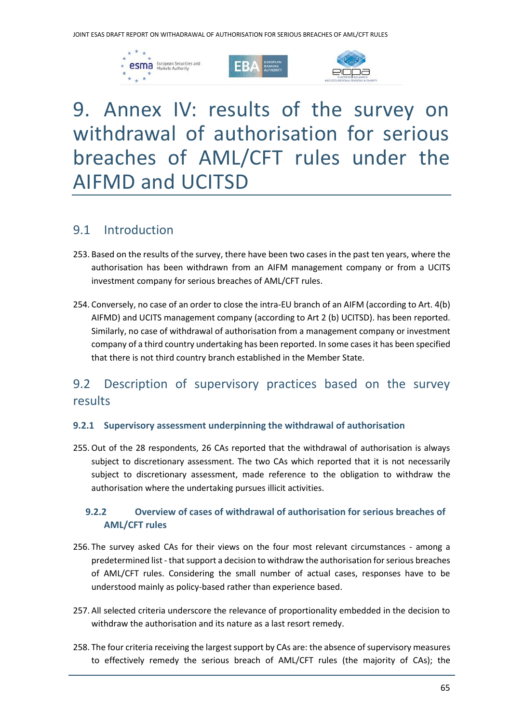





## 9. Annex IV: results of the survey on withdrawal of authorisation for serious breaches of AML/CFT rules under the AIFMD and UCITSD

#### 9.1 Introduction

- 253. Based on the results of the survey, there have been two cases in the past ten years, where the authorisation has been withdrawn from an AIFM management company or from a UCITS investment company for serious breaches of AML/CFT rules.
- 254. Conversely, no case of an order to close the intra-EU branch of an AIFM (according to Art. 4(b) AIFMD) and UCITS management company (according to Art 2 (b) UCITSD). has been reported. Similarly, no case of withdrawal of authorisation from a management company or investment company of a third country undertaking has been reported. In some cases it has been specified that there is not third country branch established in the Member State.

## 9.2 Description of supervisory practices based on the survey results

#### **9.2.1 Supervisory assessment underpinning the withdrawal of authorisation**

255.Out of the 28 respondents, 26 CAs reported that the withdrawal of authorisation is always subject to discretionary assessment. The two CAs which reported that it is not necessarily subject to discretionary assessment, made reference to the obligation to withdraw the authorisation where the undertaking pursues illicit activities.

#### **9.2.2 Overview of cases of withdrawal of authorisation for serious breaches of AML/CFT rules**

- 256. The survey asked CAs for their views on the four most relevant circumstances among a predetermined list - that support a decision to withdraw the authorisation for serious breaches of AML/CFT rules. Considering the small number of actual cases, responses have to be understood mainly as policy-based rather than experience based.
- 257. All selected criteria underscore the relevance of proportionality embedded in the decision to withdraw the authorisation and its nature as a last resort remedy.
- 258. The four criteria receiving the largest support by CAs are: the absence of supervisory measures to effectively remedy the serious breach of AML/CFT rules (the majority of CAs); the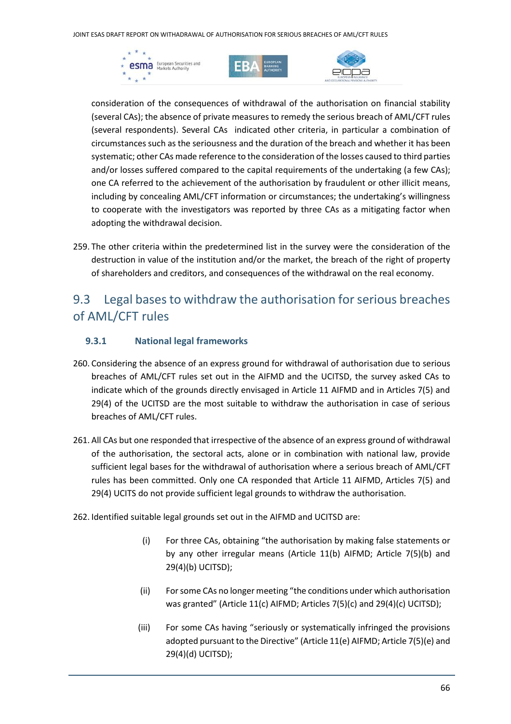JOINT ESAS DRAFT REPORT ON WITHADRAWAL OF AUTHORISATION FOR SERIOUS BREACHES OF AML/CFT RULES







consideration of the consequences of withdrawal of the authorisation on financial stability (several CAs); the absence of private measures to remedy the serious breach of AML/CFT rules (several respondents). Several CAs indicated other criteria, in particular a combination of circumstances such as the seriousness and the duration of the breach and whether it has been systematic; other CAs made reference to the consideration of the losses caused to third parties and/or losses suffered compared to the capital requirements of the undertaking (a few CAs); one CA referred to the achievement of the authorisation by fraudulent or other illicit means, including by concealing AML/CFT information or circumstances; the undertaking's willingness to cooperate with the investigators was reported by three CAs as a mitigating factor when adopting the withdrawal decision.

259. The other criteria within the predetermined list in the survey were the consideration of the destruction in value of the institution and/or the market, the breach of the right of property of shareholders and creditors, and consequences of the withdrawal on the real economy.

## 9.3 Legal bases to withdraw the authorisation for serious breaches of AML/CFT rules

#### **9.3.1 National legal frameworks**

- 260. Considering the absence of an express ground for withdrawal of authorisation due to serious breaches of AML/CFT rules set out in the AIFMD and the UCITSD, the survey asked CAs to indicate which of the grounds directly envisaged in Article 11 AIFMD and in Articles 7(5) and 29(4) of the UCITSD are the most suitable to withdraw the authorisation in case of serious breaches of AML/CFT rules.
- 261. All CAs but one responded that irrespective of the absence of an express ground of withdrawal of the authorisation, the sectoral acts, alone or in combination with national law, provide sufficient legal bases for the withdrawal of authorisation where a serious breach of AML/CFT rules has been committed. Only one CA responded that Article 11 AIFMD, Articles 7(5) and 29(4) UCITS do not provide sufficient legal grounds to withdraw the authorisation.
- 262. Identified suitable legal grounds set out in the AIFMD and UCITSD are:
	- (i) For three CAs, obtaining "the authorisation by making false statements or by any other irregular means (Article 11(b) AIFMD; Article 7(5)(b) and 29(4)(b) UCITSD);
	- (ii) For some CAs no longer meeting "the conditions under which authorisation was granted" (Article 11(c) AIFMD; Articles 7(5)(c) and 29(4)(c) UCITSD);
	- (iii) For some CAs having "seriously or systematically infringed the provisions adopted pursuant to the Directive" (Article 11(e) AIFMD; Article 7(5)(e) and 29(4)(d) UCITSD);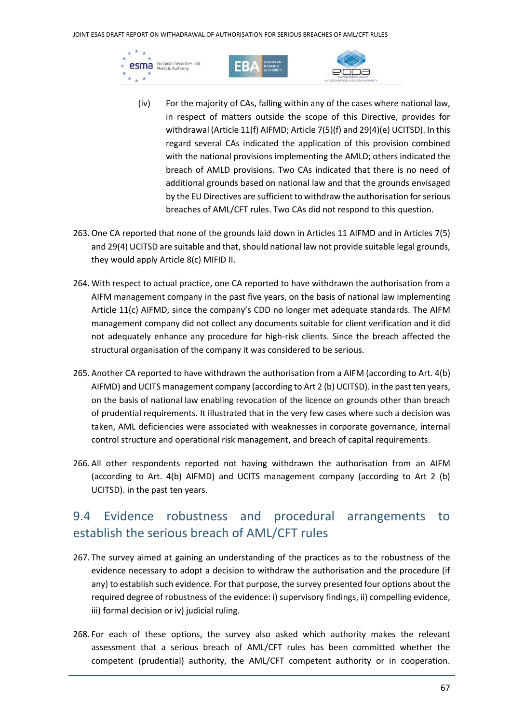JOINT ESAS DRAFT REPORT ON WITHADRAWAL OF AUTHORISATION FOR SERIOUS BREACHES OF AML/CFT RULES







- (iv) For the majority of CAs, falling within any of the cases where national law, in respect of matters outside the scope of this Directive, provides for withdrawal (Article 11(f) AIFMD; Article 7(5)(f) and 29(4)(e) UCITSD). In this regard several CAs indicated the application of this provision combined with the national provisions implementing the AMLD; others indicated the breach of AMLD provisions. Two CAs indicated that there is no need of additional grounds based on national law and that the grounds envisaged by the EU Directives are sufficient to withdraw the authorisation for serious breaches of AML/CFT rules. Two CAs did not respond to this question.
- 263.One CA reported that none of the grounds laid down in Articles 11 AIFMD and in Articles 7(5) and 29(4) UCITSD are suitable and that, should national law not provide suitable legal grounds, they would apply Article 8(c) MIFID II.
- 264. With respect to actual practice, one CA reported to have withdrawn the authorisation from a AIFM management company in the past five years, on the basis of national law implementing Article 11(c) AIFMD, since the company's CDD no longer met adequate standards. The AIFM management company did not collect any documents suitable for client verification and it did not adequately enhance any procedure for high-risk clients. Since the breach affected the structural organisation of the company it was considered to be serious.
- 265. Another CA reported to have withdrawn the authorisation from a AIFM (according to Art. 4(b) AIFMD) and UCITS management company (according to Art 2 (b) UCITSD). in the past ten years, on the basis of national law enabling revocation of the licence on grounds other than breach of prudential requirements. It illustrated that in the very few cases where such a decision was taken, AML deficiencies were associated with weaknesses in corporate governance, internal control structure and operational risk management, and breach of capital requirements.
- 266. All other respondents reported not having withdrawn the authorisation from an AIFM (according to Art. 4(b) AIFMD) and UCITS management company (according to Art 2 (b) UCITSD). in the past ten years.

## 9.4 Evidence robustness and procedural arrangements to establish the serious breach of AML/CFT rules

- 267. The survey aimed at gaining an understanding of the practices as to the robustness of the evidence necessary to adopt a decision to withdraw the authorisation and the procedure (if any) to establish such evidence. For that purpose, the survey presented four options about the required degree of robustness of the evidence: i) supervisory findings, ii) compelling evidence, iii) formal decision or iv) judicial ruling.
- 268. For each of these options, the survey also asked which authority makes the relevant assessment that a serious breach of AML/CFT rules has been committed whether the competent (prudential) authority, the AML/CFT competent authority or in cooperation.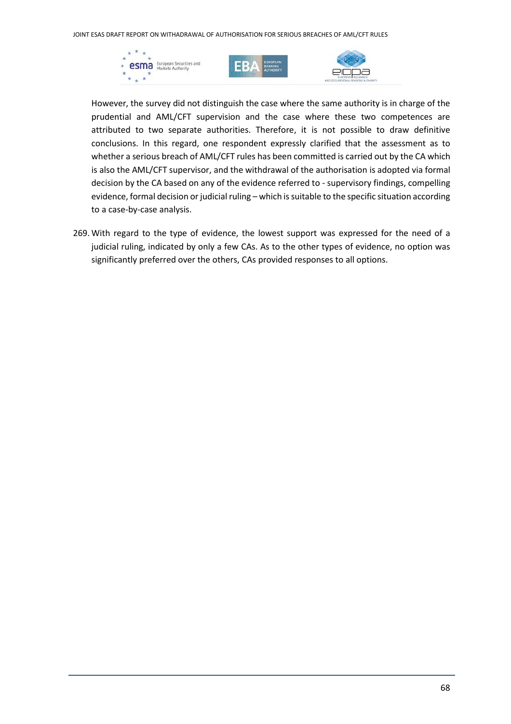





However, the survey did not distinguish the case where the same authority is in charge of the prudential and AML/CFT supervision and the case where these two competences are attributed to two separate authorities. Therefore, it is not possible to draw definitive conclusions. In this regard, one respondent expressly clarified that the assessment as to whether a serious breach of AML/CFT rules has been committed is carried out by the CA which is also the AML/CFT supervisor, and the withdrawal of the authorisation is adopted via formal decision by the CA based on any of the evidence referred to - supervisory findings, compelling evidence, formal decision or judicial ruling – which is suitable to the specific situation according to a case-by-case analysis.

269. With regard to the type of evidence, the lowest support was expressed for the need of a judicial ruling, indicated by only a few CAs. As to the other types of evidence, no option was significantly preferred over the others, CAs provided responses to all options.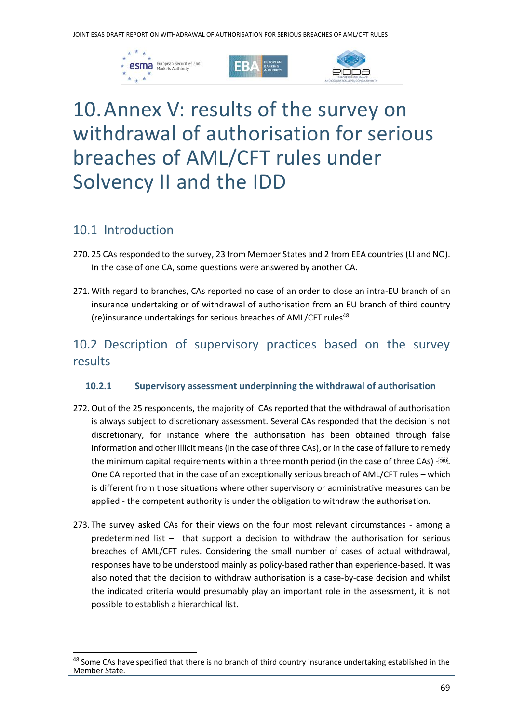





## 10.Annex V: results of the survey on withdrawal of authorisation for serious breaches of AML/CFT rules under Solvency II and the IDD

#### 10.1 Introduction

- 270. 25 CAs responded to the survey, 23 from Member States and 2 from EEA countries (LI and NO). In the case of one CA, some questions were answered by another CA.
- 271. With regard to branches, CAs reported no case of an order to close an intra-EU branch of an insurance undertaking or of withdrawal of authorisation from an EU branch of third country (re)insurance undertakings for serious breaches of AML/CFT rules<sup>48</sup>.

## 10.2 Description of supervisory practices based on the survey results

#### **10.2.1 Supervisory assessment underpinning the withdrawal of authorisation**

- 272.Out of the 25 respondents, the majority of CAs reported that the withdrawal of authorisation is always subject to discretionary assessment. Several CAs responded that the decision is not discretionary, for instance where the authorisation has been obtained through false information and other illicit means (in the case of three CAs), or in the case of failure to remedy the minimum capital requirements within a three month period (in the case of three CAs) -... One CA reported that in the case of an exceptionally serious breach of AML/CFT rules – which is different from those situations where other supervisory or administrative measures can be applied - the competent authority is under the obligation to withdraw the authorisation.
- 273. The survey asked CAs for their views on the four most relevant circumstances among a predetermined list – that support a decision to withdraw the authorisation for serious breaches of AML/CFT rules. Considering the small number of cases of actual withdrawal, responses have to be understood mainly as policy-based rather than experience-based. It was also noted that the decision to withdraw authorisation is a case-by-case decision and whilst the indicated criteria would presumably play an important role in the assessment, it is not possible to establish a hierarchical list.

<sup>&</sup>lt;sup>48</sup> Some CAs have specified that there is no branch of third country insurance undertaking established in the Member State.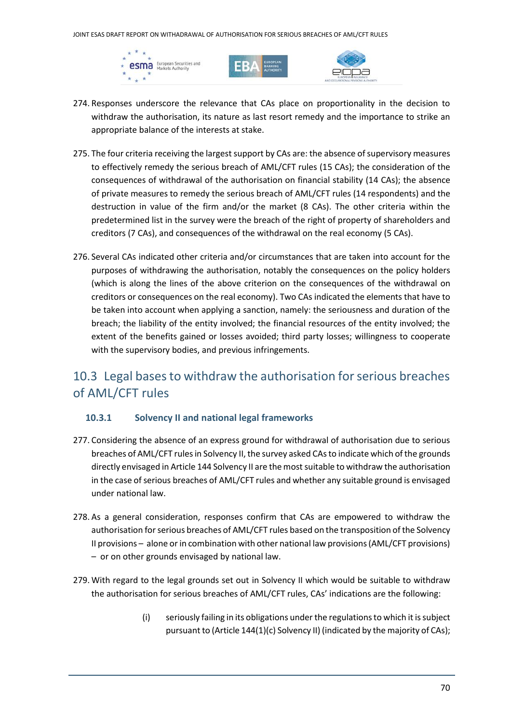





- 274. Responses underscore the relevance that CAs place on proportionality in the decision to withdraw the authorisation, its nature as last resort remedy and the importance to strike an appropriate balance of the interests at stake.
- 275. The four criteria receiving the largest support by CAs are: the absence of supervisory measures to effectively remedy the serious breach of AML/CFT rules (15 CAs); the consideration of the consequences of withdrawal of the authorisation on financial stability (14 CAs); the absence of private measures to remedy the serious breach of AML/CFT rules (14 respondents) and the destruction in value of the firm and/or the market (8 CAs). The other criteria within the predetermined list in the survey were the breach of the right of property of shareholders and creditors (7 CAs), and consequences of the withdrawal on the real economy (5 CAs).
- 276. Several CAs indicated other criteria and/or circumstances that are taken into account for the purposes of withdrawing the authorisation, notably the consequences on the policy holders (which is along the lines of the above criterion on the consequences of the withdrawal on creditors or consequences on the real economy). Two CAs indicated the elements that have to be taken into account when applying a sanction, namely: the seriousness and duration of the breach; the liability of the entity involved; the financial resources of the entity involved; the extent of the benefits gained or losses avoided; third party losses; willingness to cooperate with the supervisory bodies, and previous infringements.

## 10.3 Legal bases to withdraw the authorisation for serious breaches of AML/CFT rules

#### **10.3.1 Solvency II and national legal frameworks**

- 277. Considering the absence of an express ground for withdrawal of authorisation due to serious breaches of AML/CFT rules in Solvency II, the survey asked CAs to indicate which of the grounds directly envisaged in Article 144 Solvency II are the most suitable to withdraw the authorisation in the case of serious breaches of AML/CFT rules and whether any suitable ground is envisaged under national law.
- 278. As a general consideration, responses confirm that CAs are empowered to withdraw the authorisation for serious breaches of AML/CFT rules based on the transposition of the Solvency II provisions – alone or in combination with other national law provisions (AML/CFT provisions) – or on other grounds envisaged by national law.
- 279. With regard to the legal grounds set out in Solvency II which would be suitable to withdraw the authorisation for serious breaches of AML/CFT rules, CAs' indications are the following:
	- (i) seriously failing in its obligations under the regulations to which it is subject pursuant to (Article 144(1)(c) Solvency II) (indicated by the majority of CAs);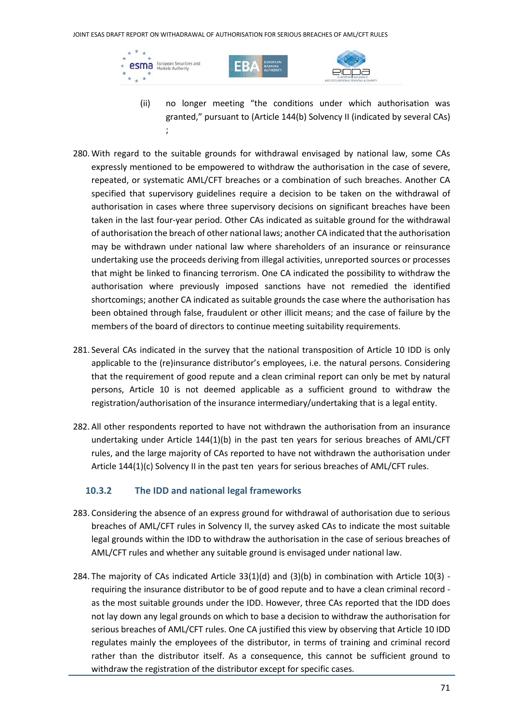





- (ii) no longer meeting "the conditions under which authorisation was granted," pursuant to (Article 144(b) Solvency II (indicated by several CAs) ;
- 280. With regard to the suitable grounds for withdrawal envisaged by national law, some CAs expressly mentioned to be empowered to withdraw the authorisation in the case of severe, repeated, or systematic AML/CFT breaches or a combination of such breaches. Another CA specified that supervisory guidelines require a decision to be taken on the withdrawal of authorisation in cases where three supervisory decisions on significant breaches have been taken in the last four-year period. Other CAs indicated as suitable ground for the withdrawal of authorisation the breach of other national laws; another CA indicated that the authorisation may be withdrawn under national law where shareholders of an insurance or reinsurance undertaking use the proceeds deriving from illegal activities, unreported sources or processes that might be linked to financing terrorism. One CA indicated the possibility to withdraw the authorisation where previously imposed sanctions have not remedied the identified shortcomings; another CA indicated as suitable grounds the case where the authorisation has been obtained through false, fraudulent or other illicit means; and the case of failure by the members of the board of directors to continue meeting suitability requirements.
- 281. Several CAs indicated in the survey that the national transposition of Article 10 IDD is only applicable to the (re)insurance distributor's employees, i.e. the natural persons. Considering that the requirement of good repute and a clean criminal report can only be met by natural persons, Article 10 is not deemed applicable as a sufficient ground to withdraw the registration/authorisation of the insurance intermediary/undertaking that is a legal entity.
- 282. All other respondents reported to have not withdrawn the authorisation from an insurance undertaking under Article 144(1)(b) in the past ten years for serious breaches of AML/CFT rules, and the large majority of CAs reported to have not withdrawn the authorisation under Article 144(1)(c) Solvency II in the past ten years for serious breaches of AML/CFT rules.

#### **10.3.2 The IDD and national legal frameworks**

- 283. Considering the absence of an express ground for withdrawal of authorisation due to serious breaches of AML/CFT rules in Solvency II, the survey asked CAs to indicate the most suitable legal grounds within the IDD to withdraw the authorisation in the case of serious breaches of AML/CFT rules and whether any suitable ground is envisaged under national law.
- 284. The majority of CAs indicated Article 33(1)(d) and (3)(b) in combination with Article 10(3) requiring the insurance distributor to be of good repute and to have a clean criminal record as the most suitable grounds under the IDD. However, three CAs reported that the IDD does not lay down any legal grounds on which to base a decision to withdraw the authorisation for serious breaches of AML/CFT rules. One CA justified this view by observing that Article 10 IDD regulates mainly the employees of the distributor, in terms of training and criminal record rather than the distributor itself. As a consequence, this cannot be sufficient ground to withdraw the registration of the distributor except for specific cases*.*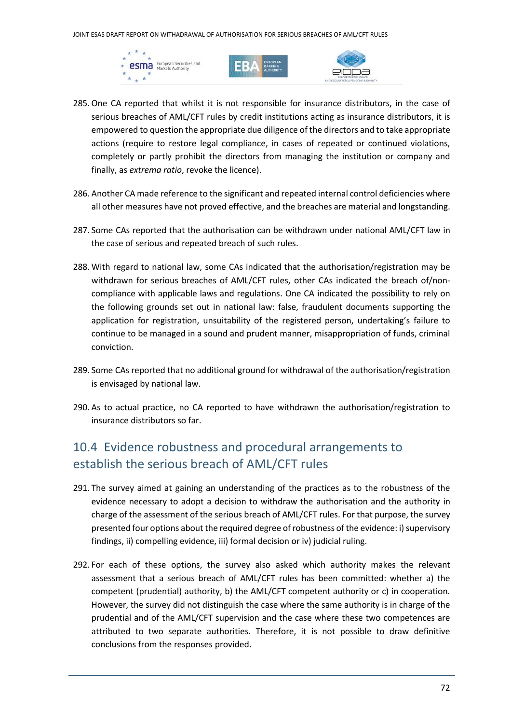





- 285.One CA reported that whilst it is not responsible for insurance distributors, in the case of serious breaches of AML/CFT rules by credit institutions acting as insurance distributors, it is empowered to question the appropriate due diligence of the directors and to take appropriate actions (require to restore legal compliance, in cases of repeated or continued violations, completely or partly prohibit the directors from managing the institution or company and finally, as *extrema ratio*, revoke the licence).
- 286. Another CA made reference to the significant and repeated internal control deficiencies where all other measures have not proved effective, and the breaches are material and longstanding.
- 287. Some CAs reported that the authorisation can be withdrawn under national AML/CFT law in the case of serious and repeated breach of such rules.
- 288. With regard to national law, some CAs indicated that the authorisation/registration may be withdrawn for serious breaches of AML/CFT rules, other CAs indicated the breach of/noncompliance with applicable laws and regulations. One CA indicated the possibility to rely on the following grounds set out in national law: false, fraudulent documents supporting the application for registration, unsuitability of the registered person, undertaking's failure to continue to be managed in a sound and prudent manner, misappropriation of funds, criminal conviction.
- 289. Some CAs reported that no additional ground for withdrawal of the authorisation/registration is envisaged by national law.
- 290. As to actual practice, no CA reported to have withdrawn the authorisation/registration to insurance distributors so far.

### 10.4 Evidence robustness and procedural arrangements to establish the serious breach of AML/CFT rules

- 291. The survey aimed at gaining an understanding of the practices as to the robustness of the evidence necessary to adopt a decision to withdraw the authorisation and the authority in charge of the assessment of the serious breach of AML/CFT rules. For that purpose, the survey presented four options about the required degree of robustness of the evidence: i) supervisory findings, ii) compelling evidence, iii) formal decision or iv) judicial ruling.
- 292. For each of these options, the survey also asked which authority makes the relevant assessment that a serious breach of AML/CFT rules has been committed: whether a) the competent (prudential) authority, b) the AML/CFT competent authority or c) in cooperation. However, the survey did not distinguish the case where the same authority is in charge of the prudential and of the AML/CFT supervision and the case where these two competences are attributed to two separate authorities. Therefore, it is not possible to draw definitive conclusions from the responses provided.